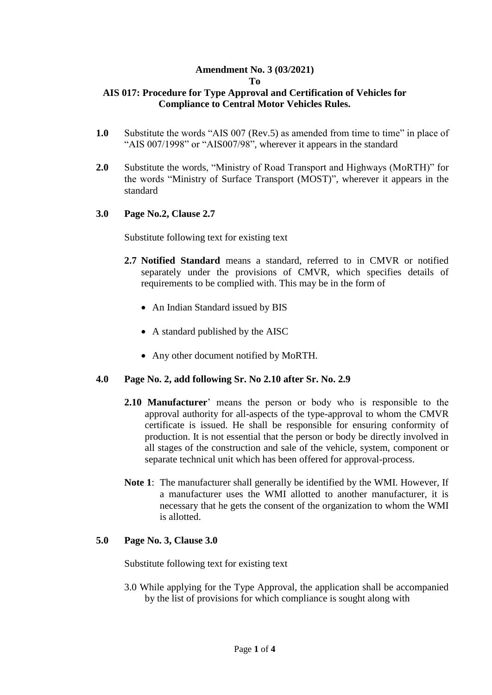# **Amendment No. 3 (03/2021)**

#### **To**

# **AIS 017: Procedure for Type Approval and Certification of Vehicles for Compliance to Central Motor Vehicles Rules.**

- **1.0** Substitute the words "AIS 007 (Rev.5) as amended from time to time" in place of "AIS 007/1998" or "AIS007/98", wherever it appears in the standard
- **2.0** Substitute the words, "Ministry of Road Transport and Highways (MoRTH)" for the words "Ministry of Surface Transport (MOST)", wherever it appears in the standard

# **3.0 Page No.2, Clause 2.7**

Substitute following text for existing text

- **2.7 Notified Standard** means a standard, referred to in CMVR or notified separately under the provisions of CMVR, which specifies details of requirements to be complied with. This may be in the form of
	- An Indian Standard issued by BIS
	- A standard published by the AISC
	- Any other document notified by MoRTH.

# **4.0 Page No. 2, add following Sr. No 2.10 after Sr. No. 2.9**

- **2.10 Manufacturer**' means the person or body who is responsible to the approval authority for all-aspects of the type-approval to whom the CMVR certificate is issued. He shall be responsible for ensuring conformity of production. It is not essential that the person or body be directly involved in all stages of the construction and sale of the vehicle, system, component or separate technical unit which has been offered for approval-process.
- **Note 1**: The manufacturer shall generally be identified by the WMI. However, If a manufacturer uses the WMI allotted to another manufacturer, it is necessary that he gets the consent of the organization to whom the WMI is allotted.

#### **5.0 Page No. 3, Clause 3.0**

Substitute following text for existing text

3.0 While applying for the Type Approval, the application shall be accompanied by the list of provisions for which compliance is sought along with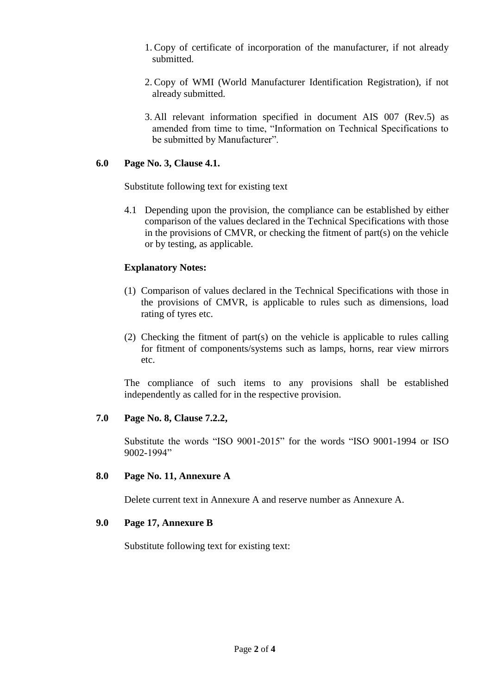- 1. Copy of certificate of incorporation of the manufacturer, if not already submitted.
- 2. Copy of WMI (World Manufacturer Identification Registration), if not already submitted.
- 3. All relevant information specified in document AIS 007 (Rev.5) as amended from time to time, "Information on Technical Specifications to be submitted by Manufacturer".

# **6.0 Page No. 3, Clause 4.1.**

Substitute following text for existing text

4.1 Depending upon the provision, the compliance can be established by either comparison of the values declared in the Technical Specifications with those in the provisions of CMVR, or checking the fitment of part(s) on the vehicle or by testing, as applicable.

# **Explanatory Notes:**

- (1) Comparison of values declared in the Technical Specifications with those in the provisions of CMVR, is applicable to rules such as dimensions, load rating of tyres etc.
- (2) Checking the fitment of part(s) on the vehicle is applicable to rules calling for fitment of components/systems such as lamps, horns, rear view mirrors etc.

The compliance of such items to any provisions shall be established independently as called for in the respective provision.

# **7.0 Page No. 8, Clause 7.2.2,**

Substitute the words "ISO 9001-2015" for the words "ISO 9001-1994 or ISO 9002-1994"

#### **8.0 Page No. 11, Annexure A**

Delete current text in Annexure A and reserve number as Annexure A.

#### **9.0 Page 17, Annexure B**

Substitute following text for existing text: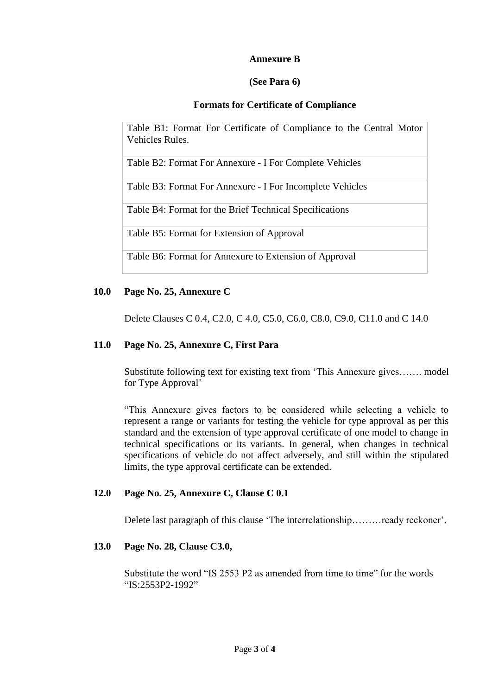# **Annexure B**

# **(See Para 6)**

# **Formats for Certificate of Compliance**

Table B1: Format For Certificate of Compliance to the Central Motor Vehicles Rules.

Table B2: Format For Annexure - I For Complete Vehicles

Table B3: Format For Annexure - I For Incomplete Vehicles

Table B4: Format for the Brief Technical Specifications

Table B5: Format for Extension of Approval

Table B6: Format for Annexure to Extension of Approval

# **10.0 Page No. 25, Annexure C**

Delete Clauses C 0.4, C2.0, C 4.0, C5.0, C6.0, C8.0, C9.0, C11.0 and C 14.0

# **11.0 Page No. 25, Annexure C, First Para**

Substitute following text for existing text from 'This Annexure gives……. model for Type Approval'

"This Annexure gives factors to be considered while selecting a vehicle to represent a range or variants for testing the vehicle for type approval as per this standard and the extension of type approval certificate of one model to change in technical specifications or its variants. In general, when changes in technical specifications of vehicle do not affect adversely, and still within the stipulated limits, the type approval certificate can be extended.

# **12.0 Page No. 25, Annexure C, Clause C 0.1**

Delete last paragraph of this clause 'The interrelationship.........ready reckoner'.

# **13.0 Page No. 28, Clause C3.0,**

Substitute the word "IS 2553 P2 as amended from time to time" for the words "IS:2553P2-1992"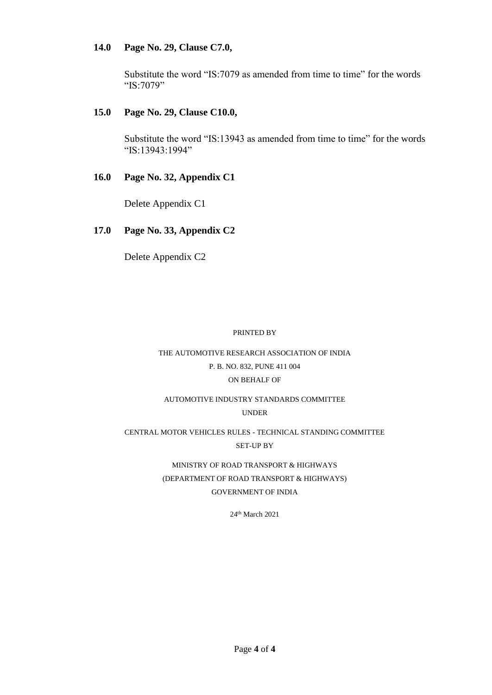# **14.0 Page No. 29, Clause C7.0,**

Substitute the word "IS:7079 as amended from time to time" for the words "IS:7079"

# **15.0 Page No. 29, Clause C10.0,**

Substitute the word "IS:13943 as amended from time to time" for the words "IS:13943:1994"

#### **16.0 Page No. 32, Appendix C1**

Delete Appendix C1

# **17.0 Page No. 33, Appendix C2**

Delete Appendix C2

#### PRINTED BY

# THE AUTOMOTIVE RESEARCH ASSOCIATION OF INDIA P. B. NO. 832, PUNE 411 004 ON BEHALF OF

#### AUTOMOTIVE INDUSTRY STANDARDS COMMITTEE UNDER

# CENTRAL MOTOR VEHICLES RULES - TECHNICAL STANDING COMMITTEE SET-UP BY

# MINISTRY OF ROAD TRANSPORT & HIGHWAYS (DEPARTMENT OF ROAD TRANSPORT & HIGHWAYS) GOVERNMENT OF INDIA

24th March 2021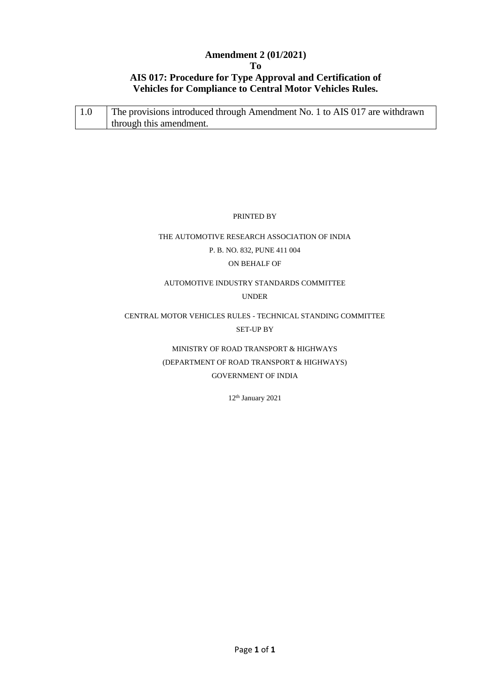# **Amendment 2 (01/2021) To AIS 017: Procedure for Type Approval and Certification of Vehicles for Compliance to Central Motor Vehicles Rules.**

| The provisions introduced through Amendment No. 1 to AIS 017 are withdrawn |
|----------------------------------------------------------------------------|
| through this amendment.                                                    |

PRINTED BY

# THE AUTOMOTIVE RESEARCH ASSOCIATION OF INDIA P. B. NO. 832, PUNE 411 004 ON BEHALF OF

# AUTOMOTIVE INDUSTRY STANDARDS COMMITTEE

UNDER

# CENTRAL MOTOR VEHICLES RULES - TECHNICAL STANDING COMMITTEE SET-UP BY

MINISTRY OF ROAD TRANSPORT & HIGHWAYS (DEPARTMENT OF ROAD TRANSPORT & HIGHWAYS) GOVERNMENT OF INDIA

12th January 2021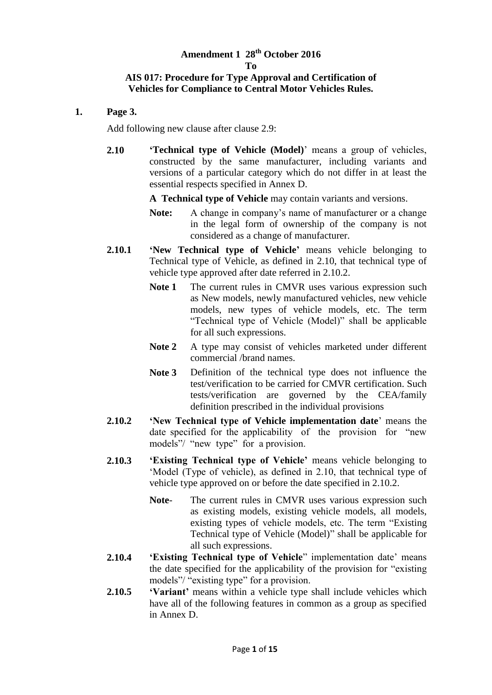# **Amendment 1 28th October 2016**

#### **To**

# **AIS 017: Procedure for Type Approval and Certification of Vehicles for Compliance to Central Motor Vehicles Rules.**

**1. Page 3.**

Add following new clause after clause 2.9:

**2.10 'Technical type of Vehicle (Model)**' means a group of vehicles, constructed by the same manufacturer, including variants and versions of a particular category which do not differ in at least the essential respects specified in Annex D.

**A Technical type of Vehicle** may contain variants and versions.

- **Note:** A change in company's name of manufacturer or a change in the legal form of ownership of the company is not considered as a change of manufacturer.
- **2.10.1 'New Technical type of Vehicle'** means vehicle belonging to Technical type of Vehicle, as defined in 2.10, that technical type of vehicle type approved after date referred in 2.10.2.
	- **Note 1** The current rules in CMVR uses various expression such as New models, newly manufactured vehicles, new vehicle models, new types of vehicle models, etc. The term "Technical type of Vehicle (Model)" shall be applicable for all such expressions.
	- **Note 2** A type may consist of vehicles marketed under different commercial /brand names.
	- **Note 3** Definition of the technical type does not influence the test/verification to be carried for CMVR certification. Such tests/verification are governed by the CEA/family definition prescribed in the individual provisions
- **2.10.2 'New Technical type of Vehicle implementation date**' means the date specified for the applicability of the provision for "new models"/ "new type" for a provision.
- **2.10.3 'Existing Technical type of Vehicle'** means vehicle belonging to 'Model (Type of vehicle), as defined in 2.10, that technical type of vehicle type approved on or before the date specified in 2.10.2.
	- **Note** The current rules in CMVR uses various expression such as existing models, existing vehicle models, all models, existing types of vehicle models, etc. The term "Existing Technical type of Vehicle (Model)" shall be applicable for all such expressions.
- **2.10.4 'Existing Technical type of Vehicle**" implementation date' means the date specified for the applicability of the provision for "existing models"/ "existing type" for a provision.
- **2.10.5 'Variant'** means within a vehicle type shall include vehicles which have all of the following features in common as a group as specified in Annex D.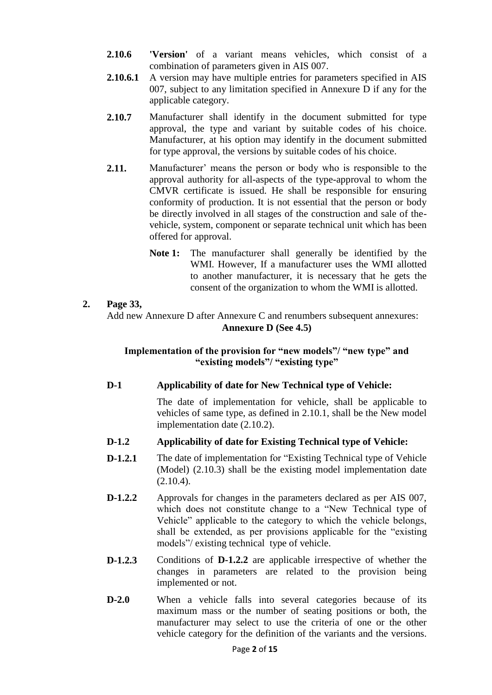- **2.10.6 'Version'** of a variant means vehicles, which consist of a combination of parameters given in AIS 007.
- **2.10.6.1** A version may have multiple entries for parameters specified in AIS 007, subject to any limitation specified in Annexure D if any for the applicable category.
- **2.10.7** Manufacturer shall identify in the document submitted for type approval, the type and variant by suitable codes of his choice. Manufacturer, at his option may identify in the document submitted for type approval, the versions by suitable codes of his choice.
- **2.11.** Manufacturer' means the person or body who is responsible to the approval authority for all-aspects of the type-approval to whom the CMVR certificate is issued. He shall be responsible for ensuring conformity of production. It is not essential that the person or body be directly involved in all stages of the construction and sale of thevehicle, system, component or separate technical unit which has been offered for approval.
	- **Note 1:** The manufacturer shall generally be identified by the WMI. However, If a manufacturer uses the WMI allotted to another manufacturer, it is necessary that he gets the consent of the organization to whom the WMI is allotted.

# **2. Page 33,**

Add new Annexure D after Annexure C and renumbers subsequent annexures: **Annexure D (See 4.5)**

# **Implementation of the provision for "new models"/ "new type" and "existing models"/ "existing type"**

# **D-1 Applicability of date for New Technical type of Vehicle:**

The date of implementation for vehicle, shall be applicable to vehicles of same type, as defined in 2.10.1, shall be the New model implementation date (2.10.2).

# **D-1.2 Applicability of date for Existing Technical type of Vehicle:**

- **D-1.2.1** The date of implementation for "Existing Technical type of Vehicle (Model) (2.10.3) shall be the existing model implementation date  $(2.10.4)$ .
- **D-1.2.2** Approvals for changes in the parameters declared as per AIS 007, which does not constitute change to a "New Technical type of Vehicle" applicable to the category to which the vehicle belongs, shall be extended, as per provisions applicable for the "existing models"/ existing technical type of vehicle.
- **D-1.2.3** Conditions of **D-1.2.2** are applicable irrespective of whether the changes in parameters are related to the provision being implemented or not.
- **D-2.0** When a vehicle falls into several categories because of its maximum mass or the number of seating positions or both, the manufacturer may select to use the criteria of one or the other vehicle category for the definition of the variants and the versions.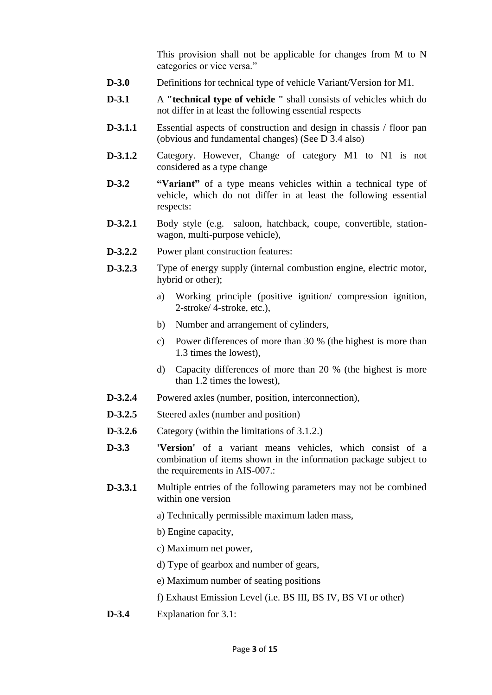This provision shall not be applicable for changes from M to N categories or vice versa."

- **D-3.0** Definitions for technical type of vehicle Variant/Version for M1.
- **D-3.1** A **"technical type of vehicle "** shall consists of vehicles which do not differ in at least the following essential respects
- **D-3.1.1** Essential aspects of construction and design in chassis / floor pan (obvious and fundamental changes) (See D 3.4 also)
- **D-3.1.2** Category. However, Change of category M1 to N1 is not considered as a type change
- **D-3.2 "Variant"** of a type means vehicles within a technical type of vehicle, which do not differ in at least the following essential respects:
- **D-3.2.1** Body style (e.g. saloon, hatchback, coupe, convertible, stationwagon, multi-purpose vehicle),
- **D-3.2.2** Power plant construction features:
- **D-3.2.3** Type of energy supply (internal combustion engine, electric motor, hybrid or other);
	- a) Working principle (positive ignition/ compression ignition, 2-stroke/ 4-stroke, etc.),
	- b) Number and arrangement of cylinders,
	- c) Power differences of more than 30 % (the highest is more than 1.3 times the lowest),
	- d) Capacity differences of more than 20 % (the highest is more than 1.2 times the lowest),
- **D-3.2.4** Powered axles (number, position, interconnection),
- **D-3.2.5** Steered axles (number and position)
- **D-3.2.6** Category (within the limitations of 3.1.2.)
- **D-3.3 'Version'** of a variant means vehicles, which consist of a combination of items shown in the information package subject to the requirements in AIS-007.:
- **D-3.3.1** Multiple entries of the following parameters may not be combined within one version
	- a) Technically permissible maximum laden mass,
	- b) Engine capacity,
	- c) Maximum net power,
	- d) Type of gearbox and number of gears,
	- e) Maximum number of seating positions
	- f) Exhaust Emission Level (i.e. BS III, BS IV, BS VI or other)
- **D-3.4** Explanation for 3.1: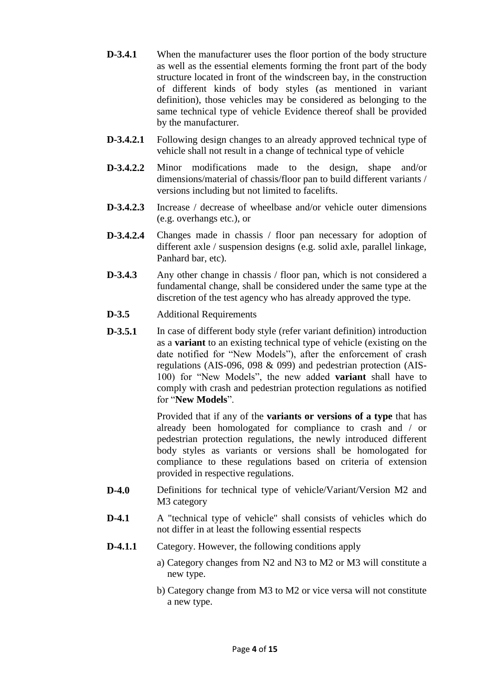- **D-3.4.1** When the manufacturer uses the floor portion of the body structure as well as the essential elements forming the front part of the body structure located in front of the windscreen bay, in the construction of different kinds of body styles (as mentioned in variant definition), those vehicles may be considered as belonging to the same technical type of vehicle Evidence thereof shall be provided by the manufacturer.
- **D-3.4.2.1** Following design changes to an already approved technical type of vehicle shall not result in a change of technical type of vehicle
- **D-3.4.2.2** Minor modifications made to the design, shape and/or dimensions/material of chassis/floor pan to build different variants / versions including but not limited to facelifts.
- **D-3.4.2.3** Increase / decrease of wheelbase and/or vehicle outer dimensions (e.g. overhangs etc.), or
- **D-3.4.2.4** Changes made in chassis / floor pan necessary for adoption of different axle / suspension designs (e.g. solid axle, parallel linkage, Panhard bar, etc).
- **D-3.4.3** Any other change in chassis / floor pan, which is not considered a fundamental change, shall be considered under the same type at the discretion of the test agency who has already approved the type.
- **D-3.5** Additional Requirements
- **D-3.5.1** In case of different body style (refer variant definition) introduction as a **variant** to an existing technical type of vehicle (existing on the date notified for "New Models"), after the enforcement of crash regulations (AIS-096, 098 & 099) and pedestrian protection (AIS-100) for "New Models", the new added **variant** shall have to comply with crash and pedestrian protection regulations as notified for "**New Models**".

Provided that if any of the **variants or versions of a type** that has already been homologated for compliance to crash and / or pedestrian protection regulations, the newly introduced different body styles as variants or versions shall be homologated for compliance to these regulations based on criteria of extension provided in respective regulations.

- **D-4.0** Definitions for technical type of vehicle/Variant/Version M2 and M3 category
- **D-4.1** A "technical type of vehicle" shall consists of vehicles which do not differ in at least the following essential respects
- **D-4.1.1** Category. However, the following conditions apply
	- a) Category changes from N2 and N3 to M2 or M3 will constitute a new type.
		- b) Category change from M3 to M2 or vice versa will not constitute a new type.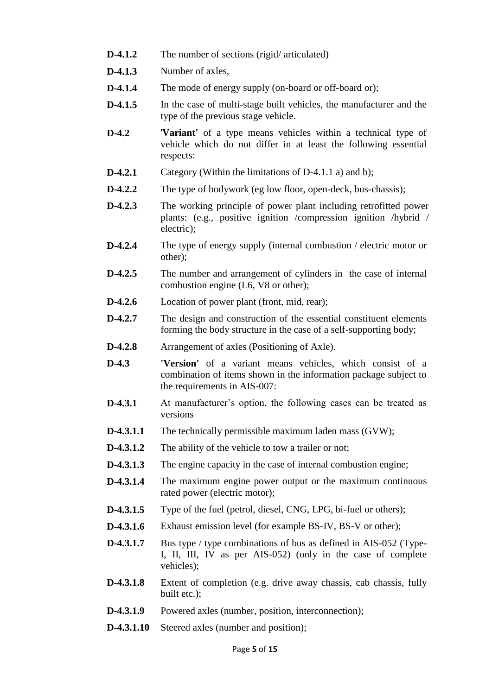- **D-4.1.2** The number of sections (rigid/ articulated)
- **D-4.1.3** Number of axles,
- **D-4.1.4** The mode of energy supply (on-board or off-board or);
- **D-4.1.5** In the case of multi-stage built vehicles, the manufacturer and the type of the previous stage vehicle.
- **D-4.2** '**Variant'** of a type means vehicles within a technical type of vehicle which do not differ in at least the following essential respects:
- **D-4.2.1** Category (Within the limitations of D-4.1.1 a) and b);
- **D-4.2.2** The type of bodywork (eg low floor, open-deck, bus-chassis);
- **D-4.2.3** The working principle of power plant including retrofitted power plants: (e.g., positive ignition /compression ignition /hybrid / electric);
- **D-4.2.4** The type of energy supply (internal combustion / electric motor or other);
- **D-4.2.5** The number and arrangement of cylinders in the case of internal combustion engine (L6, V8 or other):
- **D-4.2.6** Location of power plant (front, mid, rear);
- **D-4.2.7** The design and construction of the essential constituent elements forming the body structure in the case of a self-supporting body;
- **D-4.2.8** Arrangement of axles (Positioning of Axle).
- **D-4.3 'Version'** of a variant means vehicles, which consist of a combination of items shown in the information package subject to the requirements in AIS-007:
- **D-4.3.1** At manufacturer's option, the following cases can be treated as versions
- **D-4.3.1.1** The technically permissible maximum laden mass (GVW);
- **D-4.3.1.2** The ability of the vehicle to tow a trailer or not;
- **D-4.3.1.3** The engine capacity in the case of internal combustion engine;
- **D-4.3.1.4** The maximum engine power output or the maximum continuous rated power (electric motor);
- **D-4.3.1.5** Type of the fuel (petrol, diesel, CNG, LPG, bi-fuel or others);
- **D-4.3.1.6** Exhaust emission level (for example BS-IV, BS-V or other);
- **D-4.3.1.7** Bus type / type combinations of bus as defined in AIS-052 (Type-I, II, III, IV as per AIS-052) (only in the case of complete vehicles);
- **D-4.3.1.8** Extent of completion (e.g. drive away chassis, cab chassis, fully built etc.);
- **D-4.3.1.9** Powered axles (number, position, interconnection);
- **D-4.3.1.10** Steered axles (number and position);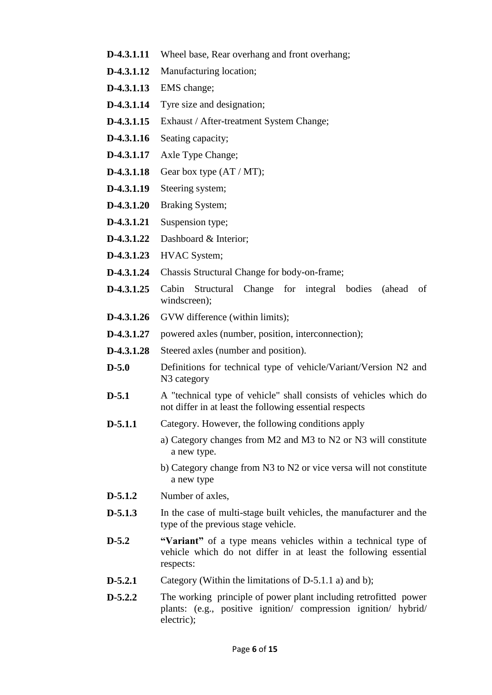- **D-4.3.1.11** Wheel base, Rear overhang and front overhang;
- **D-4.3.1.12** Manufacturing location;
- **D-4.3.1.13** EMS change;
- **D-4.3.1.14** Tyre size and designation;
- **D-4.3.1.15** Exhaust / After-treatment System Change;
- **D-4.3.1.16** Seating capacity;
- **D-4.3.1.17** Axle Type Change;
- **D-4.3.1.18** Gear box type  $(AT / MT)$ ;
- **D-4.3.1.19** Steering system;
- **D-4.3.1.20** Braking System;
- **D-4.3.1.21** Suspension type;
- **D-4.3.1.22** Dashboard & Interior;
- **D-4.3.1.23** HVAC System;
- **D-4.3.1.24** Chassis Structural Change for body-on-frame;
- **D-4.3.1.25** Cabin Structural Change for integral bodies (ahead of windscreen);
- **D-4.3.1.26** GVW difference (within limits);
- **D-4.3.1.27** powered axles (number, position, interconnection);
- **D-4.3.1.28** Steered axles (number and position).
- **D-5.0** Definitions for technical type of vehicle/Variant/Version N2 and N3 category
- **D-5.1** A "technical type of vehicle" shall consists of vehicles which do not differ in at least the following essential respects
- **D-5.1.1** Category. However, the following conditions apply
	- a) Category changes from M2 and M3 to N2 or N3 will constitute a new type.
	- b) Category change from N3 to N2 or vice versa will not constitute a new type
- **D-5.1.2** Number of axles,
- **D-5.1.3** In the case of multi-stage built vehicles, the manufacturer and the type of the previous stage vehicle.
- **D-5.2 "Variant"** of a type means vehicles within a technical type of vehicle which do not differ in at least the following essential respects:
- **D-5.2.1** Category (Within the limitations of D-5.1.1 a) and b);
- **D-5.2.2** The working principle of power plant including retrofitted power plants: (e.g., positive ignition/ compression ignition/ hybrid/ electric);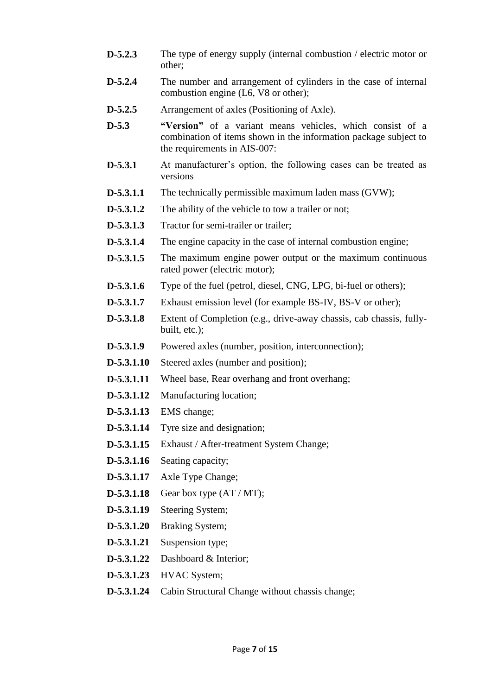- **D-5.2.3** The type of energy supply (internal combustion / electric motor or other;
- **D-5.2.4** The number and arrangement of cylinders in the case of internal combustion engine (L6, V8 or other);
- **D-5.2.5** Arrangement of axles (Positioning of Axle).
- **D-5.3 "Version"** of a variant means vehicles, which consist of a combination of items shown in the information package subject to the requirements in AIS-007:
- **D-5.3.1** At manufacturer's option, the following cases can be treated as versions
- **D-5.3.1.1** The technically permissible maximum laden mass (GVW);
- **D-5.3.1.2** The ability of the vehicle to tow a trailer or not;
- **D-5.3.1.3** Tractor for semi-trailer or trailer:
- **D-5.3.1.4** The engine capacity in the case of internal combustion engine;
- **D-5.3.1.5** The maximum engine power output or the maximum continuous rated power (electric motor);
- **D-5.3.1.6** Type of the fuel (petrol, diesel, CNG, LPG, bi-fuel or others);
- **D-5.3.1.7** Exhaust emission level (for example BS-IV, BS-V or other);
- **D-5.3.1.8** Extent of Completion (e.g., drive-away chassis, cab chassis, fullybuilt, etc.);
- **D-5.3.1.9** Powered axles (number, position, interconnection);
- **D-5.3.1.10** Steered axles (number and position);
- **D-5.3.1.11** Wheel base, Rear overhang and front overhang;
- **D-5.3.1.12** Manufacturing location;
- **D-5.3.1.13** EMS change;
- **D-5.3.1.14** Tyre size and designation;
- **D-5.3.1.15** Exhaust / After-treatment System Change;
- **D-5.3.1.16** Seating capacity;
- **D-5.3.1.17** Axle Type Change;
- **D-5.3.1.18** Gear box type  $(AT/MT)$ ;
- **D-5.3.1.19** Steering System;
- **D-5.3.1.20** Braking System;
- **D-5.3.1.21** Suspension type;
- **D-5.3.1.22** Dashboard & Interior;
- **D-5.3.1.23** HVAC System;
- **D-5.3.1.24** Cabin Structural Change without chassis change;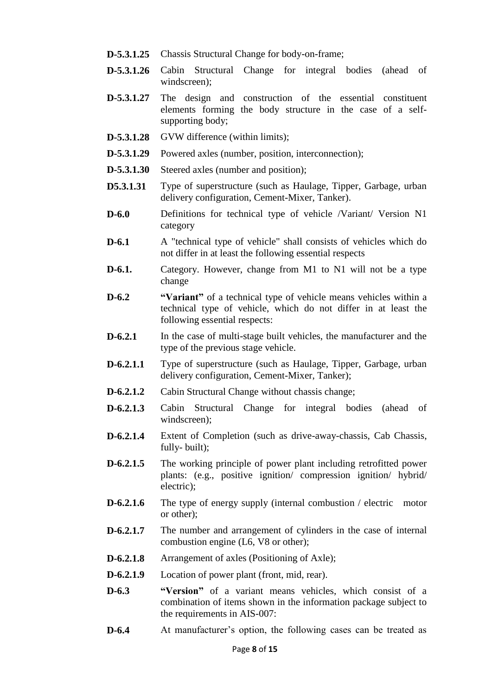- **D-5.3.1.25** Chassis Structural Change for body-on-frame;
- **D-5.3.1.26** Cabin Structural Change for integral bodies (ahead of windscreen);
- **D-5.3.1.27** The design and construction of the essential constituent elements forming the body structure in the case of a selfsupporting body;
- **D-5.3.1.28** GVW difference (within limits);
- **D-5.3.1.29** Powered axles (number, position, interconnection);
- **D-5.3.1.30** Steered axles (number and position);
- **D5.3.1.31** Type of superstructure (such as Haulage, Tipper, Garbage, urban delivery configuration, Cement-Mixer, Tanker).
- **D-6.0** Definitions for technical type of vehicle /Variant/ Version N1 category
- **D-6.1** A "technical type of vehicle" shall consists of vehicles which do not differ in at least the following essential respects
- **D-6.1.** Category. However, change from M1 to N1 will not be a type change
- **D-6.2 "Variant"** of a technical type of vehicle means vehicles within a technical type of vehicle, which do not differ in at least the following essential respects:
- **D-6.2.1** In the case of multi-stage built vehicles, the manufacturer and the type of the previous stage vehicle.
- **D-6.2.1.1** Type of superstructure (such as Haulage, Tipper, Garbage, urban delivery configuration, Cement-Mixer, Tanker);
- **D-6.2.1.2** Cabin Structural Change without chassis change;
- **D-6.2.1.3** Cabin Structural Change for integral bodies (ahead of windscreen);
- **D-6.2.1.4** Extent of Completion (such as drive-away-chassis, Cab Chassis, fully- built);
- **D-6.2.1.5** The working principle of power plant including retrofitted power plants: (e.g., positive ignition/ compression ignition/ hybrid/ electric);
- **D-6.2.1.6** The type of energy supply (internal combustion / electric motor or other);
- **D-6.2.1.7** The number and arrangement of cylinders in the case of internal combustion engine (L6, V8 or other);
- **D-6.2.1.8** Arrangement of axles (Positioning of Axle);
- **D-6.2.1.9** Location of power plant (front, mid, rear).
- **D-6.3 "Version"** of a variant means vehicles, which consist of a combination of items shown in the information package subject to the requirements in AIS-007:
- **D-6.4** At manufacturer's option, the following cases can be treated as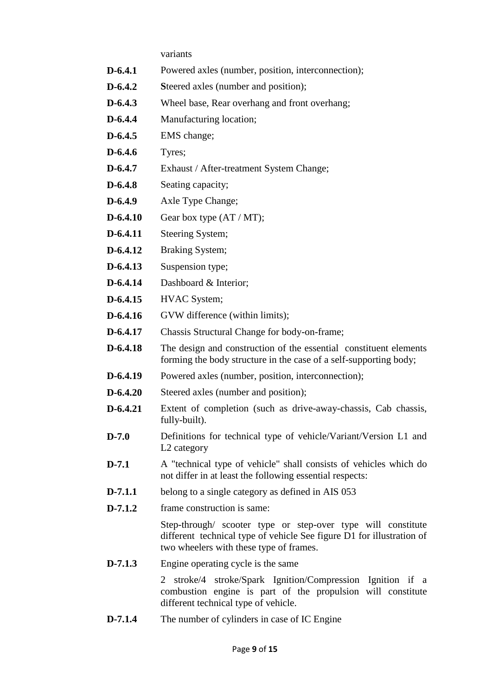variants

- **D-6.4.1** Powered axles (number, position, interconnection);
- **D-6.4.2 S**teered axles (number and position);
- **D-6.4.3** Wheel base, Rear overhang and front overhang;
- **D-6.4.4** Manufacturing location;
- **D-6.4.5** EMS change;
- **D-6.4.6** Tyres;
- **D-6.4.7** Exhaust / After-treatment System Change;
- **D-6.4.8** Seating capacity;
- **D-6.4.9** Axle Type Change;
- **D-6.4.10** Gear box type  $(AT/MT)$ ;
- **D-6.4.11** Steering System;
- **D-6.4.12** Braking System;
- **D-6.4.13** Suspension type;
- **D-6.4.14** Dashboard & Interior;
- **D-6.4.15** HVAC System;
- **D-6.4.16** GVW difference (within limits);
- **D-6.4.17** Chassis Structural Change for body-on-frame;
- **D-6.4.18** The design and construction of the essential constituent elements forming the body structure in the case of a self-supporting body;
- **D-6.4.19** Powered axles (number, position, interconnection);
- **D-6.4.20** Steered axles (number and position);
- **D-6.4.21** Extent of completion (such as drive-away-chassis, Cab chassis, fully-built).
- **D-7.0** Definitions for technical type of vehicle/Variant/Version L1 and L2 category
- **D-7.1** A "technical type of vehicle" shall consists of vehicles which do not differ in at least the following essential respects:
- **D-7.1.1** belong to a single category as defined in AIS 053
- **D-7.1.2** frame construction is same:

Step-through/ scooter type or step-over type will constitute different technical type of vehicle See figure D1 for illustration of two wheelers with these type of frames.

**D-7.1.3** Engine operating cycle is the same

2 stroke/4 stroke/Spark Ignition/Compression Ignition if a combustion engine is part of the propulsion will constitute different technical type of vehicle.

**D-7.1.4** The number of cylinders in case of IC Engine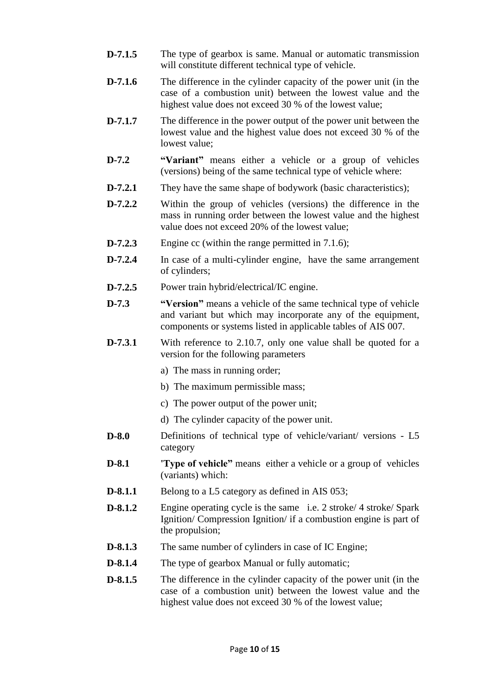- **D-7.1.5** The type of gearbox is same. Manual or automatic transmission will constitute different technical type of vehicle.
- **D-7.1.6** The difference in the cylinder capacity of the power unit (in the case of a combustion unit) between the lowest value and the highest value does not exceed 30 % of the lowest value;
- **D-7.1.7** The difference in the power output of the power unit between the lowest value and the highest value does not exceed 30 % of the lowest value;
- **D-7.2 "Variant"** means either a vehicle or a group of vehicles (versions) being of the same technical type of vehicle where:
- **D-7.2.1** They have the same shape of bodywork (basic characteristics);
- **D-7.2.2** Within the group of vehicles (versions) the difference in the mass in running order between the lowest value and the highest value does not exceed 20% of the lowest value;
- **D-7.2.3** Engine cc (within the range permitted in 7.1.6);
- **D-7.2.4** In case of a multi-cylinder engine, have the same arrangement of cylinders;
- **D-7.2.5** Power train hybrid/electrical/IC engine.
- **D-7.3 "Version"** means a vehicle of the same technical type of vehicle and variant but which may incorporate any of the equipment, components or systems listed in applicable tables of AIS 007.
- **D-7.3.1** With reference to 2.10.7, only one value shall be quoted for a version for the following parameters
	- a) The mass in running order;
	- b) The maximum permissible mass;
	- c) The power output of the power unit;
	- d) The cylinder capacity of the power unit.
- **D-8.0** Definitions of technical type of vehicle/variant/ versions L5 category
- **D-8.1 'Type of vehicle"** means either a vehicle or a group of vehicles (variants) which:
- **D-8.1.1** Belong to a L5 category as defined in AIS 053;
- **D-8.1.2** Engine operating cycle is the same i.e. 2 stroke/ 4 stroke/ Spark Ignition/ Compression Ignition/ if a combustion engine is part of the propulsion;
- **D-8.1.3** The same number of cylinders in case of IC Engine;
- **D-8.1.4** The type of gearbox Manual or fully automatic;
- **D-8.1.5** The difference in the cylinder capacity of the power unit (in the case of a combustion unit) between the lowest value and the highest value does not exceed 30 % of the lowest value;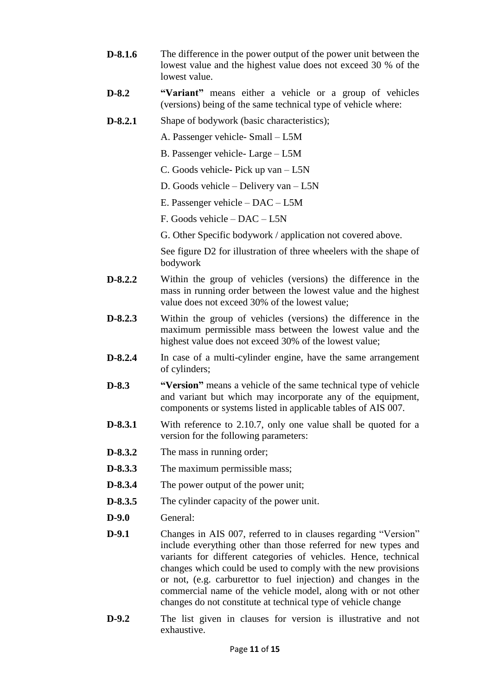- **D-8.1.6** The difference in the power output of the power unit between the lowest value and the highest value does not exceed 30 % of the lowest value.
- **D-8.2 "Variant"** means either a vehicle or a group of vehicles (versions) being of the same technical type of vehicle where:
- **D-8.2.1** Shape of bodywork (basic characteristics);

A. Passenger vehicle- Small – L5M

- B. Passenger vehicle- Large L5M
- C. Goods vehicle- Pick up van L5N
- D. Goods vehicle Delivery van L5N
- E. Passenger vehicle DAC L5M
- F. Goods vehicle DAC L5N
- G. Other Specific bodywork / application not covered above.

See figure D2 for illustration of three wheelers with the shape of bodywork

- **D-8.2.2** Within the group of vehicles (versions) the difference in the mass in running order between the lowest value and the highest value does not exceed 30% of the lowest value;
- **D-8.2.3** Within the group of vehicles (versions) the difference in the maximum permissible mass between the lowest value and the highest value does not exceed 30% of the lowest value;
- **D-8.2.4** In case of a multi-cylinder engine, have the same arrangement of cylinders;
- **D-8.3 "Version"** means a vehicle of the same technical type of vehicle and variant but which may incorporate any of the equipment, components or systems listed in applicable tables of AIS 007.
- **D-8.3.1** With reference to 2.10.7, only one value shall be quoted for a version for the following parameters:
- **D-8.3.2** The mass in running order;
- **D-8.3.3** The maximum permissible mass;
- **D-8.3.4** The power output of the power unit;
- **D-8.3.5** The cylinder capacity of the power unit.
- **D-9.0** General:
- **D-9.1** Changes in AIS 007, referred to in clauses regarding "Version" include everything other than those referred for new types and variants for different categories of vehicles. Hence, technical changes which could be used to comply with the new provisions or not, (e.g. carburettor to fuel injection) and changes in the commercial name of the vehicle model, along with or not other changes do not constitute at technical type of vehicle change
- **D-9.2** The list given in clauses for version is illustrative and not exhaustive.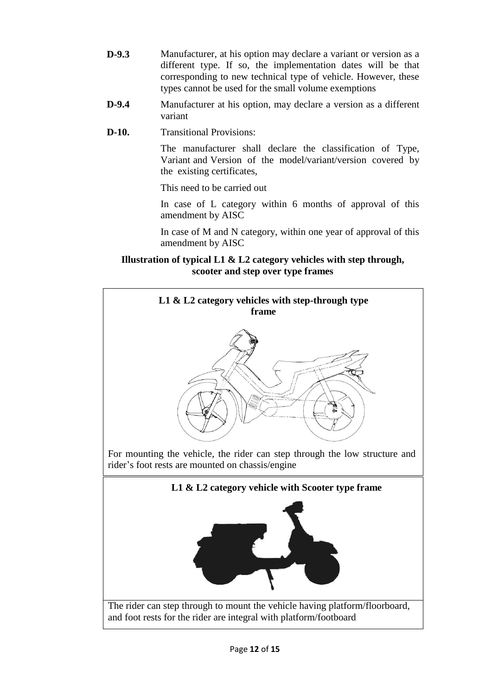- **D-9.3** Manufacturer, at his option may declare a variant or version as a different type. If so, the implementation dates will be that corresponding to new technical type of vehicle. However, these types cannot be used for the small volume exemptions
- **D-9.4** Manufacturer at his option, may declare a version as a different variant
- **D-10.** Transitional Provisions:

The manufacturer shall declare the classification of Type, Variant and Version of the model/variant/version covered by the existing certificates,

This need to be carried out

In case of L category within 6 months of approval of this amendment by AISC

In case of M and N category, within one year of approval of this amendment by AISC

# **Illustration of typical L1 & L2 category vehicles with step through, scooter and step over type frames**

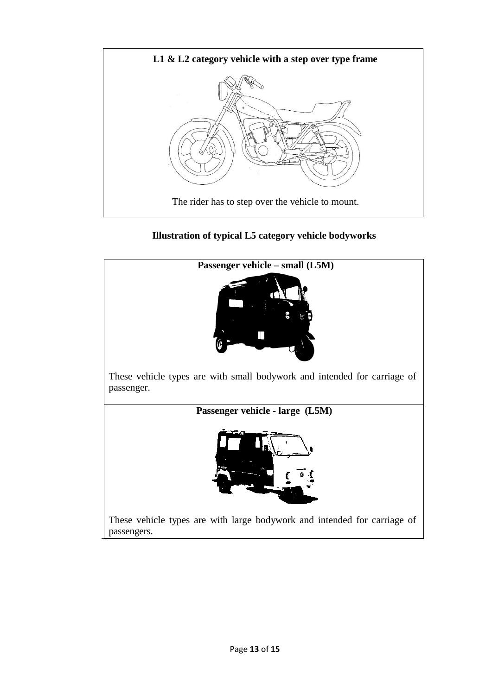

# **Illustration of typical L5 category vehicle bodyworks**

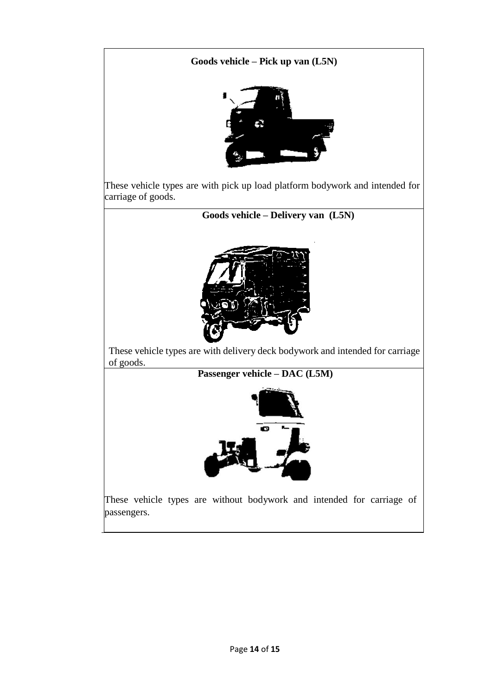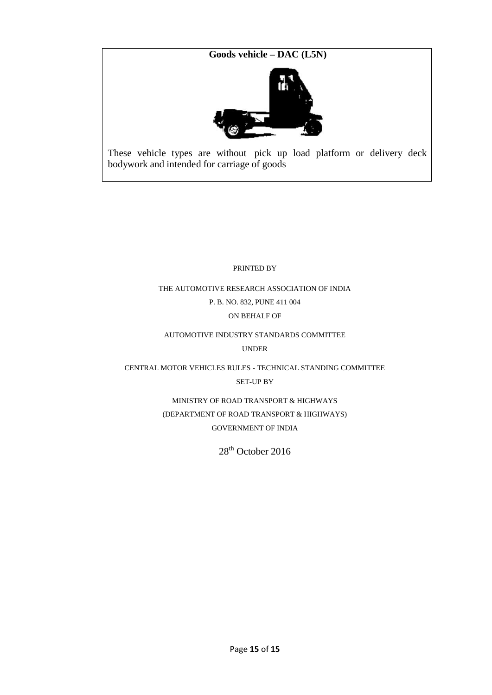**Goods vehicle – DAC (L5N)**



These vehicle types are without pick up load platform or delivery deck bodywork and intended for carriage of goods

PRINTED BY

THE AUTOMOTIVE RESEARCH ASSOCIATION OF INDIA P. B. NO. 832, PUNE 411 004 ON BEHALF OF

AUTOMOTIVE INDUSTRY STANDARDS COMMITTEE UNDER

CENTRAL MOTOR VEHICLES RULES - TECHNICAL STANDING COMMITTEE SET-UP BY

> MINISTRY OF ROAD TRANSPORT & HIGHWAYS (DEPARTMENT OF ROAD TRANSPORT & HIGHWAYS) GOVERNMENT OF INDIA

> > $28<sup>th</sup>$  October 2016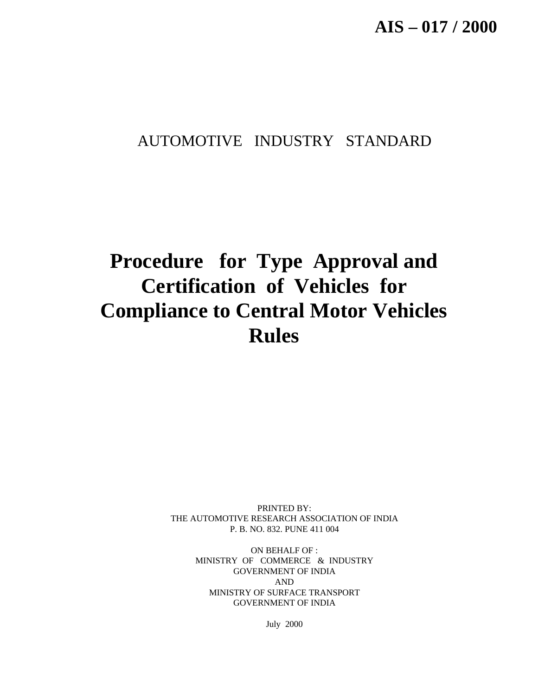# AUTOMOTIVE INDUSTRY STANDARD

# **Procedure for Type Approval and Certification of Vehicles for Compliance to Central Motor Vehicles Rules**

PRINTED BY: THE AUTOMOTIVE RESEARCH ASSOCIATION OF INDIA P. B. NO. 832. PUNE 411 004

> ON BEHALF OF : MINISTRY OF COMMERCE & INDUSTRY GOVERNMENT OF INDIA AND MINISTRY OF SURFACE TRANSPORT GOVERNMENT OF INDIA

> > July 2000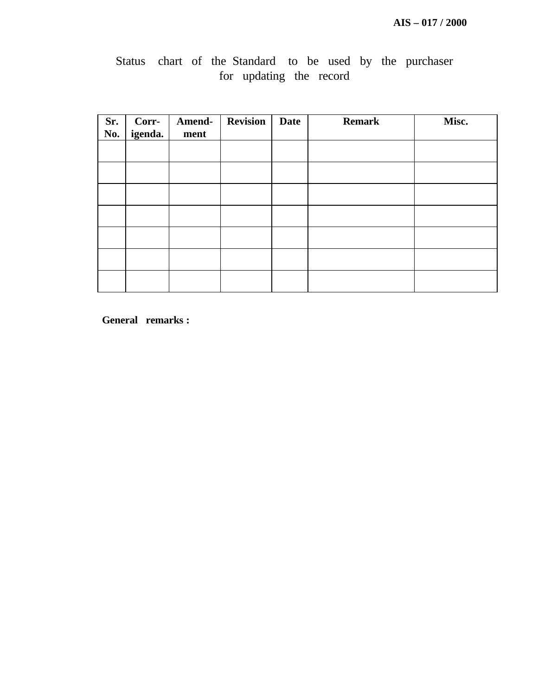| Sr.<br>No. | Corr-<br>igenda. | Amend-<br>ment | <b>Revision</b> | <b>Date</b> | <b>Remark</b> | Misc. |
|------------|------------------|----------------|-----------------|-------------|---------------|-------|
|            |                  |                |                 |             |               |       |
|            |                  |                |                 |             |               |       |
|            |                  |                |                 |             |               |       |
|            |                  |                |                 |             |               |       |
|            |                  |                |                 |             |               |       |
|            |                  |                |                 |             |               |       |
|            |                  |                |                 |             |               |       |

# Status chart of the Standard to be used by the purchaser for updating the record

**General remarks :**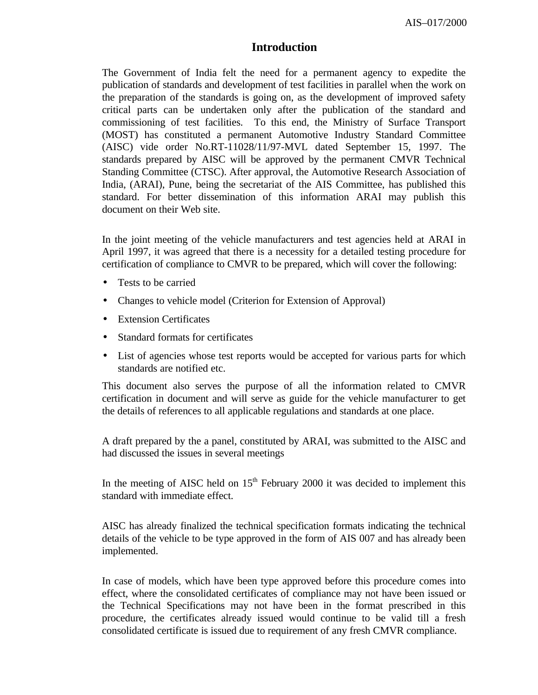# **Introduction**

The Government of India felt the need for a permanent agency to expedite the publication of standards and development of test facilities in parallel when the work on the preparation of the standards is going on, as the development of improved safety critical parts can be undertaken only after the publication of the standard and commissioning of test facilities. To this end, the Ministry of Surface Transport (MOST) has constituted a permanent Automotive Industry Standard Committee (AISC) vide order No.RT-11028/11/97-MVL dated September 15, 1997. The standards prepared by AISC will be approved by the permanent CMVR Technical Standing Committee (CTSC). After approval, the Automotive Research Association of India, (ARAI), Pune, being the secretariat of the AIS Committee, has published this standard. For better dissemination of this information ARAI may publish this document on their Web site.

In the joint meeting of the vehicle manufacturers and test agencies held at ARAI in April 1997, it was agreed that there is a necessity for a detailed testing procedure for certification of compliance to CMVR to be prepared, which will cover the following:

- Tests to be carried
- Changes to vehicle model (Criterion for Extension of Approval)
- Extension Certificates
- Standard formats for certificates
- List of agencies whose test reports would be accepted for various parts for which standards are notified etc.

This document also serves the purpose of all the information related to CMVR certification in document and will serve as guide for the vehicle manufacturer to get the details of references to all applicable regulations and standards at one place.

A draft prepared by the a panel, constituted by ARAI, was submitted to the AISC and had discussed the issues in several meetings

In the meeting of AISC held on  $15<sup>th</sup>$  February 2000 it was decided to implement this standard with immediate effect.

AISC has already finalized the technical specification formats indicating the technical details of the vehicle to be type approved in the form of AIS 007 and has already been implemented.

In case of models, which have been type approved before this procedure comes into effect, where the consolidated certificates of compliance may not have been issued or the Technical Specifications may not have been in the format prescribed in this procedure, the certificates already issued would continue to be valid till a fresh consolidated certificate is issued due to requirement of any fresh CMVR compliance.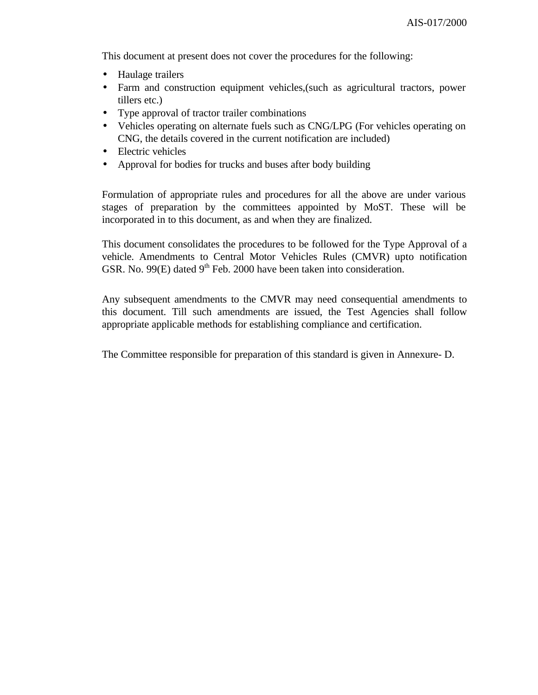This document at present does not cover the procedures for the following:

- Haulage trailers
- Farm and construction equipment vehicles,(such as agricultural tractors, power tillers etc.)
- Type approval of tractor trailer combinations
- Vehicles operating on alternate fuels such as CNG/LPG (For vehicles operating on CNG, the details covered in the current notification are included)
- Electric vehicles
- Approval for bodies for trucks and buses after body building

Formulation of appropriate rules and procedures for all the above are under various stages of preparation by the committees appointed by MoST. These will be incorporated in to this document, as and when they are finalized.

This document consolidates the procedures to be followed for the Type Approval of a vehicle. Amendments to Central Motor Vehicles Rules (CMVR) upto notification GSR. No. 99 $(E)$  dated 9<sup>th</sup> Feb. 2000 have been taken into consideration.

Any subsequent amendments to the CMVR may need consequential amendments to this document. Till such amendments are issued, the Test Agencies shall follow appropriate applicable methods for establishing compliance and certification.

The Committee responsible for preparation of this standard is given in Annexure- D.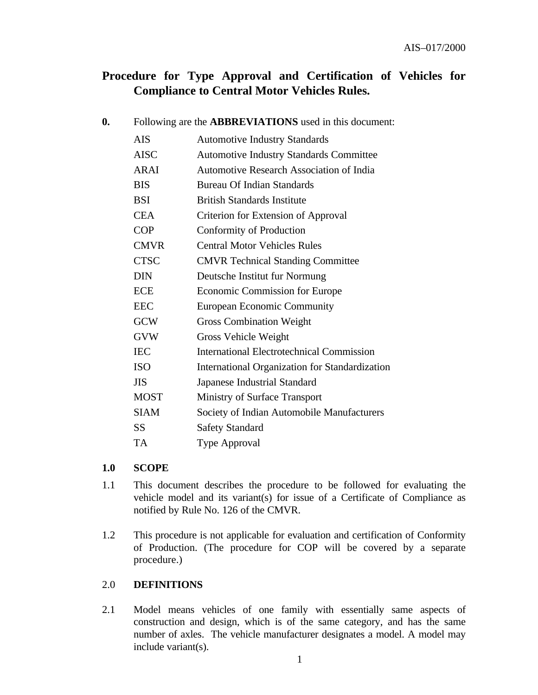# **Procedure for Type Approval and Certification of Vehicles for Compliance to Central Motor Vehicles Rules.**

| $\boldsymbol{0}$ .         |             | Following are the <b>ABBREVIATIONS</b> used in this document: |  |  |  |  |  |
|----------------------------|-------------|---------------------------------------------------------------|--|--|--|--|--|
|                            | <b>AIS</b>  | <b>Automotive Industry Standards</b>                          |  |  |  |  |  |
| <b>AISC</b><br><b>ARAI</b> |             | <b>Automotive Industry Standards Committee</b>                |  |  |  |  |  |
|                            |             | <b>Automotive Research Association of India</b>               |  |  |  |  |  |
|                            | <b>BIS</b>  | <b>Bureau Of Indian Standards</b>                             |  |  |  |  |  |
|                            | <b>BSI</b>  | <b>British Standards Institute</b>                            |  |  |  |  |  |
| <b>CEA</b><br><b>COP</b>   |             | Criterion for Extension of Approval                           |  |  |  |  |  |
|                            |             | Conformity of Production                                      |  |  |  |  |  |
|                            | <b>CMVR</b> | <b>Central Motor Vehicles Rules</b>                           |  |  |  |  |  |
|                            | <b>CTSC</b> | <b>CMVR</b> Technical Standing Committee                      |  |  |  |  |  |
|                            | <b>DIN</b>  | Deutsche Institut fur Normung                                 |  |  |  |  |  |
|                            | <b>ECE</b>  | Economic Commission for Europe                                |  |  |  |  |  |
|                            | <b>EEC</b>  | <b>European Economic Community</b>                            |  |  |  |  |  |
|                            | <b>GCW</b>  | <b>Gross Combination Weight</b>                               |  |  |  |  |  |
|                            | <b>GVW</b>  | Gross Vehicle Weight                                          |  |  |  |  |  |
|                            | <b>IEC</b>  | <b>International Electrotechnical Commission</b>              |  |  |  |  |  |
|                            | <b>ISO</b>  | International Organization for Standardization                |  |  |  |  |  |
|                            | <b>JIS</b>  | Japanese Industrial Standard                                  |  |  |  |  |  |
|                            | <b>MOST</b> | Ministry of Surface Transport                                 |  |  |  |  |  |
|                            | <b>SIAM</b> | Society of Indian Automobile Manufacturers                    |  |  |  |  |  |
|                            | <b>SS</b>   | <b>Safety Standard</b>                                        |  |  |  |  |  |
|                            | TA          | <b>Type Approval</b>                                          |  |  |  |  |  |

# **1.0 SCOPE**

- 1.1 This document describes the procedure to be followed for evaluating the vehicle model and its variant(s) for issue of a Certificate of Compliance as notified by Rule No. 126 of the CMVR.
- 1.2 This procedure is not applicable for evaluation and certification of Conformity of Production. (The procedure for COP will be covered by a separate procedure.)

#### 2.0 **DEFINITIONS**

2.1 Model means vehicles of one family with essentially same aspects of construction and design, which is of the same category, and has the same number of axles. The vehicle manufacturer designates a model. A model may include variant(s).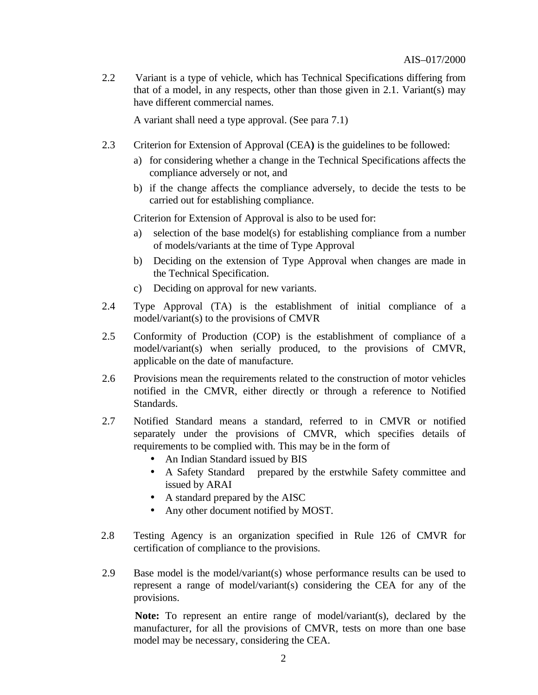2.2 Variant is a type of vehicle, which has Technical Specifications differing from that of a model, in any respects, other than those given in 2.1. Variant(s) may have different commercial names.

A variant shall need a type approval. (See para 7.1)

- 2.3 Criterion for Extension of Approval (CEA**)** is the guidelines to be followed:
	- a) for considering whether a change in the Technical Specifications affects the compliance adversely or not, and
	- b) if the change affects the compliance adversely, to decide the tests to be carried out for establishing compliance.

Criterion for Extension of Approval is also to be used for:

- selection of the base model(s) for establishing compliance from a number of models/variants at the time of Type Approval
- b) Deciding on the extension of Type Approval when changes are made in the Technical Specification.
- c) Deciding on approval for new variants.
- 2.4 Type Approval (TA) is the establishment of initial compliance of a model/variant(s) to the provisions of CMVR
- 2.5 Conformity of Production (COP) is the establishment of compliance of a model/variant(s) when serially produced, to the provisions of CMVR, applicable on the date of manufacture.
- 2.6 Provisions mean the requirements related to the construction of motor vehicles notified in the CMVR, either directly or through a reference to Notified Standards.
- 2.7 Notified Standard means a standard, referred to in CMVR or notified separately under the provisions of CMVR, which specifies details of requirements to be complied with. This may be in the form of
	- An Indian Standard issued by BIS
	- A Safety Standard prepared by the erstwhile Safety committee and issued by ARAI
	- A standard prepared by the AISC
	- Any other document notified by MOST.
- 2.8 Testing Agency is an organization specified in Rule 126 of CMVR for certification of compliance to the provisions.
- 2.9 Base model is the model/variant(s) whose performance results can be used to represent a range of model/variant(s) considering the CEA for any of the provisions.

 **Note:** To represent an entire range of model/variant(s), declared by the manufacturer, for all the provisions of CMVR, tests on more than one base model may be necessary, considering the CEA.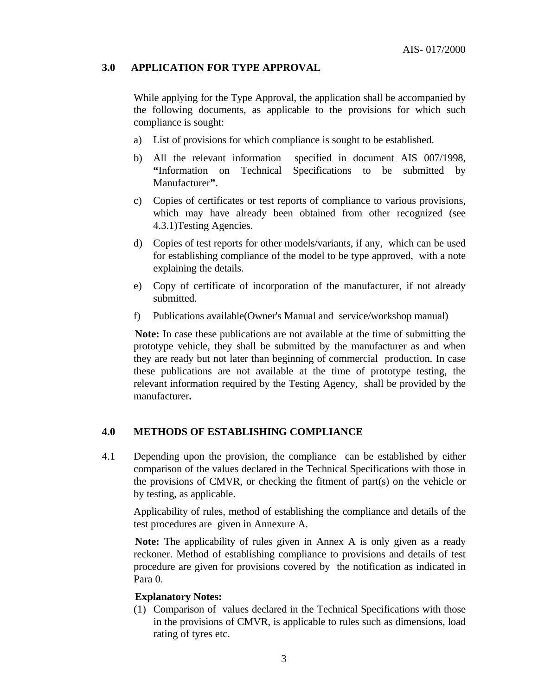# **3.0 APPLICATION FOR TYPE APPROVAL**

While applying for the Type Approval, the application shall be accompanied by the following documents, as applicable to the provisions for which such compliance is sought:

- a) List of provisions for which compliance is sought to be established.
- b) All the relevant information specified in document AIS 007/1998, **"**Information on Technical Specifications to be submitted by Manufacturer**"**.
- c) Copies of certificates or test reports of compliance to various provisions, which may have already been obtained from other recognized (see 4.3.1)Testing Agencies.
- d) Copies of test reports for other models/variants, if any, which can be used for establishing compliance of the model to be type approved, with a note explaining the details.
- e) Copy of certificate of incorporation of the manufacturer, if not already submitted.
- f) Publications available(Owner's Manual and service/workshop manual)

 **Note:** In case these publications are not available at the time of submitting the prototype vehicle, they shall be submitted by the manufacturer as and when they are ready but not later than beginning of commercial production. In case these publications are not available at the time of prototype testing, the relevant information required by the Testing Agency, shall be provided by the manufacturer**.**

#### **4.0 METHODS OF ESTABLISHING COMPLIANCE**

4.1 Depending upon the provision, the compliance can be established by either comparison of the values declared in the Technical Specifications with those in the provisions of CMVR, or checking the fitment of part $(s)$  on the vehicle or by testing, as applicable.

Applicability of rules, method of establishing the compliance and details of the test procedures are given in Annexure A.

 **Note:** The applicability of rules given in Annex A is only given as a ready reckoner. Method of establishing compliance to provisions and details of test procedure are given for provisions covered by the notification as indicated in Para 0.

#### **Explanatory Notes:**

(1) Comparison of values declared in the Technical Specifications with those in the provisions of CMVR, is applicable to rules such as dimensions, load rating of tyres etc.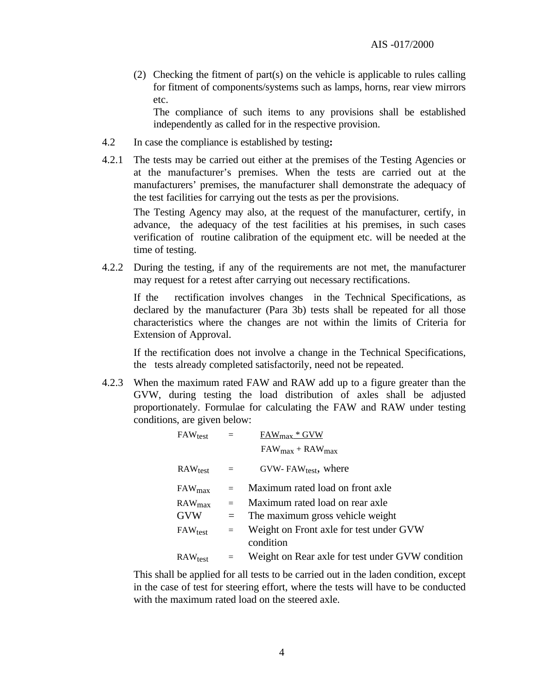(2) Checking the fitment of part(s) on the vehicle is applicable to rules calling for fitment of components/systems such as lamps, horns, rear view mirrors etc.

The compliance of such items to any provisions shall be established independently as called for in the respective provision.

- 4.2 In case the compliance is established by testing**:**
- 4.2.1 The tests may be carried out either at the premises of the Testing Agencies or at the manufacturer's premises. When the tests are carried out at the manufacturers' premises, the manufacturer shall demonstrate the adequacy of the test facilities for carrying out the tests as per the provisions.

The Testing Agency may also, at the request of the manufacturer, certify, in advance, the adequacy of the test facilities at his premises, in such cases verification of routine calibration of the equipment etc. will be needed at the time of testing.

4.2.2 During the testing, if any of the requirements are not met, the manufacturer may request for a retest after carrying out necessary rectifications.

If the rectification involves changes in the Technical Specifications, as declared by the manufacturer (Para 3b) tests shall be repeated for all those characteristics where the changes are not within the limits of Criteria for Extension of Approval.

If the rectification does not involve a change in the Technical Specifications, the tests already completed satisfactorily, need not be repeated.

4.2.3 When the maximum rated FAW and RAW add up to a figure greater than the GVW, during testing the load distribution of axles shall be adjusted proportionately. Formulae for calculating the FAW and RAW under testing conditions, are given below:

| $FAW_{test}$ = |         | $FAW_{max} * GVW$                                    |
|----------------|---------|------------------------------------------------------|
|                |         | $FAW_{max} + RAW_{max}$                              |
| $RAW_{test}$   | $=$ $-$ | GVW-FAW $_{test}$ , where                            |
| $FAW_{max}$    | $=$     | Maximum rated load on front axle                     |
| $RAW_{max}$    | $=$     | Maximum rated load on rear axle                      |
| <b>GVW</b>     | $=$     | The maximum gross vehicle weight                     |
| $FAW_{test}$   | $=$     | Weight on Front axle for test under GVW<br>condition |
|                |         |                                                      |
| $RAW_{test}$   | $=$     | Weight on Rear axle for test under GVW condition     |
|                |         |                                                      |

This shall be applied for all tests to be carried out in the laden condition, except in the case of test for steering effort, where the tests will have to be conducted with the maximum rated load on the steered axle.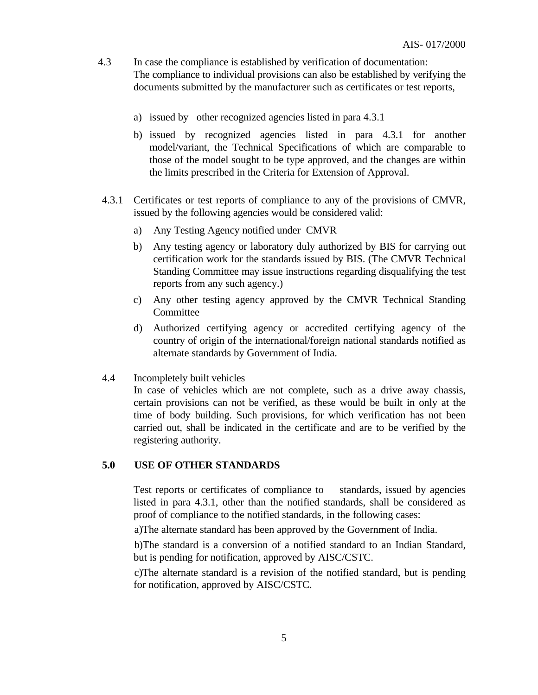- 4.3 In case the compliance is established by verification of documentation: The compliance to individual provisions can also be established by verifying the documents submitted by the manufacturer such as certificates or test reports,
	- a) issued by other recognized agencies listed in para 4.3.1
	- b) issued by recognized agencies listed in para 4.3.1 for another model/variant, the Technical Specifications of which are comparable to those of the model sought to be type approved, and the changes are within the limits prescribed in the Criteria for Extension of Approval.
- 4.3.1 Certificates or test reports of compliance to any of the provisions of CMVR, issued by the following agencies would be considered valid:
	- a) Any Testing Agency notified under CMVR
	- b) Any testing agency or laboratory duly authorized by BIS for carrying out certification work for the standards issued by BIS. (The CMVR Technical Standing Committee may issue instructions regarding disqualifying the test reports from any such agency.)
	- c) Any other testing agency approved by the CMVR Technical Standing Committee
	- d) Authorized certifying agency or accredited certifying agency of the country of origin of the international/foreign national standards notified as alternate standards by Government of India.
- 4.4Incompletely built vehicles

In case of vehicles which are not complete, such as a drive away chassis, certain provisions can not be verified, as these would be built in only at the time of body building. Such provisions, for which verification has not been carried out, shall be indicated in the certificate and are to be verified by the registering authority.

#### **5.0 USE OF OTHER STANDARDS**

Test reports or certificates of compliance to standards, issued by agencies listed in para 4.3.1, other than the notified standards, shall be considered as proof of compliance to the notified standards, in the following cases:

a)The alternate standard has been approved by the Government of India.

 b)The standard is a conversion of a notified standard to an Indian Standard, but is pending for notification, approved by AISC/CSTC.

 c)The alternate standard is a revision of the notified standard, but is pending for notification, approved by AISC/CSTC.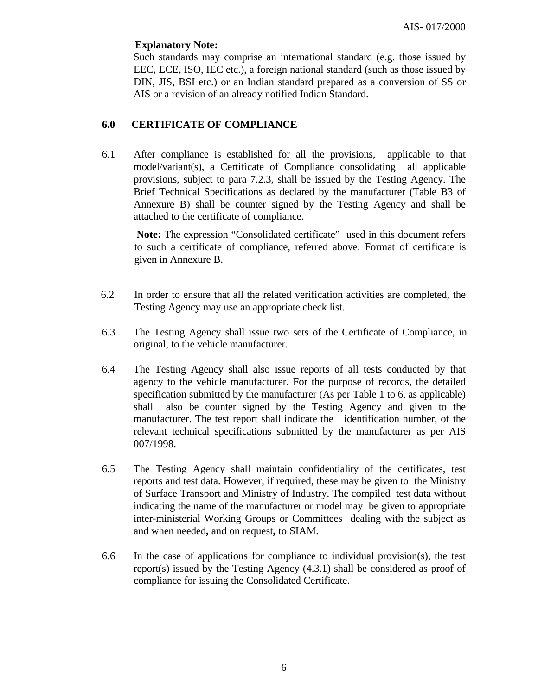#### **Explanatory Note:**

Such standards may comprise an international standard (e.g. those issued by EEC, ECE, ISO, IEC etc.), a foreign national standard (such as those issued by DIN, JIS, BSI etc.) or an Indian standard prepared as a conversion of SS or AIS or a revision of an already notified Indian Standard.

# **6.0 CERTIFICATE OF COMPLIANCE**

6.1 After compliance is established for all the provisions, applicable to that model/variant(s), a Certificate of Compliance consolidating all applicable provisions, subject to para 7.2.3, shall be issued by the Testing Agency. The Brief Technical Specifications as declared by the manufacturer (Table B3 of Annexure B) shall be counter signed by the Testing Agency and shall be attached to the certificate of compliance.

 **Note:** The expression "Consolidated certificate" used in this document refers to such a certificate of compliance, referred above. Format of certificate is given in Annexure B.

- 6.2In order to ensure that all the related verification activities are completed, the Testing Agency may use an appropriate check list.
- 6.3 The Testing Agency shall issue two sets of the Certificate of Compliance, in original, to the vehicle manufacturer.
- 6.4 The Testing Agency shall also issue reports of all tests conducted by that agency to the vehicle manufacturer. For the purpose of records, the detailed specification submitted by the manufacturer (As per Table 1 to 6, as applicable) shall also be counter signed by the Testing Agency and given to the manufacturer. The test report shall indicate the identification number, of the relevant technical specifications submitted by the manufacturer as per AIS 007/1998.
- 6.5 The Testing Agency shall maintain confidentiality of the certificates, test reports and test data. However, if required, these may be given to the Ministry of Surface Transport and Ministry of Industry. The compiled test data without indicating the name of the manufacturer or model may be given to appropriate inter-ministerial Working Groups or Committees dealing with the subject as and when needed**,** and on request**,** to SIAM.
- 6.6 In the case of applications for compliance to individual provision(s), the test report(s) issued by the Testing Agency (4.3.1) shall be considered as proof of compliance for issuing the Consolidated Certificate.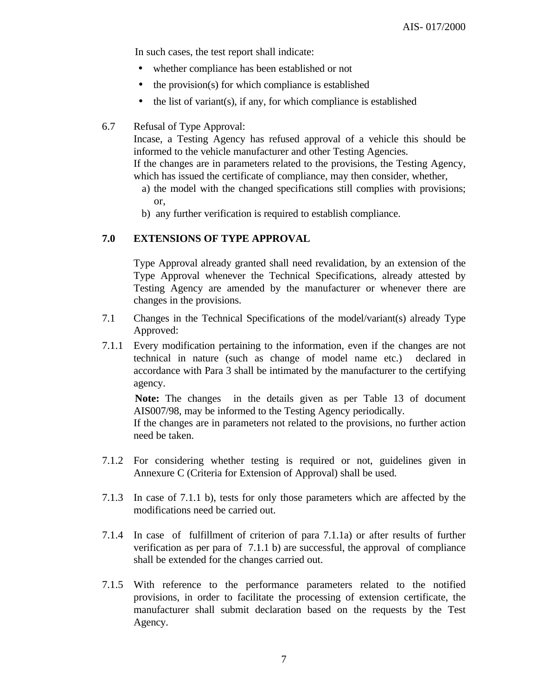In such cases, the test report shall indicate:

- whether compliance has been established or not
- the provision(s) for which compliance is established
- the list of variant(s), if any, for which compliance is established

#### 6.7 Refusal of Type Approval:

Incase, a Testing Agency has refused approval of a vehicle this should be informed to the vehicle manufacturer and other Testing Agencies. If the changes are in parameters related to the provisions, the Testing Agency,

- which has issued the certificate of compliance, may then consider, whether,
	- a) the model with the changed specifications still complies with provisions; or,
	- b) any further verification is required to establish compliance.

#### **7.0 EXTENSIONS OF TYPE APPROVAL**

Type Approval already granted shall need revalidation, by an extension of the Type Approval whenever the Technical Specifications, already attested by Testing Agency are amended by the manufacturer or whenever there are changes in the provisions.

- 7.1 Changes in the Technical Specifications of the model/variant(s) already Type Approved:
- 7.1.1 Every modification pertaining to the information, even if the changes are not technical in nature (such as change of model name etc.) declared in accordance with Para 3 shall be intimated by the manufacturer to the certifying agency.

 **Note:** The changes in the details given as per Table 13 of document AIS007/98, may be informed to the Testing Agency periodically.

If the changes are in parameters not related to the provisions, no further action need be taken.

- 7.1.2 For considering whether testing is required or not, guidelines given in Annexure C (Criteria for Extension of Approval) shall be used.
- 7.1.3 In case of 7.1.1 b), tests for only those parameters which are affected by the modifications need be carried out.
- 7.1.4 In case of fulfillment of criterion of para 7.1.1a) or after results of further verification as per para of 7.1.1 b) are successful, the approval of compliance shall be extended for the changes carried out.
- 7.1.5 With reference to the performance parameters related to the notified provisions, in order to facilitate the processing of extension certificate, the manufacturer shall submit declaration based on the requests by the Test Agency.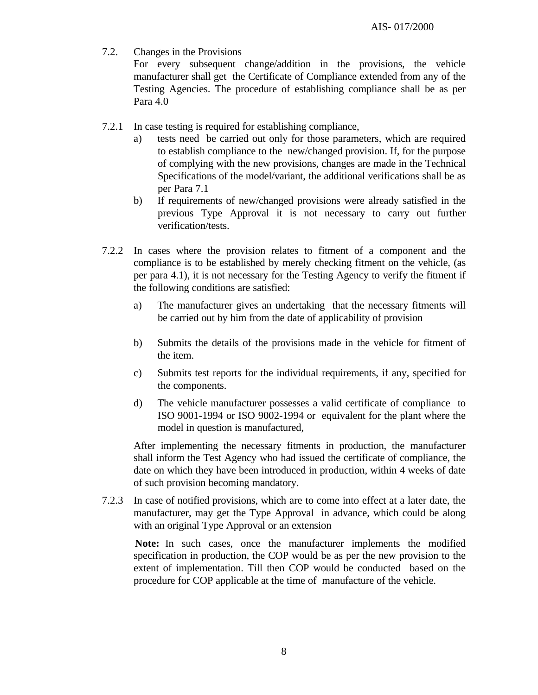7.2. Changes in the Provisions

For every subsequent change/addition in the provisions, the vehicle manufacturer shall get the Certificate of Compliance extended from any of the Testing Agencies. The procedure of establishing compliance shall be as per Para 4.0

- 7.2.1 In case testing is required for establishing compliance,
	- a) tests need be carried out only for those parameters, which are required to establish compliance to the new/changed provision. If, for the purpose of complying with the new provisions, changes are made in the Technical Specifications of the model/variant, the additional verifications shall be as per Para 7.1
	- b) If requirements of new/changed provisions were already satisfied in the previous Type Approval it is not necessary to carry out further verification/tests.
- 7.2.2 In cases where the provision relates to fitment of a component and the compliance is to be established by merely checking fitment on the vehicle, (as per para 4.1), it is not necessary for the Testing Agency to verify the fitment if the following conditions are satisfied:
	- a) The manufacturer gives an undertaking that the necessary fitments will be carried out by him from the date of applicability of provision
	- b) Submits the details of the provisions made in the vehicle for fitment of the item.
	- c) Submits test reports for the individual requirements, if any, specified for the components.
	- d) The vehicle manufacturer possesses a valid certificate of compliance to ISO 9001-1994 or ISO 9002-1994 or equivalent for the plant where the model in question is manufactured,

After implementing the necessary fitments in production, the manufacturer shall inform the Test Agency who had issued the certificate of compliance, the date on which they have been introduced in production, within 4 weeks of date of such provision becoming mandatory.

7.2.3 In case of notified provisions, which are to come into effect at a later date, the manufacturer, may get the Type Approval in advance, which could be along with an original Type Approval or an extension

 **Note:** In such cases, once the manufacturer implements the modified specification in production, the COP would be as per the new provision to the extent of implementation. Till then COP would be conducted based on the procedure for COP applicable at the time of manufacture of the vehicle.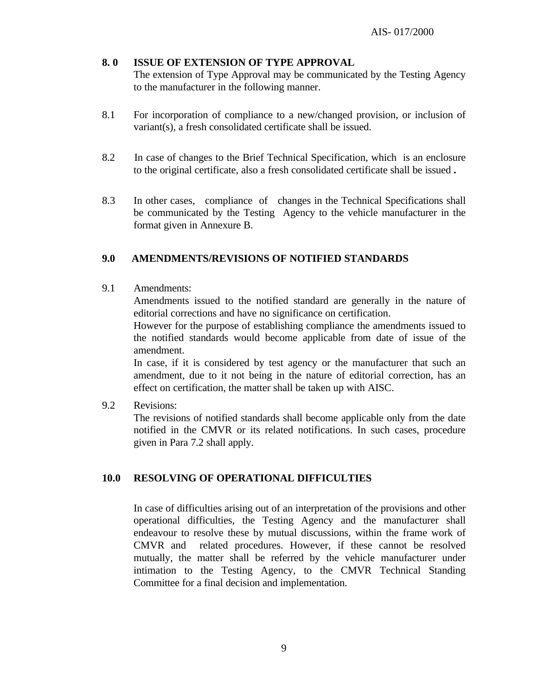# **8. 0 ISSUE OF EXTENSION OF TYPE APPROVAL**

The extension of Type Approval may be communicated by the Testing Agency to the manufacturer in the following manner.

- 8.1 For incorporation of compliance to a new/changed provision, or inclusion of variant(s), a fresh consolidated certificate shall be issued.
- 8.2 In case of changes to the Brief Technical Specification, which is an enclosure to the original certificate, also a fresh consolidated certificate shall be issued **.**
- 8.3 In other cases, compliance of changes in the Technical Specifications shall be communicated by the Testing Agency to the vehicle manufacturer in the format given in Annexure B.

# **9.0 AMENDMENTS/REVISIONS OF NOTIFIED STANDARDS**

9.1 Amendments:

Amendments issued to the notified standard are generally in the nature of editorial corrections and have no significance on certification.

However for the purpose of establishing compliance the amendments issued to the notified standards would become applicable from date of issue of the amendment.

In case, if it is considered by test agency or the manufacturer that such an amendment, due to it not being in the nature of editorial correction, has an effect on certification, the matter shall be taken up with AISC.

9.2 Revisions:

The revisions of notified standards shall become applicable only from the date notified in the CMVR or its related notifications. In such cases, procedure given in Para 7.2 shall apply.

# **10.0 RESOLVING OF OPERATIONAL DIFFICULTIES**

In case of difficulties arising out of an interpretation of the provisions and other operational difficulties, the Testing Agency and the manufacturer shall endeavour to resolve these by mutual discussions, within the frame work of CMVR and related procedures. However, if these cannot be resolved mutually, the matter shall be referred by the vehicle manufacturer under intimation to the Testing Agency, to the CMVR Technical Standing Committee for a final decision and implementation.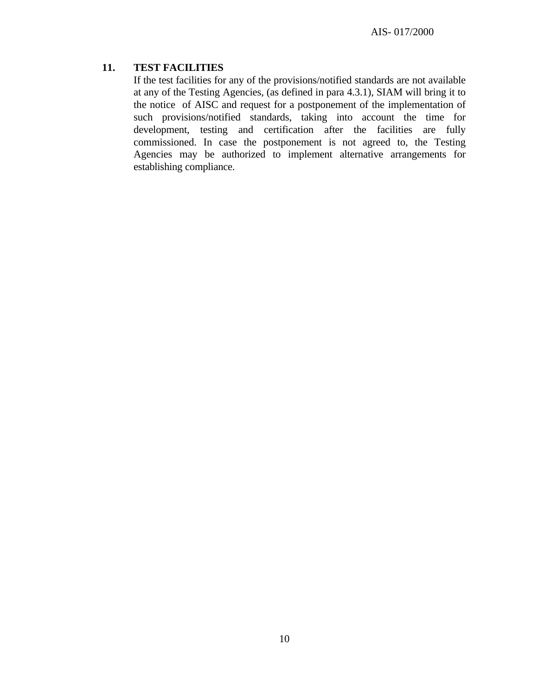# **11. TEST FACILITIES**

If the test facilities for any of the provisions/notified standards are not available at any of the Testing Agencies, (as defined in para 4.3.1), SIAM will bring it to the notice of AISC and request for a postponement of the implementation of such provisions/notified standards, taking into account the time for development, testing and certification after the facilities are fully commissioned. In case the postponement is not agreed to, the Testing Agencies may be authorized to implement alternative arrangements for establishing compliance.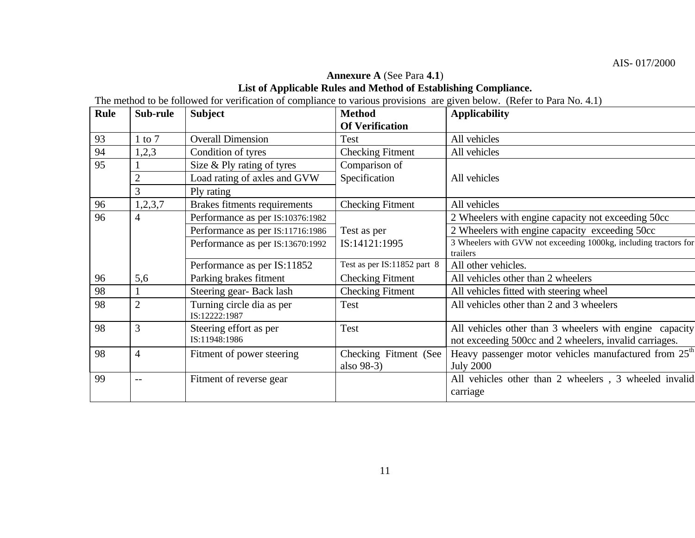# **Annexure A** (See Para **4.1**) **List of Applicable Rules and Method of Establishing Compliance.**

The method to be followed for verification of compliance to various provisions are given below. (Refer to Para No. 4.1)

| <b>Rule</b> | Sub-rule       | <b>Subject</b>                             | <b>Method</b>               | <b>Applicability</b>                                              |
|-------------|----------------|--------------------------------------------|-----------------------------|-------------------------------------------------------------------|
|             |                |                                            | <b>Of Verification</b>      |                                                                   |
| 93          | $1$ to $7$     | <b>Overall Dimension</b>                   | Test                        | All vehicles                                                      |
| 94          | 1,2,3          | Condition of tyres                         | <b>Checking Fitment</b>     | All vehicles                                                      |
| 95          |                | Size $&$ Ply rating of tyres               | Comparison of               |                                                                   |
|             | $\overline{c}$ | Load rating of axles and GVW               | Specification               | All vehicles                                                      |
|             | 3              | Ply rating                                 |                             |                                                                   |
| 96          | 1,2,3,7        | Brakes fitments requirements               | <b>Checking Fitment</b>     | All vehicles                                                      |
| 96          | 4              | Performance as per IS:10376:1982           |                             | 2 Wheelers with engine capacity not exceeding 50cc                |
|             |                | Performance as per IS:11716:1986           | Test as per                 | 2 Wheelers with engine capacity exceeding 50cc                    |
|             |                | Performance as per IS:13670:1992           | IS:14121:1995               | 3 Wheelers with GVW not exceeding 1000kg, including tractors for  |
|             |                |                                            |                             | trailers                                                          |
|             |                | Performance as per IS:11852                | Test as per IS:11852 part 8 | All other vehicles.                                               |
| 96          | 5,6            | Parking brakes fitment                     | <b>Checking Fitment</b>     | All vehicles other than 2 wheelers                                |
| 98          |                | Steering gear-Back lash                    | <b>Checking Fitment</b>     | All vehicles fitted with steering wheel                           |
| 98          | $\overline{2}$ | Turning circle dia as per<br>IS:12222:1987 | Test                        | All vehicles other than 2 and 3 wheelers                          |
| 98          | 3              | Steering effort as per                     | Test                        | All vehicles other than 3 wheelers with engine capacity           |
|             |                | IS:11948:1986                              |                             | not exceeding 500cc and 2 wheelers, invalid carriages.            |
| 98          | 4              | Fitment of power steering                  | Checking Fitment (See       | Heavy passenger motor vehicles manufactured from 25 <sup>th</sup> |
|             |                |                                            | also 98-3)                  | <b>July 2000</b>                                                  |
| 99          | --             | Fitment of reverse gear                    |                             | All vehicles other than 2 wheelers, 3 wheeled invalid             |
|             |                |                                            |                             | carriage                                                          |
|             |                |                                            |                             |                                                                   |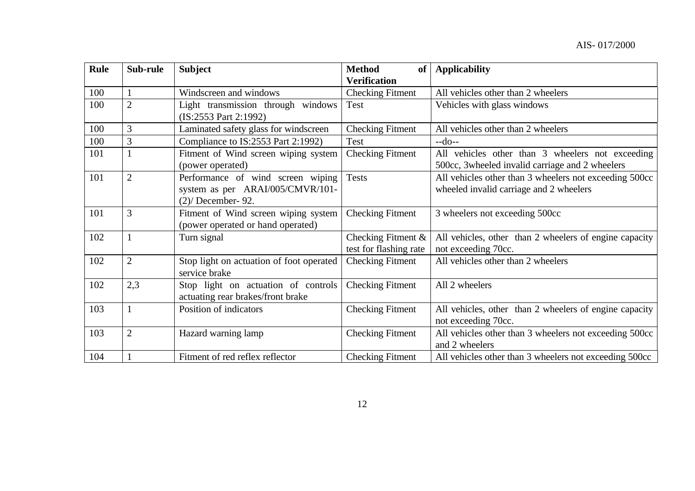| <b>Rule</b> | Sub-rule       | <b>Subject</b>                                                                               | <b>Method</b><br>of                             | <b>Applicability</b>                                                                                |
|-------------|----------------|----------------------------------------------------------------------------------------------|-------------------------------------------------|-----------------------------------------------------------------------------------------------------|
|             |                |                                                                                              | <b>Verification</b>                             |                                                                                                     |
| 100         |                | Windscreen and windows                                                                       | <b>Checking Fitment</b>                         | All vehicles other than 2 wheelers                                                                  |
| 100         | $\overline{2}$ | Light transmission through windows<br>(IS:2553 Part 2:1992)                                  | Test                                            | Vehicles with glass windows                                                                         |
| 100         | 3              | Laminated safety glass for windscreen                                                        | <b>Checking Fitment</b>                         | All vehicles other than 2 wheelers                                                                  |
| 100         | 3              | Compliance to IS:2553 Part 2:1992)                                                           | Test                                            | $-do-$                                                                                              |
| 101         |                | Fitment of Wind screen wiping system<br>(power operated)                                     | <b>Checking Fitment</b>                         | All vehicles other than 3 wheelers not exceeding<br>500cc, 3wheeled invalid carriage and 2 wheelers |
| 101         | $\overline{2}$ | Performance of wind screen wiping<br>system as per ARAI/005/CMVR/101-<br>$(2)$ December- 92. | <b>Tests</b>                                    | All vehicles other than 3 wheelers not exceeding 500cc<br>wheeled invalid carriage and 2 wheelers   |
| 101         | 3              | Fitment of Wind screen wiping system<br>(power operated or hand operated)                    | <b>Checking Fitment</b>                         | 3 wheelers not exceeding 500cc                                                                      |
| 102         |                | Turn signal                                                                                  | Checking Fitment $\&$<br>test for flashing rate | All vehicles, other than 2 wheelers of engine capacity<br>not exceeding 70cc.                       |
| 102         | $\overline{2}$ | Stop light on actuation of foot operated<br>service brake                                    | <b>Checking Fitment</b>                         | All vehicles other than 2 wheelers                                                                  |
| 102         | 2,3            | Stop light on actuation of controls<br>actuating rear brakes/front brake                     | <b>Checking Fitment</b>                         | All 2 wheelers                                                                                      |
| 103         |                | Position of indicators                                                                       | <b>Checking Fitment</b>                         | All vehicles, other than 2 wheelers of engine capacity<br>not exceeding 70cc.                       |
| 103         | $\overline{2}$ | Hazard warning lamp                                                                          | <b>Checking Fitment</b>                         | All vehicles other than 3 wheelers not exceeding 500cc<br>and 2 wheelers                            |
| 104         |                | Fitment of red reflex reflector                                                              | <b>Checking Fitment</b>                         | All vehicles other than 3 wheelers not exceeding 500cc                                              |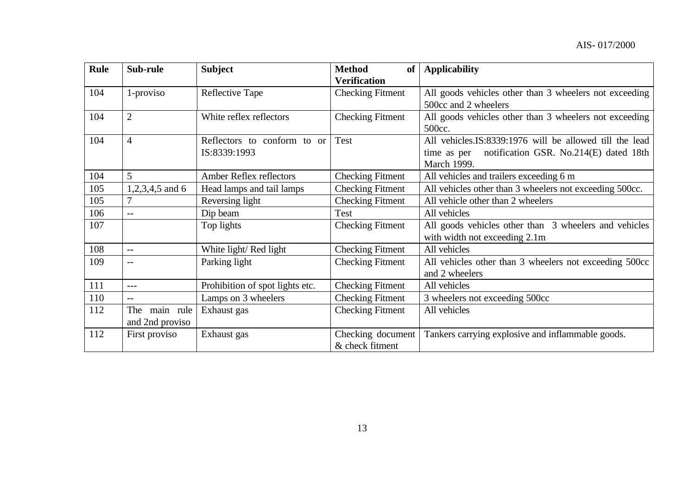| <b>Rule</b> | Sub-rule          | <b>Subject</b>                  | <b>Method</b><br>of     | <b>Applicability</b>                                      |
|-------------|-------------------|---------------------------------|-------------------------|-----------------------------------------------------------|
|             |                   |                                 | <b>Verification</b>     |                                                           |
| 104         | 1-proviso         | Reflective Tape                 | <b>Checking Fitment</b> | All goods vehicles other than 3 wheelers not exceeding    |
|             |                   |                                 |                         | 500cc and 2 wheelers                                      |
| 104         | $\overline{2}$    | White reflex reflectors         | <b>Checking Fitment</b> | All goods vehicles other than 3 wheelers not exceeding    |
|             |                   |                                 |                         | 500cc.                                                    |
| 104         | $\overline{4}$    | Reflectors to conform to or     | Test                    | All vehicles. IS: 8339:1976 will be allowed till the lead |
|             |                   | IS:8339:1993                    |                         | notification GSR. No.214(E) dated 18th<br>time as per     |
|             |                   |                                 |                         | <b>March 1999.</b>                                        |
| 104         | 5                 | Amber Reflex reflectors         | <b>Checking Fitment</b> | All vehicles and trailers exceeding 6 m                   |
| 105         | $1,2,3,4,5$ and 6 | Head lamps and tail lamps       | <b>Checking Fitment</b> | All vehicles other than 3 wheelers not exceeding 500cc.   |
| 105         | 7                 | Reversing light                 | <b>Checking Fitment</b> | All vehicle other than 2 wheelers                         |
| 106         | $- -$             | Dip beam                        | Test                    | All vehicles                                              |
| 107         |                   | Top lights                      | <b>Checking Fitment</b> | All goods vehicles other than 3 wheelers and vehicles     |
|             |                   |                                 |                         | with width not exceeding 2.1m                             |
| 108         | $-$               | White light/Red light           | <b>Checking Fitment</b> | All vehicles                                              |
| 109         |                   | Parking light                   | <b>Checking Fitment</b> | All vehicles other than 3 wheelers not exceeding 500cc    |
|             |                   |                                 |                         | and 2 wheelers                                            |
| 111         | $---$             | Prohibition of spot lights etc. | <b>Checking Fitment</b> | All vehicles                                              |
| 110         | $-$               | Lamps on 3 wheelers             | <b>Checking Fitment</b> | 3 wheelers not exceeding 500cc                            |
| 112         | main rule<br>The  | Exhaust gas                     | <b>Checking Fitment</b> | All vehicles                                              |
|             | and 2nd proviso   |                                 |                         |                                                           |
| 112         | First proviso     | Exhaust gas                     | Checking document       | Tankers carrying explosive and inflammable goods.         |
|             |                   |                                 | & check fitment         |                                                           |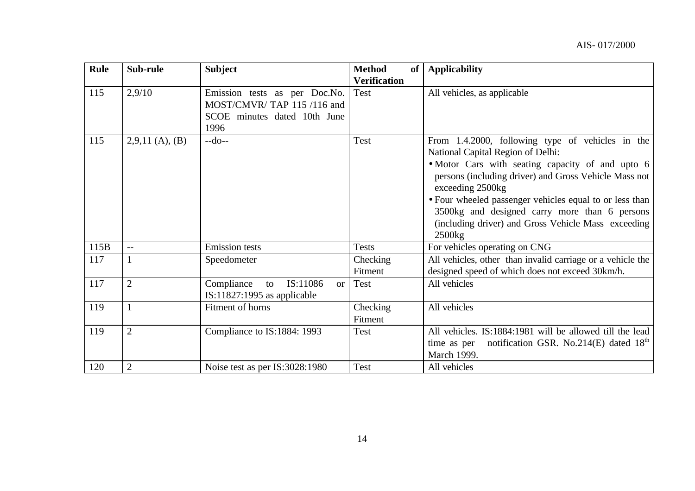| <b>Rule</b> | Sub-rule          | <b>Subject</b>                                                                                     | <b>Method</b><br><b>of</b> | <b>Applicability</b>                                                                                                                                                                                                   |
|-------------|-------------------|----------------------------------------------------------------------------------------------------|----------------------------|------------------------------------------------------------------------------------------------------------------------------------------------------------------------------------------------------------------------|
|             |                   |                                                                                                    | <b>Verification</b>        |                                                                                                                                                                                                                        |
| 115         | 2,9/10            | Emission tests as per Doc.No.<br>MOST/CMVR/TAP 115/116 and<br>SCOE minutes dated 10th June<br>1996 | Test                       | All vehicles, as applicable                                                                                                                                                                                            |
| 115         | $2,9,11$ (A), (B) | $-do-$                                                                                             | <b>Test</b>                | From 1.4.2000, following type of vehicles in the<br>National Capital Region of Delhi:<br>• Motor Cars with seating capacity of and upto 6<br>persons (including driver) and Gross Vehicle Mass not<br>exceeding 2500kg |
|             |                   |                                                                                                    |                            | • Four wheeled passenger vehicles equal to or less than<br>3500kg and designed carry more than 6 persons<br>(including driver) and Gross Vehicle Mass exceeding<br>$2500$ <sub>kg</sub>                                |
| 115B        | $-$               | <b>Emission</b> tests                                                                              | <b>Tests</b>               | For vehicles operating on CNG                                                                                                                                                                                          |
| 117         | 1                 | Speedometer                                                                                        | Checking<br>Fitment        | All vehicles, other than invalid carriage or a vehicle the<br>designed speed of which does not exceed 30km/h.                                                                                                          |
| 117         | $\overline{2}$    | Compliance<br>IS:11086<br>to<br><b>or</b><br>$IS:11827:1995$ as applicable                         | Test                       | All vehicles                                                                                                                                                                                                           |
| 119         |                   | Fitment of horns                                                                                   | Checking<br>Fitment        | All vehicles                                                                                                                                                                                                           |
| 119         | $\overline{2}$    | Compliance to IS:1884: 1993                                                                        | <b>Test</b>                | All vehicles. IS:1884:1981 will be allowed till the lead<br>time as per notification GSR. No.214(E) dated $18th$<br>March 1999.                                                                                        |
| 120         | 2                 | Noise test as per IS:3028:1980                                                                     | Test                       | All vehicles                                                                                                                                                                                                           |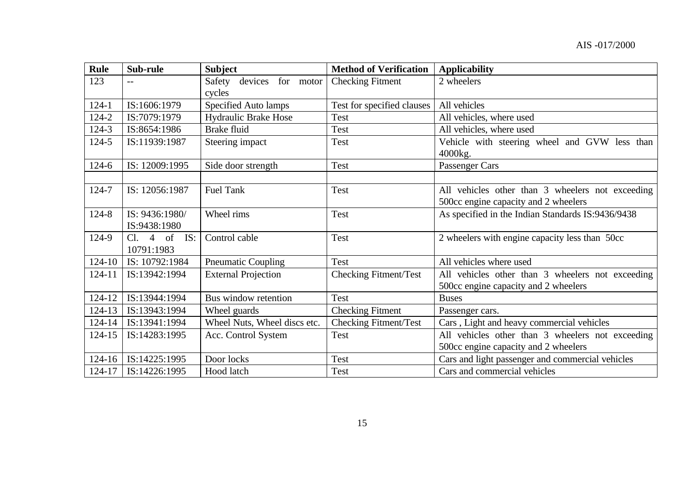| <b>Rule</b> | Sub-rule        | <b>Subject</b>               | <b>Method of Verification</b> | <b>Applicability</b>                              |
|-------------|-----------------|------------------------------|-------------------------------|---------------------------------------------------|
| 123         |                 | Safety<br>devices for motor  | <b>Checking Fitment</b>       | 2 wheelers                                        |
|             |                 | cycles                       |                               |                                                   |
| $124-1$     | IS:1606:1979    | Specified Auto lamps         | Test for specified clauses    | All vehicles                                      |
| 124-2       | IS:7079:1979    | <b>Hydraulic Brake Hose</b>  | Test                          | All vehicles, where used                          |
| $124 - 3$   | IS:8654:1986    | Brake fluid                  | Test                          | All vehicles, where used                          |
| 124-5       | IS:11939:1987   | Steering impact              | Test                          | Vehicle with steering wheel and GVW less than     |
|             |                 |                              |                               | 4000kg.                                           |
| $124 - 6$   | IS: 12009:1995  | Side door strength           | Test                          | Passenger Cars                                    |
|             |                 |                              |                               |                                                   |
| 124-7       | IS: 12056:1987  | <b>Fuel Tank</b>             | Test                          | All vehicles other than 3 wheelers not exceeding  |
|             |                 |                              |                               | 500cc engine capacity and 2 wheelers              |
| 124-8       | IS: 9436:1980/  | Wheel rims                   | Test                          | As specified in the Indian Standards IS:9436/9438 |
|             | IS:9438:1980    |                              |                               |                                                   |
| 124-9       | Cl. 4 of<br>IS: | Control cable                | Test                          | 2 wheelers with engine capacity less than 50cc    |
|             | 10791:1983      |                              |                               |                                                   |
| $124 - 10$  | IS: 10792:1984  | <b>Pneumatic Coupling</b>    | Test                          | All vehicles where used                           |
| 124-11      | IS:13942:1994   | <b>External Projection</b>   | Checking Fitment/Test         | All vehicles other than 3 wheelers not exceeding  |
|             |                 |                              |                               | 500cc engine capacity and 2 wheelers              |
| 124-12      | IS:13944:1994   | Bus window retention         | Test                          | <b>Buses</b>                                      |
| 124-13      | IS:13943:1994   | Wheel guards                 | <b>Checking Fitment</b>       | Passenger cars.                                   |
| 124-14      | IS:13941:1994   | Wheel Nuts, Wheel discs etc. | <b>Checking Fitment/Test</b>  | Cars, Light and heavy commercial vehicles         |
| $124 - 15$  | IS:14283:1995   | Acc. Control System          | Test                          | All vehicles other than 3 wheelers not exceeding  |
|             |                 |                              |                               | 500cc engine capacity and 2 wheelers              |
| $124 - 16$  | IS:14225:1995   | Door locks                   | Test                          | Cars and light passenger and commercial vehicles  |
| 124-17      | IS:14226:1995   | Hood latch                   | Test                          | Cars and commercial vehicles                      |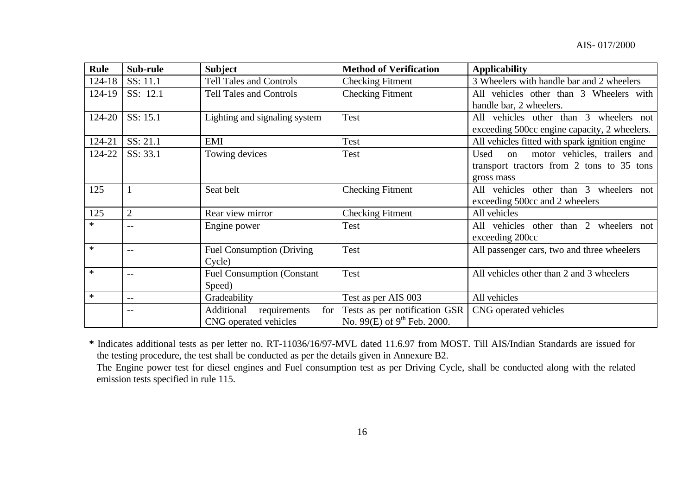| <b>Rule</b> | Sub-rule       | <b>Subject</b>                                 | <b>Method of Verification</b>    | <b>Applicability</b>                           |
|-------------|----------------|------------------------------------------------|----------------------------------|------------------------------------------------|
| 124-18      | SS: 11.1       | <b>Tell Tales and Controls</b>                 | <b>Checking Fitment</b>          | 3 Wheelers with handle bar and 2 wheelers      |
| 124-19      | SS: 12.1       | <b>Tell Tales and Controls</b>                 | <b>Checking Fitment</b>          | All vehicles other than 3 Wheelers with        |
|             |                |                                                |                                  | handle bar, 2 wheelers.                        |
| 124-20      | SS: 15.1       | Lighting and signaling system                  | Test                             | All vehicles other than 3 wheelers not         |
|             |                |                                                |                                  | exceeding 500cc engine capacity, 2 wheelers.   |
| 124-21      | SS: 21.1       | EMI                                            | Test                             | All vehicles fitted with spark ignition engine |
| 124-22      | SS: 33.1       | Towing devices                                 | <b>Test</b>                      | on motor vehicles, trailers and<br>Used        |
|             |                |                                                |                                  | transport tractors from 2 tons to 35 tons      |
|             |                |                                                |                                  | gross mass                                     |
| 125         |                | Seat belt                                      | <b>Checking Fitment</b>          | All vehicles other than 3 wheelers not         |
|             |                |                                                |                                  | exceeding 500cc and 2 wheelers                 |
| 125         | $\overline{2}$ | Rear view mirror                               | <b>Checking Fitment</b>          | All vehicles                                   |
| $\ast$      | $- -$          | Engine power                                   | Test                             | All vehicles other than 2 wheelers not         |
|             |                |                                                |                                  | exceeding 200cc                                |
| $\ast$      | $-$            | <b>Fuel Consumption (Driving</b>               | <b>Test</b>                      | All passenger cars, two and three wheelers     |
|             |                | Cycle)                                         |                                  |                                                |
| $\ast$      |                | <b>Fuel Consumption (Constant)</b>             | <b>Test</b>                      | All vehicles other than 2 and 3 wheelers       |
|             |                | Speed)                                         |                                  |                                                |
| $\ast$      | $-$            | Gradeability                                   | Test as per AIS 003              | All vehicles                                   |
|             |                | Additional<br>for <sub>1</sub><br>requirements | Tests as per notification GSR    | CNG operated vehicles                          |
|             |                | CNG operated vehicles                          | No. 99(E) of $9^{th}$ Feb. 2000. |                                                |

**\*** Indicates additional tests as per letter no. RT-11036/16/97-MVL dated 11.6.97 from MOST. Till AIS/Indian Standards are issued for the testing procedure, the test shall be conducted as per the details given in Annexure B2.

The Engine power test for diesel engines and Fuel consumption test as per Driving Cycle, shall be conducted along with the related emission tests specified in rule 115.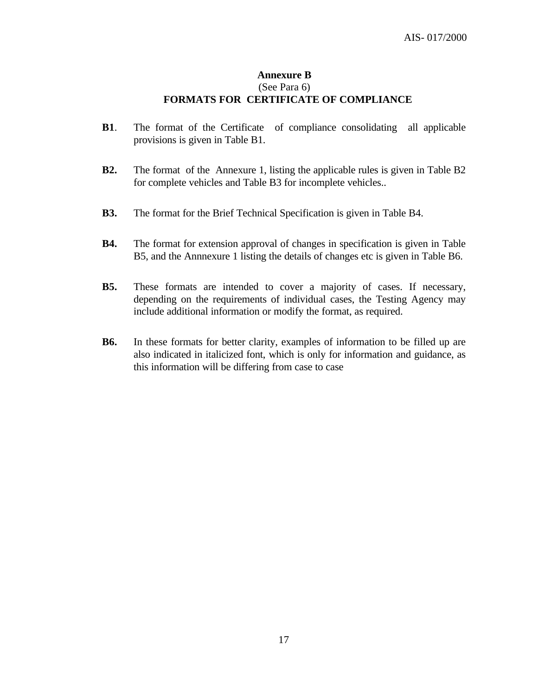# **Annexure B** (See Para 6) **FORMATS FOR CERTIFICATE OF COMPLIANCE**

- **B1**. The format of the Certificate of compliance consolidating all applicable provisions is given in Table B1.
- **B2.** The format of the Annexure 1, listing the applicable rules is given in Table B2 for complete vehicles and Table B3 for incomplete vehicles..
- **B3.** The format for the Brief Technical Specification is given in Table B4.
- **B4.** The format for extension approval of changes in specification is given in Table B5, and the Annnexure 1 listing the details of changes etc is given in Table B6.
- **B5.** These formats are intended to cover a majority of cases. If necessary, depending on the requirements of individual cases, the Testing Agency may include additional information or modify the format, as required.
- **B6.** In these formats for better clarity, examples of information to be filled up are also indicated in italicized font, which is only for information and guidance, as this information will be differing from case to case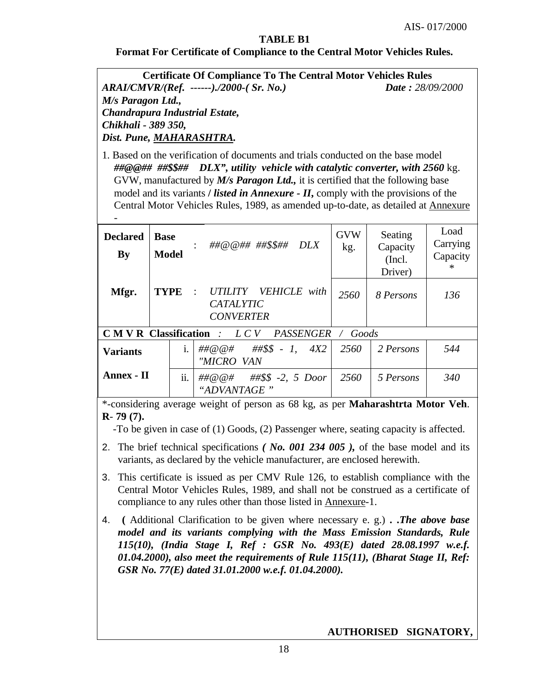# **TABLE B1**

#### **Format For Certificate of Compliance to the Central Motor Vehicles Rules.**

**Certificate Of Compliance To The Central Motor Vehicles Rules** *ARAI/CMVR/(Ref. ------)./2000-( Sr. No.) Date : 28/09/2000 M/s Paragon Ltd., Chandrapura Industrial Estate, Chikhali - 389 350, Dist. Pune, MAHARASHTRA.*

1. Based on the verification of documents and trials conducted on the base model *##@@## ##\$\$## DLX", utility vehicle with catalytic converter, with 2560* kg. GVW, manufactured by *M/s Paragon Ltd.,* it is certified that the following base model and its variants */ listed in Annexure - II*, comply with the provisions of the Central Motor Vehicles Rules, 1989, as amended up-to-date, as detailed at Annexure

| <b>Declared</b><br><b>By</b>                                                              | <b>Base</b><br><b>Model</b> |       | ##@@##_##\$\$##<br>DLX                                         | <b>GVW</b><br>kg. | Seating<br>Capacity<br>(Incl.<br>Driver) | Load<br>Carrying<br>Capacity<br>$\ast$ |
|-------------------------------------------------------------------------------------------|-----------------------------|-------|----------------------------------------------------------------|-------------------|------------------------------------------|----------------------------------------|
| Mfgr.                                                                                     | <b>TYPE</b>                 |       | : UTILITY VEHICLE with<br><b>CATALYTIC</b><br><b>CONVERTER</b> | 2560              | 8 Persons                                | 136                                    |
| $\mathbf{C} \mathbf{M} \mathbf{V} \mathbf{R}$ Classification : $LCV$<br>PASSENGER / Goods |                             |       |                                                                |                   |                                          |                                        |
| <b>Variants</b>                                                                           |                             | $i$ . | $\#H@@H$ $\#H$$$ - 1, 4X2<br>"MICRO VAN                        | 2560              | 2 Persons                                | 544                                    |
| Annex - II                                                                                |                             | ii.   | ##\$\$ $-2$ , 5 <i>Door</i><br>##@@#<br>"ADVANTAGE"            | 2560              | 5 Persons                                | 340                                    |

\*-considering average weight of person as 68 kg, as per **Maharashtrta Motor Veh**. **R**- **79 (7).**

-To be given in case of (1) Goods, (2) Passenger where, seating capacity is affected.

- 2. The brief technical specifications *( No. 001 234 005 ),* of the base model and its variants, as declared by the vehicle manufacturer, are enclosed herewith.
- 3. This certificate is issued as per CMV Rule 126, to establish compliance with the Central Motor Vehicles Rules, 1989, and shall not be construed as a certificate of compliance to any rules other than those listed in Annexure-1.
- 4. **(** Additional Clarification to be given where necessary e. g.) **. .***The above base model and its variants complying with the Mass Emission Standards, Rule 115(10), (India Stage I, Ref : GSR No. 493(E) dated 28.08.1997 w.e.f. 01.04.2000), also meet the requirements of Rule 115(11), (Bharat Stage II, Ref: GSR No. 77(E) dated 31.01.2000 w.e.f. 01.04.2000).*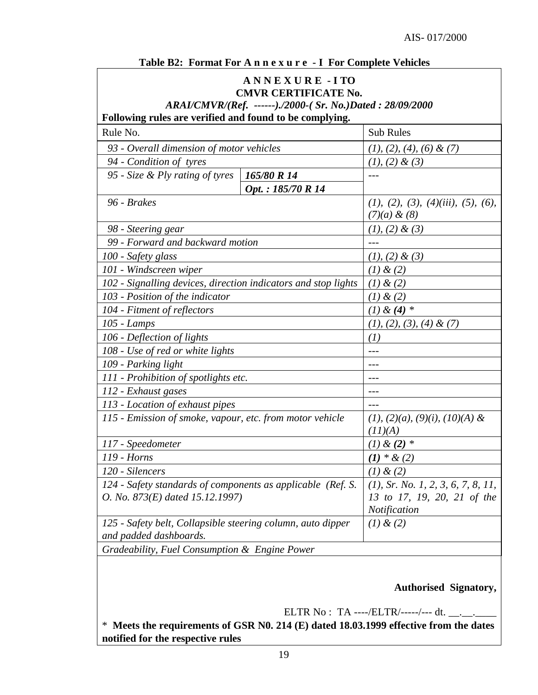|  |  |  |  | Table B2: Format For A n n e x u r e - I For Complete Vehicles |
|--|--|--|--|----------------------------------------------------------------|
|--|--|--|--|----------------------------------------------------------------|

#### **A N N E X U R E - I TO CMVR CERTIFICATE No.**

*ARAI/CMVR/(Ref. ------)./2000-( Sr. No.)Dated : 28/09/2000*

| Following rules are verified and found to be complying.                               |                                       |  |  |  |  |  |
|---------------------------------------------------------------------------------------|---------------------------------------|--|--|--|--|--|
| Rule No.                                                                              | <b>Sub Rules</b>                      |  |  |  |  |  |
| 93 - Overall dimension of motor vehicles                                              | $(1), (2), (4), (6) \& (7)$           |  |  |  |  |  |
| 94 - Condition of tyres                                                               | $(1), (2) \& (3)$                     |  |  |  |  |  |
| 95 - Size & Ply rating of tyres<br>165/80 R 14                                        | $---$                                 |  |  |  |  |  |
| Opt.: 185/70 R 14                                                                     |                                       |  |  |  |  |  |
| 96 - Brakes                                                                           | (1), (2), (3), (4)(iii), (5), (6),    |  |  |  |  |  |
|                                                                                       | $(7)(a) \& (8)$                       |  |  |  |  |  |
| 98 - Steering gear                                                                    | $(1), (2) \& (3)$                     |  |  |  |  |  |
| 99 - Forward and backward motion                                                      | ---                                   |  |  |  |  |  |
| 100 - Safety glass                                                                    | $(1), (2) \& (3)$                     |  |  |  |  |  |
| 101 - Windscreen wiper                                                                | (1) & (2)                             |  |  |  |  |  |
| 102 - Signalling devices, direction indicators and stop lights                        | (1) & (2)                             |  |  |  |  |  |
| 103 - Position of the indicator                                                       | (1) & (2)                             |  |  |  |  |  |
| 104 - Fitment of reflectors                                                           | $(1) \& (4) *$                        |  |  |  |  |  |
| 105 - Lamps                                                                           | $(1), (2), (3), (4) \& (7)$           |  |  |  |  |  |
| 106 - Deflection of lights                                                            | (I)                                   |  |  |  |  |  |
| 108 - Use of red or white lights                                                      | ---                                   |  |  |  |  |  |
| 109 - Parking light                                                                   | ---                                   |  |  |  |  |  |
| 111 - Prohibition of spotlights etc.                                                  | $---$                                 |  |  |  |  |  |
| 112 - Exhaust gases                                                                   | ---                                   |  |  |  |  |  |
| 113 - Location of exhaust pipes                                                       |                                       |  |  |  |  |  |
| 115 - Emission of smoke, vapour, etc. from motor vehicle                              | $(1), (2)(a), (9)(i), (10)(A)$ &      |  |  |  |  |  |
|                                                                                       | (11)(A)                               |  |  |  |  |  |
| 117 - Speedometer                                                                     | $(1)$ & $(2)$ *                       |  |  |  |  |  |
| 119 - Horns                                                                           | $(1) * \& (2)$                        |  |  |  |  |  |
| 120 - Silencers                                                                       | (1) & (2)                             |  |  |  |  |  |
| 124 - Safety standards of components as applicable (Ref. S.                           | $(1)$ , Sr. No. 1, 2, 3, 6, 7, 8, 11, |  |  |  |  |  |
| O. No. 873(E) dated 15.12.1997)                                                       | 13 to 17, 19, 20, 21 of the           |  |  |  |  |  |
|                                                                                       | Notification                          |  |  |  |  |  |
| 125 - Safety belt, Collapsible steering column, auto dipper<br>and padded dashboards. | (1) & (2)                             |  |  |  |  |  |
| Gradeability, Fuel Consumption & Engine Power                                         |                                       |  |  |  |  |  |

**Authorised Signatory,**

ELTR No : TA ----/ELTR/-----/--- dt. \_\_.\_\_.

\* **Meets the requirements of GSR N0. 214 (E) dated 18.03.1999 effective from the dates notified for the respective rules**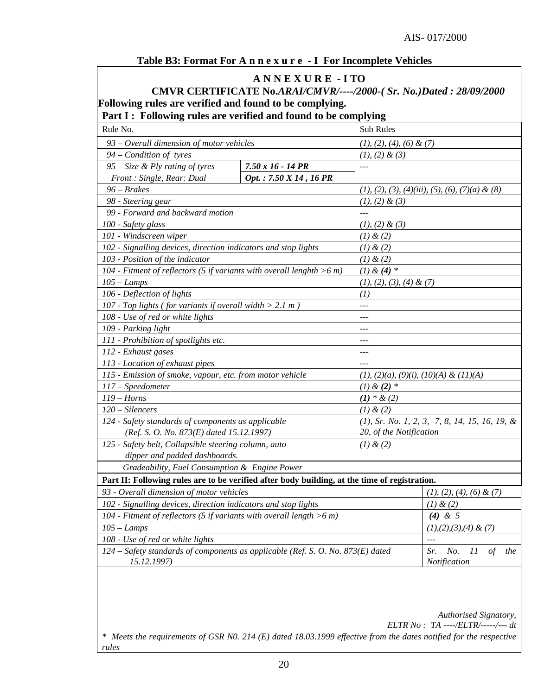#### **Table B3: Format For A n n e x u r e - I For Incomplete Vehicles**

# **A N N E X U R E - I TO**

# **CMVR CERTIFICATE No.***ARAI/CMVR/----/2000-( Sr. No.)Dated : 28/09/2000* **Following rules are verified and found to be complying.**

# **Part I : Following rules are verified and found to be complying**

| Rule No.                                                                        |                                                                                               | <b>Sub Rules</b>                                   |                                       |  |  |  |  |  |  |
|---------------------------------------------------------------------------------|-----------------------------------------------------------------------------------------------|----------------------------------------------------|---------------------------------------|--|--|--|--|--|--|
| 93 - Overall dimension of motor vehicles                                        |                                                                                               | $(1), (2), (4), (6) \& (7)$                        |                                       |  |  |  |  |  |  |
| $94$ – Condition of tyres                                                       |                                                                                               | $(1), (2) \& (3)$                                  |                                       |  |  |  |  |  |  |
| $95 - Size &$ Ply rating of tyres                                               | $7.50 \times 16 - 14 \text{ PR}$                                                              | $- - -$                                            |                                       |  |  |  |  |  |  |
| Front: Single, Rear: Dual                                                       | Opt.: 7.50 X 14, 16 PR                                                                        |                                                    |                                       |  |  |  |  |  |  |
| $96 - Brakes$                                                                   |                                                                                               | $(1), (2), (3), (4)(iii), (5), (6), (7)(a) \& (8)$ |                                       |  |  |  |  |  |  |
| 98 - Steering gear                                                              |                                                                                               | $(1), (2) \& (3)$                                  |                                       |  |  |  |  |  |  |
| 99 - Forward and backward motion                                                | $\overline{a}$                                                                                |                                                    |                                       |  |  |  |  |  |  |
| 100 - Safety glass                                                              |                                                                                               | $(1), (2) \& (3)$                                  |                                       |  |  |  |  |  |  |
| 101 - Windscreen wiper                                                          |                                                                                               | $(1)$ & $(2)$                                      |                                       |  |  |  |  |  |  |
| 102 - Signalling devices, direction indicators and stop lights                  |                                                                                               | $(1)$ & $(2)$                                      |                                       |  |  |  |  |  |  |
| 103 - Position of the indicator                                                 |                                                                                               | (1) & (2)                                          |                                       |  |  |  |  |  |  |
| 104 - Fitment of reflectors (5 if variants with overall lenghth $>6$ m)         |                                                                                               | $(1)$ & $(4)$ *                                    |                                       |  |  |  |  |  |  |
| $105 - Lamps$                                                                   |                                                                                               | $(1), (2), (3), (4) \& (7)$                        |                                       |  |  |  |  |  |  |
| 106 - Deflection of lights                                                      |                                                                                               | (1)                                                |                                       |  |  |  |  |  |  |
| 107 - Top lights (for variants if overall width $> 2.1$ m)                      |                                                                                               | $- - -$                                            |                                       |  |  |  |  |  |  |
| 108 - Use of red or white lights                                                |                                                                                               | $\overline{a}$                                     |                                       |  |  |  |  |  |  |
| 109 - Parking light                                                             |                                                                                               | ---                                                |                                       |  |  |  |  |  |  |
| 111 - Prohibition of spotlights etc.                                            | ---                                                                                           |                                                    |                                       |  |  |  |  |  |  |
| 112 - Exhaust gases                                                             |                                                                                               | $- - -$                                            |                                       |  |  |  |  |  |  |
| 113 - Location of exhaust pipes                                                 |                                                                                               | $ -$                                               |                                       |  |  |  |  |  |  |
| 115 - Emission of smoke, vapour, etc. from motor vehicle                        |                                                                                               | $(1), (2)(a), (9)(i), (10)(A) \& (11)(A)$          |                                       |  |  |  |  |  |  |
| 117 - Speedometer                                                               |                                                                                               | $(1) & (2) *$                                      |                                       |  |  |  |  |  |  |
| $119 - Horns$                                                                   |                                                                                               | $(1) * \& (2)$                                     |                                       |  |  |  |  |  |  |
| $120 - Sileners$                                                                |                                                                                               | (1) & (2)                                          |                                       |  |  |  |  |  |  |
| 124 - Safety standards of components as applicable                              |                                                                                               | $(1)$ , Sr. No. 1, 2, 3, 7, 8, 14, 15, 16, 19, &   |                                       |  |  |  |  |  |  |
| (Ref. S. O. No. 873(E) dated 15.12.1997)                                        |                                                                                               | 20, of the Notification                            |                                       |  |  |  |  |  |  |
| 125 - Safety belt, Collapsible steering column, auto                            |                                                                                               | $(1)$ & $(2)$                                      |                                       |  |  |  |  |  |  |
| dipper and padded dashboards.                                                   |                                                                                               |                                                    |                                       |  |  |  |  |  |  |
| Gradeability, Fuel Consumption & Engine Power                                   |                                                                                               |                                                    |                                       |  |  |  |  |  |  |
|                                                                                 | Part II: Following rules are to be verified after body building, at the time of registration. |                                                    |                                       |  |  |  |  |  |  |
| 93 - Overall dimension of motor vehicles                                        |                                                                                               | $(1), (2), (4), (6) \& (7)$                        |                                       |  |  |  |  |  |  |
| 102 - Signalling devices, direction indicators and stop lights                  |                                                                                               | (1) & (2)                                          |                                       |  |  |  |  |  |  |
| 104 - Fitment of reflectors (5 if variants with overall length $>6$ m)          |                                                                                               | $(4)$ & 5                                          |                                       |  |  |  |  |  |  |
| $105 - Lamps$                                                                   |                                                                                               | $(1), (2), (3), (4) \& (7)$                        |                                       |  |  |  |  |  |  |
| 108 - Use of red or white lights                                                |                                                                                               |                                                    | $- - -$                               |  |  |  |  |  |  |
| 124 – Safety standards of components as applicable (Ref. S. O. No. 873(E) dated |                                                                                               |                                                    | No.<br>Sr.<br>II<br>$\sigma f$<br>the |  |  |  |  |  |  |
| 15.12.1997)                                                                     |                                                                                               |                                                    | Notification                          |  |  |  |  |  |  |

*Authorised Signatory,*

*ELTR No : TA ----/ELTR/-----/--- dt*

*\* Meets the requirements of GSR N0. 214 (E) dated 18.03.1999 effective from the dates notified for the respective rules*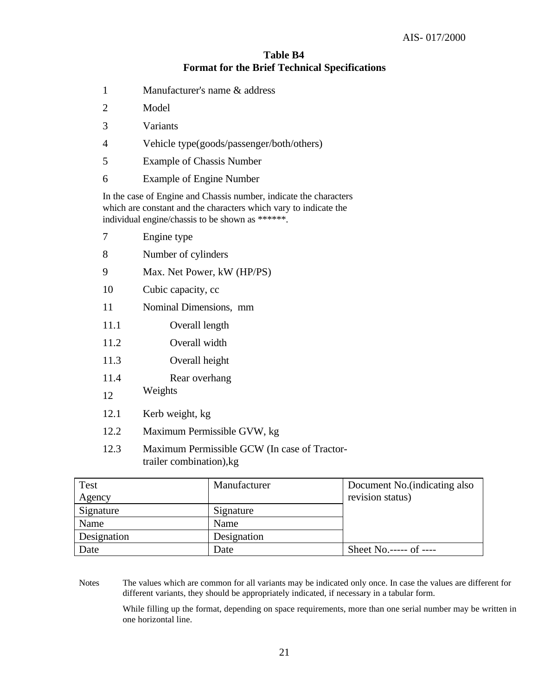# **Table B4 Format for the Brief Technical Specifications**

- 1 Manufacturer's name & address
- 2 Model
- 3 Variants
- 4 Vehicle type(goods/passenger/both/others)
- 5 Example of Chassis Number
- 6 Example of Engine Number

In the case of Engine and Chassis number, indicate the characters which are constant and the characters which vary to indicate the individual engine/chassis to be shown as \*\*\*\*\*\*.

|      | Engine type                 |
|------|-----------------------------|
| 8    | Number of cylinders         |
| 9    | Max. Net Power, kW (HP/PS)  |
| 10   | Cubic capacity, cc          |
| 11   | Nominal Dimensions, mm      |
| 11.1 | Overall length              |
| 11.2 | Overall width               |
| 11.3 | Overall height              |
| 11.4 | Rear overhang               |
| 12   | Weights                     |
| 12.1 | Kerb weight, kg             |
| 12.2 | Maximum Permissible GVW, kg |

12.3 Maximum Permissible GCW (In case of Tractortrailer combination),kg

| Test        | Manufacturer | Document No. (indicating also |
|-------------|--------------|-------------------------------|
| Agency      |              | revision status)              |
| Signature   | Signature    |                               |
| Name        | Name         |                               |
| Designation | Designation  |                               |
| Date        | Date         | Sheet No.----- of ----        |

Notes The values which are common for all variants may be indicated only once. In case the values are different for different variants, they should be appropriately indicated, if necessary in a tabular form.

While filling up the format, depending on space requirements, more than one serial number may be written in one horizontal line.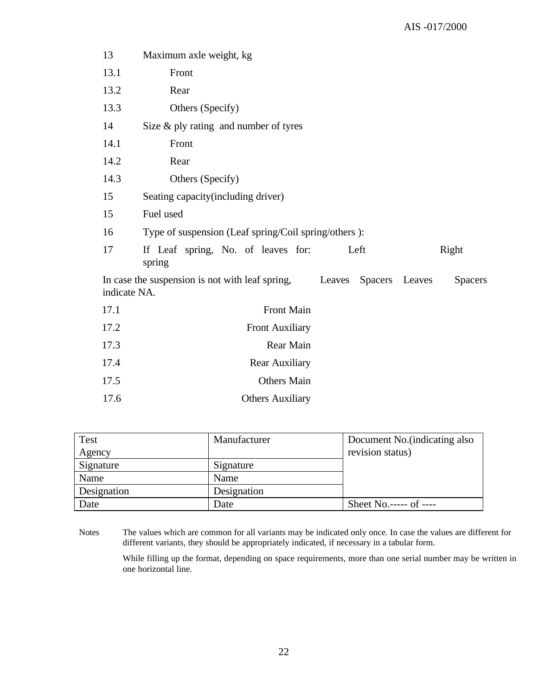| 13           | Maximum axle weight, kg                              |      |                |        |         |  |  |  |  |  |  |  |
|--------------|------------------------------------------------------|------|----------------|--------|---------|--|--|--|--|--|--|--|
| 13.1         | Front                                                |      |                |        |         |  |  |  |  |  |  |  |
| 13.2         | Rear                                                 |      |                |        |         |  |  |  |  |  |  |  |
| 13.3         | Others (Specify)                                     |      |                |        |         |  |  |  |  |  |  |  |
| 14           | Size $\&$ ply rating and number of tyres             |      |                |        |         |  |  |  |  |  |  |  |
| 14.1         | Front                                                |      |                |        |         |  |  |  |  |  |  |  |
| 14.2         | Rear                                                 |      |                |        |         |  |  |  |  |  |  |  |
| 14.3         | Others (Specify)                                     |      |                |        |         |  |  |  |  |  |  |  |
| 15           | Seating capacity (including driver)                  |      |                |        |         |  |  |  |  |  |  |  |
| 15           | Fuel used                                            |      |                |        |         |  |  |  |  |  |  |  |
| 16           | Type of suspension (Leaf spring/Coil spring/others): |      |                |        |         |  |  |  |  |  |  |  |
| 17           | If Leaf spring, No. of leaves for:<br>spring         | Left |                | Right  |         |  |  |  |  |  |  |  |
| indicate NA. | In case the suspension is not with leaf spring,      |      | Leaves Spacers | Leaves | Spacers |  |  |  |  |  |  |  |
| 17.1         | <b>Front Main</b>                                    |      |                |        |         |  |  |  |  |  |  |  |
| 17.2         | <b>Front Auxiliary</b>                               |      |                |        |         |  |  |  |  |  |  |  |
| 17.3         | Rear Main                                            |      |                |        |         |  |  |  |  |  |  |  |
| 17.4         | Rear Auxiliary                                       |      |                |        |         |  |  |  |  |  |  |  |
| 17.5         | <b>Others Main</b>                                   |      |                |        |         |  |  |  |  |  |  |  |
| 17.6         | <b>Others Auxiliary</b>                              |      |                |        |         |  |  |  |  |  |  |  |
|              |                                                      |      |                |        |         |  |  |  |  |  |  |  |

| <b>Test</b> | Manufacturer | Document No. (indicating also |
|-------------|--------------|-------------------------------|
| Agency      |              | revision status)              |
| Signature   | Signature    |                               |
| Name        | Name         |                               |
| Designation | Designation  |                               |
| Date        | Date         | Sheet No.----- of ----        |

Notes The values which are common for all variants may be indicated only once. In case the values are different for different variants, they should be appropriately indicated, if necessary in a tabular form.

While filling up the format, depending on space requirements, more than one serial number may be written in one horizontal line.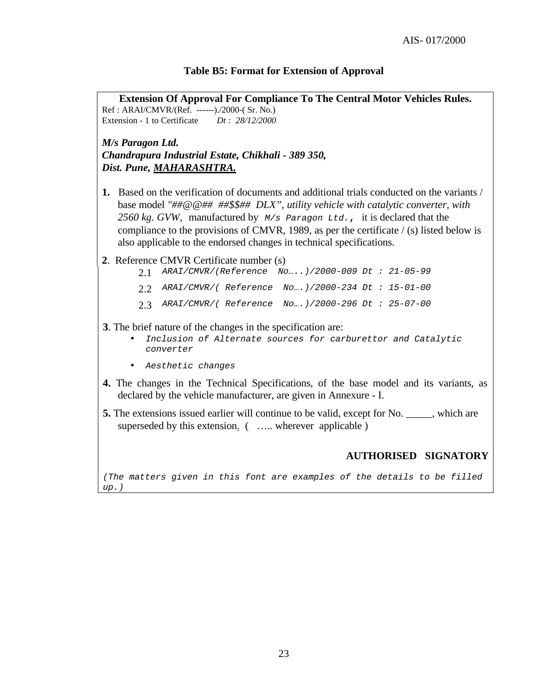#### **Table B5: Format for Extension of Approval**

**Extension Of Approval For Compliance To The Central Motor Vehicles Rules.** Ref : ARAI/CMVR/(Ref. ------)./2000-( Sr. No.) Extension - 1 to Certificate *Dt : 28/12/2000*

*M/s Paragon Ltd. Chandrapura Industrial Estate, Chikhali - 389 350, Dist. Pune, MAHARASHTRA.*

- **1.** Based on the verification of documents and additional trials conducted on the variants / base model *"##@@## ##\$\$## DLX", utility vehicle with catalytic converter, with 2560 kg. GVW,* manufactured by *M/s Paragon Ltd.*, it is declared that the compliance to the provisions of CMVR, 1989, as per the certificate / (s) listed below is also applicable to the endorsed changes in technical specifications.
- **2**. Reference CMVR Certificate number (s)
	- 2.1 *ARAI/CMVR/(Reference No…..)/2000-009 Dt : 21-05-99* 2.2 *ARAI/CMVR/( Reference No….)/2000-234 Dt : 15-01-00*
	- 2.3 *ARAI/CMVR/( Reference No….)/2000-296 Dt : 25-07-00*

#### **3**. The brief nature of the changes in the specification are:

- *Inclusion of Alternate sources for carburettor and Catalytic converter*
- *Aesthetic changes*
- **4.** The changes in the Technical Specifications, of the base model and its variants, as declared by the vehicle manufacturer, are given in Annexure - I.
- **5.** The extensions issued earlier will continue to be valid, except for No. \_\_\_\_\_, which are superseded by this extension. ( ..... wherever applicable )

#### **AUTHORISED SIGNATORY**

*(The matters given in this font are examples of the details to be filled up.)*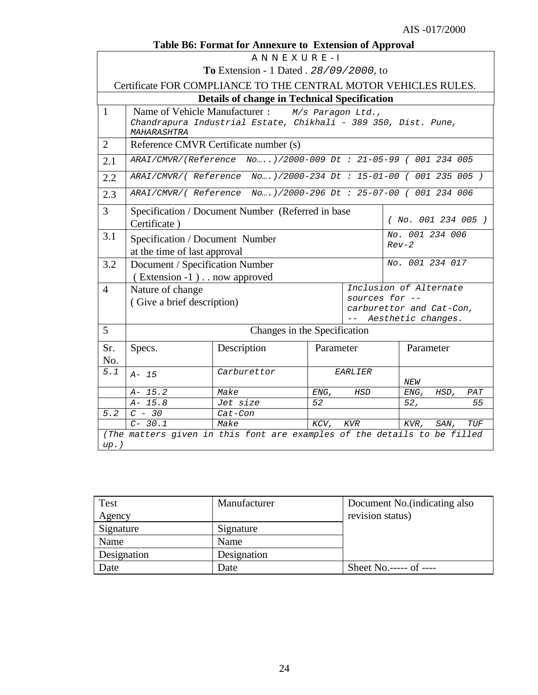|                | Table B6: Format for Annexure to Extension of Approval                                                                                                                         |                                                                          |           |            |  |                 |      |     |  |  |  |
|----------------|--------------------------------------------------------------------------------------------------------------------------------------------------------------------------------|--------------------------------------------------------------------------|-----------|------------|--|-----------------|------|-----|--|--|--|
|                | ANNEXURE-I                                                                                                                                                                     |                                                                          |           |            |  |                 |      |     |  |  |  |
|                |                                                                                                                                                                                | <b>To</b> Extension - 1 Dated . 28/09/2000, to                           |           |            |  |                 |      |     |  |  |  |
|                |                                                                                                                                                                                | Certificate FOR COMPLIANCE TO THE CENTRAL MOTOR VEHICLES RULES.          |           |            |  |                 |      |     |  |  |  |
|                |                                                                                                                                                                                | <b>Details of change in Technical Specification</b>                      |           |            |  |                 |      |     |  |  |  |
| $\mathbf{1}$   | Name of Vehicle Manufacturer :<br>M/s Paragon Ltd.,<br>Chandrapura Industrial Estate, Chikhali - 389 350, Dist. Pune,<br>MAHARASHTRA                                           |                                                                          |           |            |  |                 |      |     |  |  |  |
| $\overline{2}$ |                                                                                                                                                                                | Reference CMVR Certificate number (s)                                    |           |            |  |                 |      |     |  |  |  |
| 2.1            |                                                                                                                                                                                | ARAI/CMVR/(Reference No)/2000-009 Dt : 21-05-99 ( 001 234 005            |           |            |  |                 |      |     |  |  |  |
| 2.2            | ARAI/CMVR/(Reference No)/2000-234 Dt: 15-01-00 (001 235 005)                                                                                                                   |                                                                          |           |            |  |                 |      |     |  |  |  |
| 2.3            | ARAI/CMVR/(Reference No)/2000-296 Dt : 25-07-00 ( 001 234 006                                                                                                                  |                                                                          |           |            |  |                 |      |     |  |  |  |
| 3              | Specification / Document Number (Referred in base<br>(NO. 001 234 005)<br>Certificate)                                                                                         |                                                                          |           |            |  |                 |      |     |  |  |  |
| 3.1            | Specification / Document Number<br>at the time of last approval                                                                                                                | No. 001 234 006<br>$Rev-2$                                               |           |            |  |                 |      |     |  |  |  |
| 3.2            | Document / Specification Number                                                                                                                                                |                                                                          |           |            |  | No. 001 234 017 |      |     |  |  |  |
| $\overline{4}$ | (Extension -1). . now approved<br>Inclusion of Alternate<br>Nature of change<br>sources for --<br>(Give a brief description)<br>carburettor and Cat-Con,<br>Aesthetic changes. |                                                                          |           |            |  |                 |      |     |  |  |  |
| 5              |                                                                                                                                                                                | Changes in the Specification                                             |           |            |  |                 |      |     |  |  |  |
| Sr.<br>No.     | Specs.                                                                                                                                                                         | Description                                                              | Parameter |            |  | Parameter       |      |     |  |  |  |
| 5.1            | $A - 15$                                                                                                                                                                       | Carburettor                                                              |           | EARLIER    |  | NEW             |      |     |  |  |  |
|                | $A - 15.2$                                                                                                                                                                     | Make                                                                     | ENG,      | <b>HSD</b> |  | ENG,            | HSD, | PAT |  |  |  |
|                | $A - 15.8$                                                                                                                                                                     | Jet size                                                                 | 52        |            |  | 52,             |      | 55  |  |  |  |
| 5.2            | $C - 30$                                                                                                                                                                       | Cat-Con                                                                  |           |            |  |                 |      |     |  |  |  |
|                | $C-30.1$                                                                                                                                                                       | Make                                                                     | KCV,      | KVR        |  | KVR,            | SAN, | TUF |  |  |  |
| $up.$ )        |                                                                                                                                                                                | (The matters given in this font are examples of the details to be filled |           |            |  |                 |      |     |  |  |  |

| Test        | Manufacturer | Document No. (indicating also |
|-------------|--------------|-------------------------------|
| Agency      |              | revision status)              |
| Signature   | Signature    |                               |
| Name        | Name         |                               |
| Designation | Designation  |                               |
| Date        | Date         | Sheet No.----- of ----        |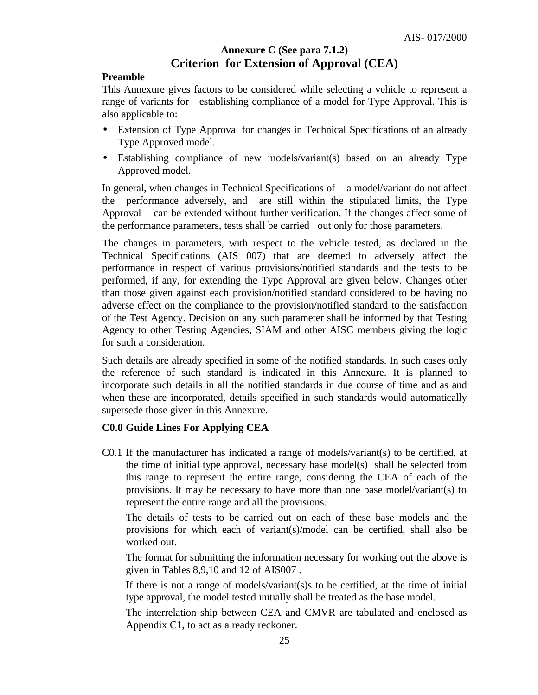# **Annexure C (See para 7.1.2) Criterion for Extension of Approval (CEA)**

#### **Preamble**

This Annexure gives factors to be considered while selecting a vehicle to represent a range of variants for establishing compliance of a model for Type Approval. This is also applicable to:

- Extension of Type Approval for changes in Technical Specifications of an already Type Approved model.
- Establishing compliance of new models/variant(s) based on an already Type Approved model.

In general, when changes in Technical Specifications of a model/variant do not affect the performance adversely, and are still within the stipulated limits, the Type Approval can be extended without further verification. If the changes affect some of the performance parameters, tests shall be carried out only for those parameters.

The changes in parameters, with respect to the vehicle tested, as declared in the Technical Specifications (AIS 007) that are deemed to adversely affect the performance in respect of various provisions/notified standards and the tests to be performed, if any, for extending the Type Approval are given below. Changes other than those given against each provision/notified standard considered to be having no adverse effect on the compliance to the provision/notified standard to the satisfaction of the Test Agency. Decision on any such parameter shall be informed by that Testing Agency to other Testing Agencies, SIAM and other AISC members giving the logic for such a consideration.

Such details are already specified in some of the notified standards. In such cases only the reference of such standard is indicated in this Annexure. It is planned to incorporate such details in all the notified standards in due course of time and as and when these are incorporated, details specified in such standards would automatically supersede those given in this Annexure.

# **C0.0 Guide Lines For Applying CEA**

C0.1 If the manufacturer has indicated a range of models/variant(s) to be certified, at the time of initial type approval, necessary base model(s)shall be selected from this range to represent the entire range, considering the CEA of each of the provisions. It may be necessary to have more than one base model/variant(s) to represent the entire range and all the provisions.

The details of tests to be carried out on each of these base models and the provisions for which each of variant(s)/model can be certified, shall also be worked out.

The format for submitting the information necessary for working out the above is given in Tables 8,9,10 and 12 of AIS007 .

If there is not a range of models/variant(s)s to be certified, at the time of initial type approval, the model tested initially shall be treated as the base model.

The interrelation ship between CEA and CMVR are tabulated and enclosed as Appendix C1, to act as a ready reckoner.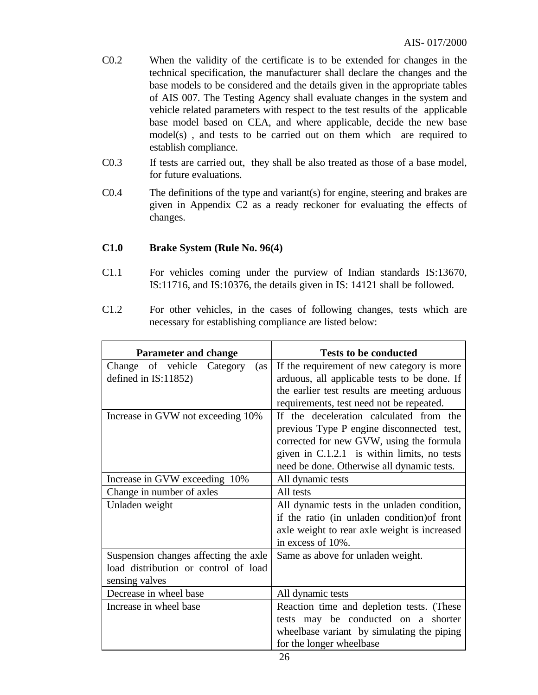- C0.2 When the validity of the certificate is to be extended for changes in the technical specification, the manufacturer shall declare the changes and the base models to be considered and the details given in the appropriate tables of AIS 007. The Testing Agency shall evaluate changes in the system and vehicle related parameters with respect to the test results of the applicable base model based on CEA, and where applicable, decide the new base model(s) , and tests to be carried out on them which are required to establish compliance.
- C0.3 If tests are carried out, they shall be also treated as those of a base model, for future evaluations.
- C0.4 The definitions of the type and variant(s) for engine, steering and brakes are given in Appendix C2 as a ready reckoner for evaluating the effects of changes.

# **C1.0 Brake System (Rule No. 96(4)**

- C1.1 For vehicles coming under the purview of Indian standards IS:13670, IS:11716, and IS:10376, the details given in IS: 14121 shall be followed.
- C1.2 For other vehicles, in the cases of following changes, tests which are necessary for establishing compliance are listed below:

| <b>Parameter and change</b>           | <b>Tests to be conducted</b>                 |
|---------------------------------------|----------------------------------------------|
| Change of vehicle<br>Category<br>(as  | If the requirement of new category is more   |
| defined in IS:11852)                  | arduous, all applicable tests to be done. If |
|                                       | the earlier test results are meeting arduous |
|                                       | requirements, test need not be repeated.     |
| Increase in GVW not exceeding 10%     | If the deceleration calculated from the      |
|                                       | previous Type P engine disconnected test,    |
|                                       | corrected for new GVW, using the formula     |
|                                       | given in C.1.2.1 is within limits, no tests  |
|                                       | need be done. Otherwise all dynamic tests.   |
| Increase in GVW exceeding 10%         | All dynamic tests                            |
| Change in number of axles             | All tests                                    |
| Unladen weight                        | All dynamic tests in the unladen condition,  |
|                                       | if the ratio (in unladen condition) of front |
|                                       | axle weight to rear axle weight is increased |
|                                       | in excess of 10%.                            |
| Suspension changes affecting the axle | Same as above for unladen weight.            |
| load distribution or control of load  |                                              |
| sensing valves                        |                                              |
| Decrease in wheel base                | All dynamic tests                            |
| Increase in wheel base                | Reaction time and depletion tests. (These    |
|                                       | tests may be conducted on a shorter          |
|                                       | wheelbase variant by simulating the piping   |
|                                       | for the longer wheelbase                     |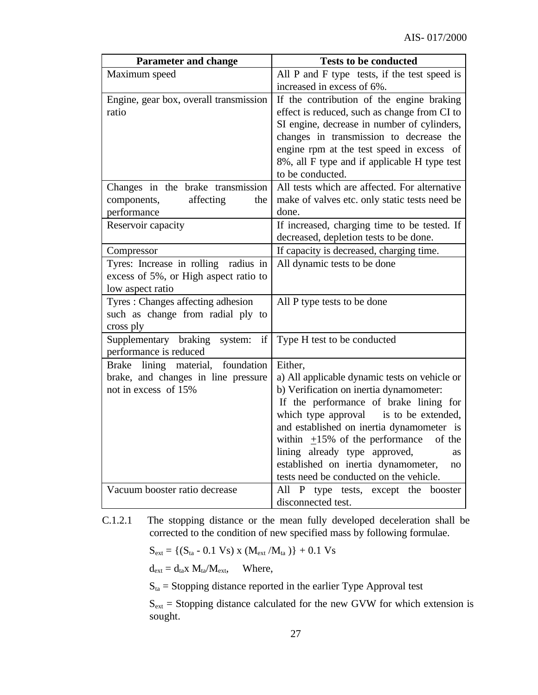| <b>Parameter and change</b>                    | <b>Tests to be conducted</b>                                                            |
|------------------------------------------------|-----------------------------------------------------------------------------------------|
| Maximum speed                                  | All P and F type tests, if the test speed is                                            |
|                                                | increased in excess of 6%.                                                              |
| Engine, gear box, overall transmission         | If the contribution of the engine braking                                               |
| ratio                                          | effect is reduced, such as change from CI to                                            |
|                                                | SI engine, decrease in number of cylinders,                                             |
|                                                | changes in transmission to decrease the                                                 |
|                                                | engine rpm at the test speed in excess of                                               |
|                                                | 8%, all F type and if applicable H type test                                            |
|                                                | to be conducted.<br>All tests which are affected. For alternative                       |
| Changes in the brake transmission              |                                                                                         |
| components,<br>affecting<br>the<br>performance | make of valves etc. only static tests need be<br>done.                                  |
| Reservoir capacity                             | If increased, charging time to be tested. If                                            |
|                                                | decreased, depletion tests to be done.                                                  |
| Compressor                                     | If capacity is decreased, charging time.                                                |
| Tyres: Increase in rolling<br>radius in        | All dynamic tests to be done                                                            |
| excess of 5%, or High aspect ratio to          |                                                                                         |
| low aspect ratio                               |                                                                                         |
| Tyres: Changes affecting adhesion              | All P type tests to be done                                                             |
| such as change from radial ply to              |                                                                                         |
| cross ply                                      |                                                                                         |
| Supplementary braking<br>if<br>system:         | Type H test to be conducted                                                             |
| performance is reduced                         |                                                                                         |
| lining material,<br>foundation<br><b>Brake</b> | Either,                                                                                 |
| brake, and changes in line pressure            | a) All applicable dynamic tests on vehicle or                                           |
| not in excess of 15%                           | b) Verification on inertia dynamometer:                                                 |
|                                                | If the performance of brake lining for                                                  |
|                                                | which type approval is to be extended,                                                  |
|                                                | and established on inertia dynamometer is                                               |
|                                                | within $\pm 15\%$ of the performance<br>of the                                          |
|                                                | lining already type approved,<br><b>as</b><br>established on inertia dynamometer,<br>no |
|                                                | tests need be conducted on the vehicle.                                                 |
| Vacuum booster ratio decrease                  | P type tests, except the booster<br>All                                                 |
|                                                | disconnected test.                                                                      |

C.1.2.1 The stopping distance or the mean fully developed deceleration shall be corrected to the condition of new specified mass by following formulae.

 $S_{ext} = \{(S_{ta} - 0.1 \text{ Vs}) \times (M_{ext}/M_{ta})\} + 0.1 \text{ Vs}$ 

 $d_{ext} = d_{ta}x M_{ta}/M_{ext}$ , Where,

 $S<sub>ta</sub>$  = Stopping distance reported in the earlier Type Approval test

 $S_{ext}$  = Stopping distance calculated for the new GVW for which extension is sought.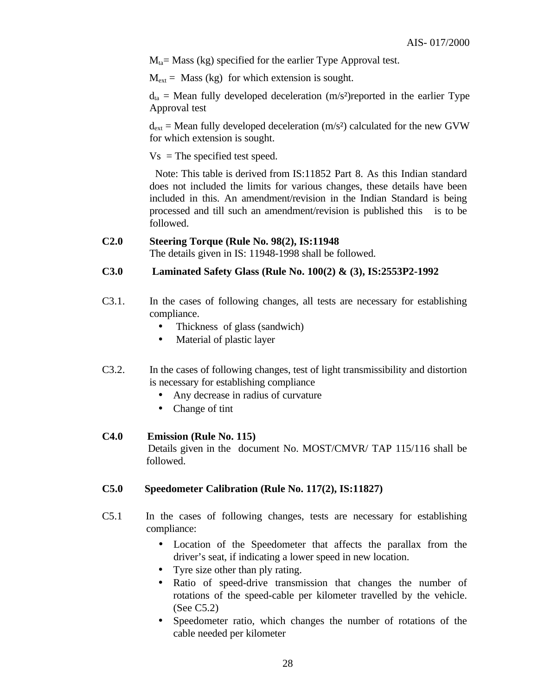$M<sub>ta</sub>$  Mass (kg) specified for the earlier Type Approval test.

 $M_{ext}$  = Mass (kg) for which extension is sought.

 $d_{ta}$  = Mean fully developed deceleration (m/s<sup>2</sup>) reported in the earlier Type Approval test

 $d_{ext}$  = Mean fully developed deceleration (m/s<sup>2</sup>) calculated for the new GVW for which extension is sought.

 $Vs = The specified test speed.$ 

 Note: This table is derived from IS:11852 Part 8. As this Indian standard does not included the limits for various changes, these details have been included in this. An amendment/revision in the Indian Standard is being processed and till such an amendment/revision is published this is to be followed.

#### **C2.0 Steering Torque (Rule No. 98(2), IS:11948**

The details given in IS: 11948-1998 shall be followed.

#### **C3.0 Laminated Safety Glass (Rule No. 100(2) & (3), IS:2553P2-1992**

- C3.1. In the cases of following changes, all tests are necessary for establishing compliance.
	- Thickness of glass (sandwich)
	- Material of plastic layer
- C3.2. In the cases of following changes, test of light transmissibility and distortion is necessary for establishing compliance
	- Any decrease in radius of curvature
	- Change of tint

#### **C4.0 Emission (Rule No. 115)**

 Details given in the document No. MOST/CMVR/ TAP 115/116 shall be followed.

#### **C5.0 Speedometer Calibration (Rule No. 117(2), IS:11827)**

- C5.1 In the cases of following changes, tests are necessary for establishing compliance:
	- Location of the Speedometer that affects the parallax from the driver's seat, if indicating a lower speed in new location.
	- Tyre size other than ply rating.
	- Ratio of speed-drive transmission that changes the number of rotations of the speed-cable per kilometer travelled by the vehicle. (See C5.2)
	- Speedometer ratio, which changes the number of rotations of the cable needed per kilometer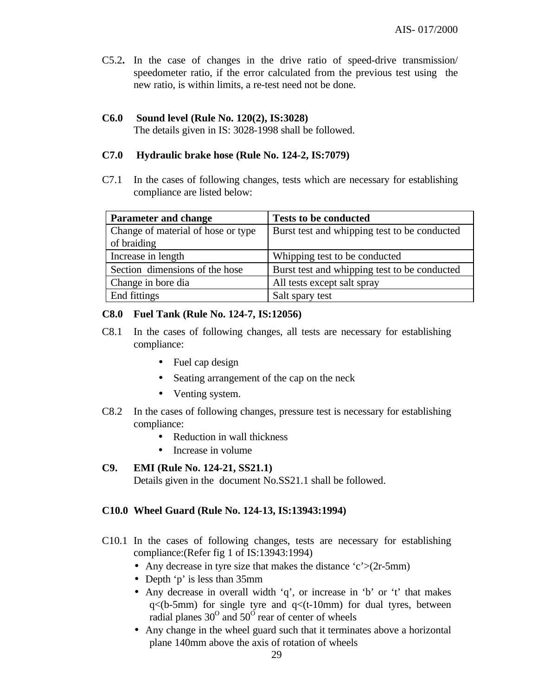C5.2**.** In the case of changes in the drive ratio of speed-drive transmission/ speedometer ratio, if the error calculated from the previous test using the new ratio, is within limits, a re-test need not be done.

# **C6.0 Sound level (Rule No. 120(2), IS:3028)**

The details given in IS: 3028-1998 shall be followed.

#### **C7.0 Hydraulic brake hose (Rule No. 124-2, IS:7079)**

C7.1 In the cases of following changes, tests which are necessary for establishing compliance are listed below:

| <b>Parameter and change</b>        | <b>Tests to be conducted</b>                 |
|------------------------------------|----------------------------------------------|
| Change of material of hose or type | Burst test and whipping test to be conducted |
| of braiding                        |                                              |
| Increase in length                 | Whipping test to be conducted                |
| Section dimensions of the hose     | Burst test and whipping test to be conducted |
| Change in bore dia                 | All tests except salt spray                  |
| End fittings                       | Salt spary test                              |

# **C8.0 Fuel Tank (Rule No. 124-7, IS:12056)**

- C8.1 In the cases of following changes, all tests are necessary for establishing compliance:
	- Fuel cap design
	- Seating arrangement of the cap on the neck
	- Venting system.
- C8.2 In the cases of following changes, pressure test is necessary for establishing compliance:
	- Reduction in wall thickness
	- Increase in volume

# **C9. EMI (Rule No. 124-21, SS21.1)**

Details given in the document No.SS21.1 shall be followed.

# **C10.0 Wheel Guard (Rule No. 124-13, IS:13943:1994)**

- C10.1 In the cases of following changes, tests are necessary for establishing compliance:(Refer fig 1 of IS:13943:1994)
	- Any decrease in tyre size that makes the distance  $c' > (2r-5m)$
	- Depth 'p' is less than 35mm
	- Any decrease in overall width 'q', or increase in 'b' or 't' that makes  $q$ <(b-5mm) for single tyre and  $q$ <(t-10mm) for dual tyres, between radial planes  $30^{\circ}$  and  $50^{\circ}$  rear of center of wheels
	- Any change in the wheel guard such that it terminates above a horizontal plane 140mm above the axis of rotation of wheels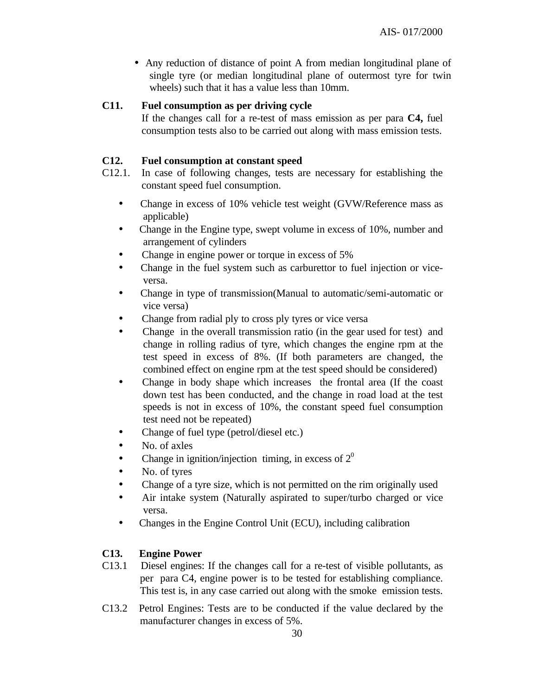• Any reduction of distance of point A from median longitudinal plane of single tyre (or median longitudinal plane of outermost tyre for twin wheels) such that it has a value less than 10mm.

#### **C11. Fuel consumption as per driving cycle**

If the changes call for a re-test of mass emission as per para **C4,** fuel consumption tests also to be carried out along with mass emission tests.

#### **C12. Fuel consumption at constant speed**

- C12.1. In case of following changes, tests are necessary for establishing the constant speed fuel consumption.
	- Change in excess of 10% vehicle test weight (GVW/Reference mass as applicable)
	- Change in the Engine type, swept volume in excess of 10%, number and arrangement of cylinders
	- Change in engine power or torque in excess of 5%
	- Change in the fuel system such as carburettor to fuel injection or viceversa.
	- Change in type of transmission(Manual to automatic/semi-automatic or vice versa)
	- Change from radial ply to cross ply tyres or vice versa
	- Change in the overall transmission ratio (in the gear used for test) and change in rolling radius of tyre, which changes the engine rpm at the test speed in excess of 8%. (If both parameters are changed, the combined effect on engine rpm at the test speed should be considered)
	- Change in body shape which increases the frontal area (If the coast down test has been conducted, and the change in road load at the test speeds is not in excess of 10%, the constant speed fuel consumption test need not be repeated)
	- Change of fuel type (petrol/diesel etc.)
	- No. of axles
	- Change in ignition/injection timing, in excess of  $2<sup>0</sup>$
	- No. of tyres
	- Change of a tyre size, which is not permitted on the rim originally used
	- Air intake system (Naturally aspirated to super/turbo charged or vice versa.
	- Changes in the Engine Control Unit (ECU), including calibration

#### **C13. Engine Power**

- C13.1Diesel engines: If the changes call for a re-test of visible pollutants, as per para C4, engine power is to be tested for establishing compliance. This test is, in any case carried out along with the smoke emission tests.
- C13.2Petrol Engines: Tests are to be conducted if the value declared by the manufacturer changes in excess of 5%.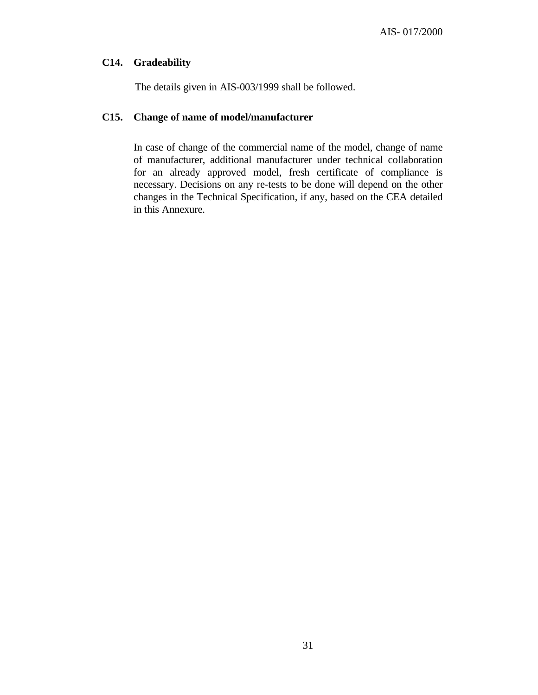#### **C14. Gradeability**

The details given in AIS-003/1999 shall be followed.

# **C15. Change of name of model/manufacturer**

In case of change of the commercial name of the model, change of name of manufacturer, additional manufacturer under technical collaboration for an already approved model, fresh certificate of compliance is necessary. Decisions on any re-tests to be done will depend on the other changes in the Technical Specification, if any, based on the CEA detailed in this Annexure.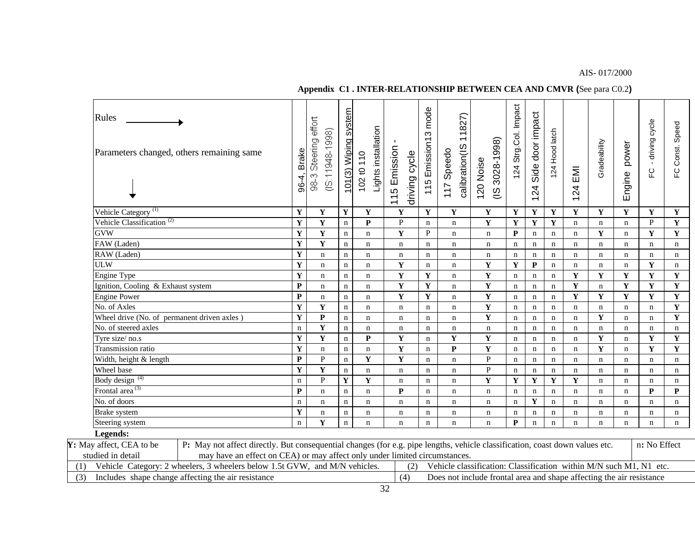#### AIS- 017/2000

# **Appendix C1 . INTER-RELATIONSHIP BETWEEN CEA AND CMVR (**See para C0.2**)**

| Vehicle Category <sup>(1)</sup><br>$\mathbf Y$<br>$\overline{\mathbf{Y}}$<br>$\mathbf Y$<br>$\mathbf Y$<br>$\mathbf Y$<br>$\mathbf Y$<br>$\mathbf Y$<br>$\mathbf Y$<br>$\mathbf Y$<br>$\mathbf Y$<br>$\mathbf Y$<br>$\mathbf Y$<br>$\mathbf Y$<br>$\mathbf Y$<br>Y<br>$\mathbf Y$<br>Vehicle Classification <sup>(2)</sup><br>$\overline{\mathbf{Y}}$<br>$\overline{\mathbf{Y}}$<br>Y<br>$\mathbf{P}$<br>$\mathbf Y$<br>$\mathbf Y$<br>$\mathbf Y$<br>${\bf P}$<br>Y<br>$\mathbf{P}$<br>$\mathbf n$<br>$\mathbf n$<br>$\mathbf n$<br>$\mathbf n$<br>$\mathbf n$<br>$\mathbf n$<br>$\overline{\mathbf{Y}}$<br>Y<br>$\mathbf{P}$<br>$\mathbf{Y}$<br>$\mathbf{Y}$<br>GVW<br>Y<br>$\mathbf P$<br>Y<br>$\mathbf n$<br>$\mathbf n$<br>$\mathbf n$<br>$\mathbf n$<br>$\mathbf n$<br>$\mathbf n$<br>n<br>$\mathbf n$<br>$\overline{\mathbf{Y}}$<br>$\mathbf Y$<br>FAW (Laden)<br>$\mathbf n$<br>$\mathbf n$<br>$\mathbf n$<br>$\mathbf n$<br>$\mathbf n$<br>$\mathbf n$<br>$\mathbf n$<br>$\mathbf n$<br>$\mathbf n$<br>$\mathbf n$<br>n<br>$\mathbf n$<br>$\mathbf n$<br>$\mathbf n$<br>$\mathbf Y$<br>RAW (Laden)<br>$\mathbf n$<br>$\mathbf n$<br>$\mathbf n$<br>$\bf n$<br>$\mathbf n$<br>$\mathbf n$<br>$\mathbf n$<br>$\mathbf n$<br>$\mathbf n$<br>$\mathbf n$<br>$\mathbf n$<br>$\mathbf n$<br>$\mathbf n$<br>$\mathbf n$<br>n<br>$\mathbf Y$<br>$\mathbf P$<br><b>ULW</b><br>$\mathbf Y$<br>$\mathbf Y$<br>$\mathbf Y$<br>$\mathbf Y$<br>$\mathbf n$<br>$\mathbf n$<br>$\mathbf n$<br>$\mathbf n$<br>$\mathbf n$<br>$\mathbf n$<br>$\mathbf n$<br>$\mathbf n$<br>$\mathbf n$<br>$\mathbf n$<br>Y<br>Y<br>$\mathbf Y$<br>$\mathbf Y$<br>$\mathbf Y$<br>Y<br>$\mathbf Y$<br>Y<br>$\mathbf Y$<br><b>Engine Type</b><br>$\mathbf n$<br>$\mathbf n$<br>$\mathbf n$<br>$\mathbf n$<br>$\mathbf n$<br>$\mathbf n$<br>$\mathbf n$<br>$\mathbf{P}$<br>$\mathbf Y$<br>$\mathbf Y$<br>$\mathbf Y$<br>$\mathbf Y$<br>$\mathbf Y$<br>$\mathbf Y$<br>$\mathbf Y$<br>Ignition, Cooling & Exhaust system<br>$\mathbf n$<br>$\mathbf n$<br>$\mathbf n$<br>$\mathbf n$<br>$\mathbf n$<br>$\mathbf n$<br>$\mathbf n$<br>$\mathbf n$<br>$\mathbf{P}$<br>$\mathbf Y$<br>$\mathbf Y$<br>$\mathbf Y$<br>$\mathbf Y$<br>$\mathbf Y$<br>$\mathbf Y$<br>$\mathbf Y$<br>$\mathbf Y$<br><b>Engine Power</b><br>$\mathbf n$<br>$\mathbf n$<br>$\mathbf n$<br>$\mathbf n$<br>$\mathbf n$<br>$\mathbf n$<br>$\mathbf n$<br>Y<br>$\mathbf Y$<br>$\mathbf Y$<br>No. of Axles<br>Y<br>$\mathbf n$<br>$\mathbf n$<br>$\mathbf n$<br>$\mathbf n$<br>$\mathbf n$<br>$\mathbf n$<br>$\mathbf n$<br>$\mathbf n$<br>$\mathbf n$<br>$\mathbf n$<br>$\mathbf n$<br>n<br>$\mathbf Y$<br>$\mathbf{P}$<br>$\mathbf Y$<br>$\mathbf Y$<br>Wheel drive (No. of permanent driven axles)<br>$\mathbf Y$<br>$\mathbf n$<br>$\mathbf n$<br>$\mathbf n$<br>$\mathbf n$<br>$\mathbf n$<br>$\mathbf n$<br>$\mathbf n$<br>$\mathbf n$<br>$\mathbf n$<br>$\mathbf n$<br>$\mathbf n$<br>$\mathbf Y$<br>No. of steered axles<br>$\mathbf n$<br>$\mathbf n$<br>$\bf n$<br>$\mathbf n$<br>$\mathbf n$<br>$\mathbf n$<br>$\mathbf n$<br>$\mathbf n$<br>$\mathbf n$<br>$\mathbf n$<br>$\mathbf n$<br>$\mathbf n$<br>$\mathbf n$<br>$\mathbf n$<br>n<br>$\mathbf Y$<br>Y<br>Y<br>$\mathbf{P}$<br>$\mathbf Y$<br>Y<br>$\mathbf Y$<br>$\mathbf Y$<br>$\mathbf Y$<br>Tyre size/no.s<br>$\mathbf n$<br>$\mathbf n$<br>$\mathbf n$<br>$\mathbf n$<br>$\mathbf n$<br>$\mathbf n$<br>$\mathbf n$<br>Y<br>Y<br>$\mathbf{Y}$<br>$\mathbf Y$<br>Transmission ratio<br>$\mathbf{P}$<br>Y<br>$\mathbf Y$<br>$\mathbf n$<br>$\mathbf n$<br>$\mathbf n$<br>$\mathbf n$<br>$\mathbf n$<br>n<br>$\mathbf n$<br>$\mathbf n$<br>$\mathbf n$<br>$\overline{P}$<br>$\mathbf{P}$<br>Y<br>$\mathbf Y$<br>$\mathbf{P}$<br>Width, height & length<br>$\mathbf n$<br>$\mathbf n$<br>$\mathbf n$<br>$\mathbf n$<br>$\mathbf n$<br>$\mathbf n$<br>$\mathbf n$<br>$\mathbf n$<br>$\mathbf n$<br>$\mathbf n$<br>$\mathbf n$<br>$\mathbf Y$<br>Wheel base<br>$\mathbf Y$<br>${\bf P}$<br>$\mathbf n$<br>$\bf n$<br>$\bf n$<br>$\mathbf n$<br>$\mathbf n$<br>$\mathbf n$<br>$\mathbf n$<br>$\mathbf n$<br>$\mathbf n$<br>$\mathbf n$<br>$\mathbf n$<br>$\mathbf n$<br>$\mathbf n$<br>$\overline{P}$<br>Body design <sup>(4)</sup><br>$\mathbf Y$<br>Y<br>$\mathbf Y$<br>Y<br>$\mathbf Y$<br>$\mathbf Y$<br>Y<br>$\mathbf n$<br>$\mathbf n$<br>$\mathbf n$<br>$\mathbf n$<br>$\mathbf n$<br>$\mathbf n$<br>$\mathbf n$<br>$\mathbf n$<br>Frontal area <sup>(3)</sup><br>${\bf P}$<br>${\bf P}$<br>${\bf P}$<br>$\mathbf P$<br>$\mathbf n$<br>$\bf n$<br>$\mathbf n$<br>$\mathbf n$<br>$\mathbf n$<br>$\mathbf n$<br>$\mathbf n$<br>$\mathbf n$<br>$\mathbf n$<br>$\mathbf n$<br>$\mathbf n$<br>$\mathbf n$<br>No. of doors<br>$\mathbf Y$<br>$\mathbf n$<br>$\mathbf n$<br>$\mathbf n$<br>$\bf n$<br>$\mathbf n$<br>$\mathbf n$<br>$\mathbf n$<br>$\mathbf n$<br>$\mathbf n$<br>$\mathbf n$<br>$\mathbf n$<br>$\mathbf n$<br>$\mathbf n$<br>$\mathbf n$<br>$\mathbf n$<br>$\mathbf Y$<br>Brake system<br>$\mathbf n$<br>$\mathbf n$<br>$\mathbf n$<br>$\mathbf n$<br>$\mathbf n$<br>$\mathbf n$<br>$\mathbf n$<br>$\mathbf n$<br>$\mathbf n$<br>$\mathbf n$<br>n<br>n<br>$\mathbf n$<br>$\mathbf n$<br>n<br>$\mathbf Y$<br>$\mathbf P$<br>$\mathbf n$<br>Steering system<br>$\bf n$<br>$\mathbf n$<br>$\mathbf n$<br>$\mathbf n$<br>$\mathbf n$<br>$\mathbf n$<br>$\mathbf n$<br>$\mathbf n$<br>$\mathbf n$<br>$\mathbf n$<br>n<br>$\mathbf n$<br>$\mathbf n$<br>Legends:<br>P: May not affect directly. But consequential changes (for e.g. pipe lengths, vehicle classification, coast down values etc.<br>n: No Effect<br>may have an effect on CEA) or may affect only under limited circumstances.<br>studied in detail<br>Vehicle Category: 2 wheelers, 3 wheelers below 1.5t GVW, and M/N vehicles.<br>Vehicle classification: Classification within M/N such M1, N1 etc.<br>(2)<br>Includes shape change affecting the air resistance<br>(4)<br>Does not include frontal area and shape affecting the air resistance | Rules                    | Parameters changed, others remaining same |  | Steering effort<br>(15:11948.1998)<br>$98-3$ | 101(3) Wiping system | Lights installation<br>102 t0 110 | 115 Emission | driving cycle | mode<br>115 Emission13 | 11827)<br>calibration(IS<br>117 Speedo | 3028-1998)<br>120 Noise<br>$\frac{8}{10}$ | 124 Strg.Col. Impact | Side door impact<br>$\overline{24}$<br>$\overline{\phantom{0}}$ | 124 Hood latch | $\overline{\Xi}$<br>24 | Gradeability | power<br>Engine | - driving cycle<br>ပူ | FC Const. Speed |
|-------------------------------------------------------------------------------------------------------------------------------------------------------------------------------------------------------------------------------------------------------------------------------------------------------------------------------------------------------------------------------------------------------------------------------------------------------------------------------------------------------------------------------------------------------------------------------------------------------------------------------------------------------------------------------------------------------------------------------------------------------------------------------------------------------------------------------------------------------------------------------------------------------------------------------------------------------------------------------------------------------------------------------------------------------------------------------------------------------------------------------------------------------------------------------------------------------------------------------------------------------------------------------------------------------------------------------------------------------------------------------------------------------------------------------------------------------------------------------------------------------------------------------------------------------------------------------------------------------------------------------------------------------------------------------------------------------------------------------------------------------------------------------------------------------------------------------------------------------------------------------------------------------------------------------------------------------------------------------------------------------------------------------------------------------------------------------------------------------------------------------------------------------------------------------------------------------------------------------------------------------------------------------------------------------------------------------------------------------------------------------------------------------------------------------------------------------------------------------------------------------------------------------------------------------------------------------------------------------------------------------------------------------------------------------------------------------------------------------------------------------------------------------------------------------------------------------------------------------------------------------------------------------------------------------------------------------------------------------------------------------------------------------------------------------------------------------------------------------------------------------------------------------------------------------------------------------------------------------------------------------------------------------------------------------------------------------------------------------------------------------------------------------------------------------------------------------------------------------------------------------------------------------------------------------------------------------------------------------------------------------------------------------------------------------------------------------------------------------------------------------------------------------------------------------------------------------------------------------------------------------------------------------------------------------------------------------------------------------------------------------------------------------------------------------------------------------------------------------------------------------------------------------------------------------------------------------------------------------------------------------------------------------------------------------------------------------------------------------------------------------------------------------------------------------------------------------------------------------------------------------------------------------------------------------------------------------------------------------------------------------------------------------------------------------------------------------------------------------------------------------------------------------------------------------------------------------------------------------------------------------------------------------------------------------------------------------------------------------------------------------------------------------------------------------------------------------------------------------------------------------------------------------------------------------------------------------------------------------------------------------------------------------------------------------------------------------------------------------------------------------------------------------------------------------------------------------------------------------------------------------------------------------------------------------------------------------------------------------------------------------------------------------------------------------------------------------------------------------------------------------------------------------------------------------------------------------------------------------------------------------------------------------------------------------------------------------------------------------------------------------------------------------|--------------------------|-------------------------------------------|--|----------------------------------------------|----------------------|-----------------------------------|--------------|---------------|------------------------|----------------------------------------|-------------------------------------------|----------------------|-----------------------------------------------------------------|----------------|------------------------|--------------|-----------------|-----------------------|-----------------|
|                                                                                                                                                                                                                                                                                                                                                                                                                                                                                                                                                                                                                                                                                                                                                                                                                                                                                                                                                                                                                                                                                                                                                                                                                                                                                                                                                                                                                                                                                                                                                                                                                                                                                                                                                                                                                                                                                                                                                                                                                                                                                                                                                                                                                                                                                                                                                                                                                                                                                                                                                                                                                                                                                                                                                                                                                                                                                                                                                                                                                                                                                                                                                                                                                                                                                                                                                                                                                                                                                                                                                                                                                                                                                                                                                                                                                                                                                                                                                                                                                                                                                                                                                                                                                                                                                                                                                                                                                                                                                                                                                                                                                                                                                                                                                                                                                                                                                                                                                                                                                                                                                                                                                                                                                                                                                                                                                                                                                                                                                                                                                                                                                                                                                                                                                                                                                                                                                                                                                                                                                               |                          |                                           |  |                                              |                      |                                   |              |               |                        |                                        |                                           |                      |                                                                 |                |                        |              |                 |                       |                 |
|                                                                                                                                                                                                                                                                                                                                                                                                                                                                                                                                                                                                                                                                                                                                                                                                                                                                                                                                                                                                                                                                                                                                                                                                                                                                                                                                                                                                                                                                                                                                                                                                                                                                                                                                                                                                                                                                                                                                                                                                                                                                                                                                                                                                                                                                                                                                                                                                                                                                                                                                                                                                                                                                                                                                                                                                                                                                                                                                                                                                                                                                                                                                                                                                                                                                                                                                                                                                                                                                                                                                                                                                                                                                                                                                                                                                                                                                                                                                                                                                                                                                                                                                                                                                                                                                                                                                                                                                                                                                                                                                                                                                                                                                                                                                                                                                                                                                                                                                                                                                                                                                                                                                                                                                                                                                                                                                                                                                                                                                                                                                                                                                                                                                                                                                                                                                                                                                                                                                                                                                                               |                          |                                           |  |                                              |                      |                                   |              |               |                        |                                        |                                           |                      |                                                                 |                |                        |              |                 |                       |                 |
|                                                                                                                                                                                                                                                                                                                                                                                                                                                                                                                                                                                                                                                                                                                                                                                                                                                                                                                                                                                                                                                                                                                                                                                                                                                                                                                                                                                                                                                                                                                                                                                                                                                                                                                                                                                                                                                                                                                                                                                                                                                                                                                                                                                                                                                                                                                                                                                                                                                                                                                                                                                                                                                                                                                                                                                                                                                                                                                                                                                                                                                                                                                                                                                                                                                                                                                                                                                                                                                                                                                                                                                                                                                                                                                                                                                                                                                                                                                                                                                                                                                                                                                                                                                                                                                                                                                                                                                                                                                                                                                                                                                                                                                                                                                                                                                                                                                                                                                                                                                                                                                                                                                                                                                                                                                                                                                                                                                                                                                                                                                                                                                                                                                                                                                                                                                                                                                                                                                                                                                                                               |                          |                                           |  |                                              |                      |                                   |              |               |                        |                                        |                                           |                      |                                                                 |                |                        |              |                 |                       |                 |
|                                                                                                                                                                                                                                                                                                                                                                                                                                                                                                                                                                                                                                                                                                                                                                                                                                                                                                                                                                                                                                                                                                                                                                                                                                                                                                                                                                                                                                                                                                                                                                                                                                                                                                                                                                                                                                                                                                                                                                                                                                                                                                                                                                                                                                                                                                                                                                                                                                                                                                                                                                                                                                                                                                                                                                                                                                                                                                                                                                                                                                                                                                                                                                                                                                                                                                                                                                                                                                                                                                                                                                                                                                                                                                                                                                                                                                                                                                                                                                                                                                                                                                                                                                                                                                                                                                                                                                                                                                                                                                                                                                                                                                                                                                                                                                                                                                                                                                                                                                                                                                                                                                                                                                                                                                                                                                                                                                                                                                                                                                                                                                                                                                                                                                                                                                                                                                                                                                                                                                                                                               |                          |                                           |  |                                              |                      |                                   |              |               |                        |                                        |                                           |                      |                                                                 |                |                        |              |                 |                       |                 |
|                                                                                                                                                                                                                                                                                                                                                                                                                                                                                                                                                                                                                                                                                                                                                                                                                                                                                                                                                                                                                                                                                                                                                                                                                                                                                                                                                                                                                                                                                                                                                                                                                                                                                                                                                                                                                                                                                                                                                                                                                                                                                                                                                                                                                                                                                                                                                                                                                                                                                                                                                                                                                                                                                                                                                                                                                                                                                                                                                                                                                                                                                                                                                                                                                                                                                                                                                                                                                                                                                                                                                                                                                                                                                                                                                                                                                                                                                                                                                                                                                                                                                                                                                                                                                                                                                                                                                                                                                                                                                                                                                                                                                                                                                                                                                                                                                                                                                                                                                                                                                                                                                                                                                                                                                                                                                                                                                                                                                                                                                                                                                                                                                                                                                                                                                                                                                                                                                                                                                                                                                               |                          |                                           |  |                                              |                      |                                   |              |               |                        |                                        |                                           |                      |                                                                 |                |                        |              |                 |                       |                 |
|                                                                                                                                                                                                                                                                                                                                                                                                                                                                                                                                                                                                                                                                                                                                                                                                                                                                                                                                                                                                                                                                                                                                                                                                                                                                                                                                                                                                                                                                                                                                                                                                                                                                                                                                                                                                                                                                                                                                                                                                                                                                                                                                                                                                                                                                                                                                                                                                                                                                                                                                                                                                                                                                                                                                                                                                                                                                                                                                                                                                                                                                                                                                                                                                                                                                                                                                                                                                                                                                                                                                                                                                                                                                                                                                                                                                                                                                                                                                                                                                                                                                                                                                                                                                                                                                                                                                                                                                                                                                                                                                                                                                                                                                                                                                                                                                                                                                                                                                                                                                                                                                                                                                                                                                                                                                                                                                                                                                                                                                                                                                                                                                                                                                                                                                                                                                                                                                                                                                                                                                                               |                          |                                           |  |                                              |                      |                                   |              |               |                        |                                        |                                           |                      |                                                                 |                |                        |              |                 |                       |                 |
|                                                                                                                                                                                                                                                                                                                                                                                                                                                                                                                                                                                                                                                                                                                                                                                                                                                                                                                                                                                                                                                                                                                                                                                                                                                                                                                                                                                                                                                                                                                                                                                                                                                                                                                                                                                                                                                                                                                                                                                                                                                                                                                                                                                                                                                                                                                                                                                                                                                                                                                                                                                                                                                                                                                                                                                                                                                                                                                                                                                                                                                                                                                                                                                                                                                                                                                                                                                                                                                                                                                                                                                                                                                                                                                                                                                                                                                                                                                                                                                                                                                                                                                                                                                                                                                                                                                                                                                                                                                                                                                                                                                                                                                                                                                                                                                                                                                                                                                                                                                                                                                                                                                                                                                                                                                                                                                                                                                                                                                                                                                                                                                                                                                                                                                                                                                                                                                                                                                                                                                                                               |                          |                                           |  |                                              |                      |                                   |              |               |                        |                                        |                                           |                      |                                                                 |                |                        |              |                 |                       |                 |
|                                                                                                                                                                                                                                                                                                                                                                                                                                                                                                                                                                                                                                                                                                                                                                                                                                                                                                                                                                                                                                                                                                                                                                                                                                                                                                                                                                                                                                                                                                                                                                                                                                                                                                                                                                                                                                                                                                                                                                                                                                                                                                                                                                                                                                                                                                                                                                                                                                                                                                                                                                                                                                                                                                                                                                                                                                                                                                                                                                                                                                                                                                                                                                                                                                                                                                                                                                                                                                                                                                                                                                                                                                                                                                                                                                                                                                                                                                                                                                                                                                                                                                                                                                                                                                                                                                                                                                                                                                                                                                                                                                                                                                                                                                                                                                                                                                                                                                                                                                                                                                                                                                                                                                                                                                                                                                                                                                                                                                                                                                                                                                                                                                                                                                                                                                                                                                                                                                                                                                                                                               |                          |                                           |  |                                              |                      |                                   |              |               |                        |                                        |                                           |                      |                                                                 |                |                        |              |                 |                       |                 |
|                                                                                                                                                                                                                                                                                                                                                                                                                                                                                                                                                                                                                                                                                                                                                                                                                                                                                                                                                                                                                                                                                                                                                                                                                                                                                                                                                                                                                                                                                                                                                                                                                                                                                                                                                                                                                                                                                                                                                                                                                                                                                                                                                                                                                                                                                                                                                                                                                                                                                                                                                                                                                                                                                                                                                                                                                                                                                                                                                                                                                                                                                                                                                                                                                                                                                                                                                                                                                                                                                                                                                                                                                                                                                                                                                                                                                                                                                                                                                                                                                                                                                                                                                                                                                                                                                                                                                                                                                                                                                                                                                                                                                                                                                                                                                                                                                                                                                                                                                                                                                                                                                                                                                                                                                                                                                                                                                                                                                                                                                                                                                                                                                                                                                                                                                                                                                                                                                                                                                                                                                               |                          |                                           |  |                                              |                      |                                   |              |               |                        |                                        |                                           |                      |                                                                 |                |                        |              |                 |                       |                 |
|                                                                                                                                                                                                                                                                                                                                                                                                                                                                                                                                                                                                                                                                                                                                                                                                                                                                                                                                                                                                                                                                                                                                                                                                                                                                                                                                                                                                                                                                                                                                                                                                                                                                                                                                                                                                                                                                                                                                                                                                                                                                                                                                                                                                                                                                                                                                                                                                                                                                                                                                                                                                                                                                                                                                                                                                                                                                                                                                                                                                                                                                                                                                                                                                                                                                                                                                                                                                                                                                                                                                                                                                                                                                                                                                                                                                                                                                                                                                                                                                                                                                                                                                                                                                                                                                                                                                                                                                                                                                                                                                                                                                                                                                                                                                                                                                                                                                                                                                                                                                                                                                                                                                                                                                                                                                                                                                                                                                                                                                                                                                                                                                                                                                                                                                                                                                                                                                                                                                                                                                                               |                          |                                           |  |                                              |                      |                                   |              |               |                        |                                        |                                           |                      |                                                                 |                |                        |              |                 |                       |                 |
|                                                                                                                                                                                                                                                                                                                                                                                                                                                                                                                                                                                                                                                                                                                                                                                                                                                                                                                                                                                                                                                                                                                                                                                                                                                                                                                                                                                                                                                                                                                                                                                                                                                                                                                                                                                                                                                                                                                                                                                                                                                                                                                                                                                                                                                                                                                                                                                                                                                                                                                                                                                                                                                                                                                                                                                                                                                                                                                                                                                                                                                                                                                                                                                                                                                                                                                                                                                                                                                                                                                                                                                                                                                                                                                                                                                                                                                                                                                                                                                                                                                                                                                                                                                                                                                                                                                                                                                                                                                                                                                                                                                                                                                                                                                                                                                                                                                                                                                                                                                                                                                                                                                                                                                                                                                                                                                                                                                                                                                                                                                                                                                                                                                                                                                                                                                                                                                                                                                                                                                                                               |                          |                                           |  |                                              |                      |                                   |              |               |                        |                                        |                                           |                      |                                                                 |                |                        |              |                 |                       |                 |
|                                                                                                                                                                                                                                                                                                                                                                                                                                                                                                                                                                                                                                                                                                                                                                                                                                                                                                                                                                                                                                                                                                                                                                                                                                                                                                                                                                                                                                                                                                                                                                                                                                                                                                                                                                                                                                                                                                                                                                                                                                                                                                                                                                                                                                                                                                                                                                                                                                                                                                                                                                                                                                                                                                                                                                                                                                                                                                                                                                                                                                                                                                                                                                                                                                                                                                                                                                                                                                                                                                                                                                                                                                                                                                                                                                                                                                                                                                                                                                                                                                                                                                                                                                                                                                                                                                                                                                                                                                                                                                                                                                                                                                                                                                                                                                                                                                                                                                                                                                                                                                                                                                                                                                                                                                                                                                                                                                                                                                                                                                                                                                                                                                                                                                                                                                                                                                                                                                                                                                                                                               |                          |                                           |  |                                              |                      |                                   |              |               |                        |                                        |                                           |                      |                                                                 |                |                        |              |                 |                       |                 |
|                                                                                                                                                                                                                                                                                                                                                                                                                                                                                                                                                                                                                                                                                                                                                                                                                                                                                                                                                                                                                                                                                                                                                                                                                                                                                                                                                                                                                                                                                                                                                                                                                                                                                                                                                                                                                                                                                                                                                                                                                                                                                                                                                                                                                                                                                                                                                                                                                                                                                                                                                                                                                                                                                                                                                                                                                                                                                                                                                                                                                                                                                                                                                                                                                                                                                                                                                                                                                                                                                                                                                                                                                                                                                                                                                                                                                                                                                                                                                                                                                                                                                                                                                                                                                                                                                                                                                                                                                                                                                                                                                                                                                                                                                                                                                                                                                                                                                                                                                                                                                                                                                                                                                                                                                                                                                                                                                                                                                                                                                                                                                                                                                                                                                                                                                                                                                                                                                                                                                                                                                               |                          |                                           |  |                                              |                      |                                   |              |               |                        |                                        |                                           |                      |                                                                 |                |                        |              |                 |                       |                 |
|                                                                                                                                                                                                                                                                                                                                                                                                                                                                                                                                                                                                                                                                                                                                                                                                                                                                                                                                                                                                                                                                                                                                                                                                                                                                                                                                                                                                                                                                                                                                                                                                                                                                                                                                                                                                                                                                                                                                                                                                                                                                                                                                                                                                                                                                                                                                                                                                                                                                                                                                                                                                                                                                                                                                                                                                                                                                                                                                                                                                                                                                                                                                                                                                                                                                                                                                                                                                                                                                                                                                                                                                                                                                                                                                                                                                                                                                                                                                                                                                                                                                                                                                                                                                                                                                                                                                                                                                                                                                                                                                                                                                                                                                                                                                                                                                                                                                                                                                                                                                                                                                                                                                                                                                                                                                                                                                                                                                                                                                                                                                                                                                                                                                                                                                                                                                                                                                                                                                                                                                                               |                          |                                           |  |                                              |                      |                                   |              |               |                        |                                        |                                           |                      |                                                                 |                |                        |              |                 |                       |                 |
|                                                                                                                                                                                                                                                                                                                                                                                                                                                                                                                                                                                                                                                                                                                                                                                                                                                                                                                                                                                                                                                                                                                                                                                                                                                                                                                                                                                                                                                                                                                                                                                                                                                                                                                                                                                                                                                                                                                                                                                                                                                                                                                                                                                                                                                                                                                                                                                                                                                                                                                                                                                                                                                                                                                                                                                                                                                                                                                                                                                                                                                                                                                                                                                                                                                                                                                                                                                                                                                                                                                                                                                                                                                                                                                                                                                                                                                                                                                                                                                                                                                                                                                                                                                                                                                                                                                                                                                                                                                                                                                                                                                                                                                                                                                                                                                                                                                                                                                                                                                                                                                                                                                                                                                                                                                                                                                                                                                                                                                                                                                                                                                                                                                                                                                                                                                                                                                                                                                                                                                                                               |                          |                                           |  |                                              |                      |                                   |              |               |                        |                                        |                                           |                      |                                                                 |                |                        |              |                 |                       |                 |
|                                                                                                                                                                                                                                                                                                                                                                                                                                                                                                                                                                                                                                                                                                                                                                                                                                                                                                                                                                                                                                                                                                                                                                                                                                                                                                                                                                                                                                                                                                                                                                                                                                                                                                                                                                                                                                                                                                                                                                                                                                                                                                                                                                                                                                                                                                                                                                                                                                                                                                                                                                                                                                                                                                                                                                                                                                                                                                                                                                                                                                                                                                                                                                                                                                                                                                                                                                                                                                                                                                                                                                                                                                                                                                                                                                                                                                                                                                                                                                                                                                                                                                                                                                                                                                                                                                                                                                                                                                                                                                                                                                                                                                                                                                                                                                                                                                                                                                                                                                                                                                                                                                                                                                                                                                                                                                                                                                                                                                                                                                                                                                                                                                                                                                                                                                                                                                                                                                                                                                                                                               |                          |                                           |  |                                              |                      |                                   |              |               |                        |                                        |                                           |                      |                                                                 |                |                        |              |                 |                       |                 |
|                                                                                                                                                                                                                                                                                                                                                                                                                                                                                                                                                                                                                                                                                                                                                                                                                                                                                                                                                                                                                                                                                                                                                                                                                                                                                                                                                                                                                                                                                                                                                                                                                                                                                                                                                                                                                                                                                                                                                                                                                                                                                                                                                                                                                                                                                                                                                                                                                                                                                                                                                                                                                                                                                                                                                                                                                                                                                                                                                                                                                                                                                                                                                                                                                                                                                                                                                                                                                                                                                                                                                                                                                                                                                                                                                                                                                                                                                                                                                                                                                                                                                                                                                                                                                                                                                                                                                                                                                                                                                                                                                                                                                                                                                                                                                                                                                                                                                                                                                                                                                                                                                                                                                                                                                                                                                                                                                                                                                                                                                                                                                                                                                                                                                                                                                                                                                                                                                                                                                                                                                               |                          |                                           |  |                                              |                      |                                   |              |               |                        |                                        |                                           |                      |                                                                 |                |                        |              |                 |                       |                 |
|                                                                                                                                                                                                                                                                                                                                                                                                                                                                                                                                                                                                                                                                                                                                                                                                                                                                                                                                                                                                                                                                                                                                                                                                                                                                                                                                                                                                                                                                                                                                                                                                                                                                                                                                                                                                                                                                                                                                                                                                                                                                                                                                                                                                                                                                                                                                                                                                                                                                                                                                                                                                                                                                                                                                                                                                                                                                                                                                                                                                                                                                                                                                                                                                                                                                                                                                                                                                                                                                                                                                                                                                                                                                                                                                                                                                                                                                                                                                                                                                                                                                                                                                                                                                                                                                                                                                                                                                                                                                                                                                                                                                                                                                                                                                                                                                                                                                                                                                                                                                                                                                                                                                                                                                                                                                                                                                                                                                                                                                                                                                                                                                                                                                                                                                                                                                                                                                                                                                                                                                                               |                          |                                           |  |                                              |                      |                                   |              |               |                        |                                        |                                           |                      |                                                                 |                |                        |              |                 |                       |                 |
|                                                                                                                                                                                                                                                                                                                                                                                                                                                                                                                                                                                                                                                                                                                                                                                                                                                                                                                                                                                                                                                                                                                                                                                                                                                                                                                                                                                                                                                                                                                                                                                                                                                                                                                                                                                                                                                                                                                                                                                                                                                                                                                                                                                                                                                                                                                                                                                                                                                                                                                                                                                                                                                                                                                                                                                                                                                                                                                                                                                                                                                                                                                                                                                                                                                                                                                                                                                                                                                                                                                                                                                                                                                                                                                                                                                                                                                                                                                                                                                                                                                                                                                                                                                                                                                                                                                                                                                                                                                                                                                                                                                                                                                                                                                                                                                                                                                                                                                                                                                                                                                                                                                                                                                                                                                                                                                                                                                                                                                                                                                                                                                                                                                                                                                                                                                                                                                                                                                                                                                                                               |                          |                                           |  |                                              |                      |                                   |              |               |                        |                                        |                                           |                      |                                                                 |                |                        |              |                 |                       |                 |
|                                                                                                                                                                                                                                                                                                                                                                                                                                                                                                                                                                                                                                                                                                                                                                                                                                                                                                                                                                                                                                                                                                                                                                                                                                                                                                                                                                                                                                                                                                                                                                                                                                                                                                                                                                                                                                                                                                                                                                                                                                                                                                                                                                                                                                                                                                                                                                                                                                                                                                                                                                                                                                                                                                                                                                                                                                                                                                                                                                                                                                                                                                                                                                                                                                                                                                                                                                                                                                                                                                                                                                                                                                                                                                                                                                                                                                                                                                                                                                                                                                                                                                                                                                                                                                                                                                                                                                                                                                                                                                                                                                                                                                                                                                                                                                                                                                                                                                                                                                                                                                                                                                                                                                                                                                                                                                                                                                                                                                                                                                                                                                                                                                                                                                                                                                                                                                                                                                                                                                                                                               |                          |                                           |  |                                              |                      |                                   |              |               |                        |                                        |                                           |                      |                                                                 |                |                        |              |                 |                       |                 |
|                                                                                                                                                                                                                                                                                                                                                                                                                                                                                                                                                                                                                                                                                                                                                                                                                                                                                                                                                                                                                                                                                                                                                                                                                                                                                                                                                                                                                                                                                                                                                                                                                                                                                                                                                                                                                                                                                                                                                                                                                                                                                                                                                                                                                                                                                                                                                                                                                                                                                                                                                                                                                                                                                                                                                                                                                                                                                                                                                                                                                                                                                                                                                                                                                                                                                                                                                                                                                                                                                                                                                                                                                                                                                                                                                                                                                                                                                                                                                                                                                                                                                                                                                                                                                                                                                                                                                                                                                                                                                                                                                                                                                                                                                                                                                                                                                                                                                                                                                                                                                                                                                                                                                                                                                                                                                                                                                                                                                                                                                                                                                                                                                                                                                                                                                                                                                                                                                                                                                                                                                               |                          |                                           |  |                                              |                      |                                   |              |               |                        |                                        |                                           |                      |                                                                 |                |                        |              |                 |                       |                 |
|                                                                                                                                                                                                                                                                                                                                                                                                                                                                                                                                                                                                                                                                                                                                                                                                                                                                                                                                                                                                                                                                                                                                                                                                                                                                                                                                                                                                                                                                                                                                                                                                                                                                                                                                                                                                                                                                                                                                                                                                                                                                                                                                                                                                                                                                                                                                                                                                                                                                                                                                                                                                                                                                                                                                                                                                                                                                                                                                                                                                                                                                                                                                                                                                                                                                                                                                                                                                                                                                                                                                                                                                                                                                                                                                                                                                                                                                                                                                                                                                                                                                                                                                                                                                                                                                                                                                                                                                                                                                                                                                                                                                                                                                                                                                                                                                                                                                                                                                                                                                                                                                                                                                                                                                                                                                                                                                                                                                                                                                                                                                                                                                                                                                                                                                                                                                                                                                                                                                                                                                                               |                          |                                           |  |                                              |                      |                                   |              |               |                        |                                        |                                           |                      |                                                                 |                |                        |              |                 |                       |                 |
|                                                                                                                                                                                                                                                                                                                                                                                                                                                                                                                                                                                                                                                                                                                                                                                                                                                                                                                                                                                                                                                                                                                                                                                                                                                                                                                                                                                                                                                                                                                                                                                                                                                                                                                                                                                                                                                                                                                                                                                                                                                                                                                                                                                                                                                                                                                                                                                                                                                                                                                                                                                                                                                                                                                                                                                                                                                                                                                                                                                                                                                                                                                                                                                                                                                                                                                                                                                                                                                                                                                                                                                                                                                                                                                                                                                                                                                                                                                                                                                                                                                                                                                                                                                                                                                                                                                                                                                                                                                                                                                                                                                                                                                                                                                                                                                                                                                                                                                                                                                                                                                                                                                                                                                                                                                                                                                                                                                                                                                                                                                                                                                                                                                                                                                                                                                                                                                                                                                                                                                                                               | Y: May affect, CEA to be |                                           |  |                                              |                      |                                   |              |               |                        |                                        |                                           |                      |                                                                 |                |                        |              |                 |                       |                 |
|                                                                                                                                                                                                                                                                                                                                                                                                                                                                                                                                                                                                                                                                                                                                                                                                                                                                                                                                                                                                                                                                                                                                                                                                                                                                                                                                                                                                                                                                                                                                                                                                                                                                                                                                                                                                                                                                                                                                                                                                                                                                                                                                                                                                                                                                                                                                                                                                                                                                                                                                                                                                                                                                                                                                                                                                                                                                                                                                                                                                                                                                                                                                                                                                                                                                                                                                                                                                                                                                                                                                                                                                                                                                                                                                                                                                                                                                                                                                                                                                                                                                                                                                                                                                                                                                                                                                                                                                                                                                                                                                                                                                                                                                                                                                                                                                                                                                                                                                                                                                                                                                                                                                                                                                                                                                                                                                                                                                                                                                                                                                                                                                                                                                                                                                                                                                                                                                                                                                                                                                                               |                          |                                           |  |                                              |                      |                                   |              |               |                        |                                        |                                           |                      |                                                                 |                |                        |              |                 |                       |                 |
|                                                                                                                                                                                                                                                                                                                                                                                                                                                                                                                                                                                                                                                                                                                                                                                                                                                                                                                                                                                                                                                                                                                                                                                                                                                                                                                                                                                                                                                                                                                                                                                                                                                                                                                                                                                                                                                                                                                                                                                                                                                                                                                                                                                                                                                                                                                                                                                                                                                                                                                                                                                                                                                                                                                                                                                                                                                                                                                                                                                                                                                                                                                                                                                                                                                                                                                                                                                                                                                                                                                                                                                                                                                                                                                                                                                                                                                                                                                                                                                                                                                                                                                                                                                                                                                                                                                                                                                                                                                                                                                                                                                                                                                                                                                                                                                                                                                                                                                                                                                                                                                                                                                                                                                                                                                                                                                                                                                                                                                                                                                                                                                                                                                                                                                                                                                                                                                                                                                                                                                                                               | (1)                      |                                           |  |                                              |                      |                                   |              |               |                        |                                        |                                           |                      |                                                                 |                |                        |              |                 |                       |                 |
|                                                                                                                                                                                                                                                                                                                                                                                                                                                                                                                                                                                                                                                                                                                                                                                                                                                                                                                                                                                                                                                                                                                                                                                                                                                                                                                                                                                                                                                                                                                                                                                                                                                                                                                                                                                                                                                                                                                                                                                                                                                                                                                                                                                                                                                                                                                                                                                                                                                                                                                                                                                                                                                                                                                                                                                                                                                                                                                                                                                                                                                                                                                                                                                                                                                                                                                                                                                                                                                                                                                                                                                                                                                                                                                                                                                                                                                                                                                                                                                                                                                                                                                                                                                                                                                                                                                                                                                                                                                                                                                                                                                                                                                                                                                                                                                                                                                                                                                                                                                                                                                                                                                                                                                                                                                                                                                                                                                                                                                                                                                                                                                                                                                                                                                                                                                                                                                                                                                                                                                                                               | (3)                      |                                           |  |                                              |                      |                                   |              |               |                        |                                        |                                           |                      |                                                                 |                |                        |              |                 |                       |                 |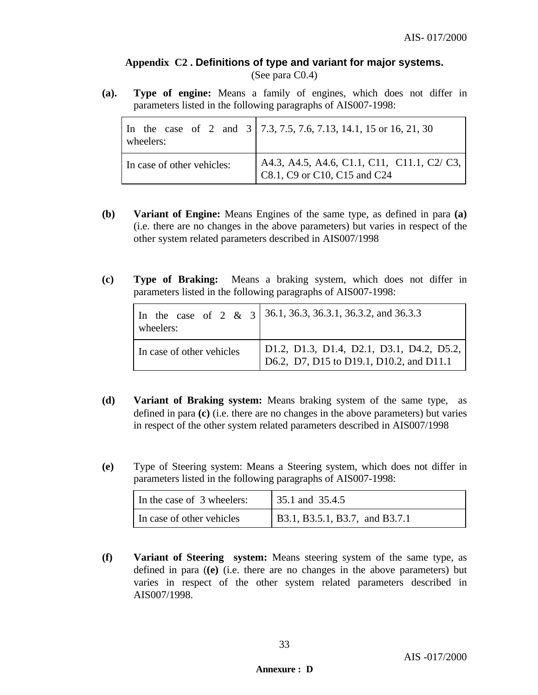# **Appendix C2 . Definitions of type and variant for major systems.** (See para C0.4)

**(a). Type of engine:** Means a family of engines, which does not differ in parameters listed in the following paragraphs of AIS007-1998:

| wheelers:                  | In the case of 2 and $3 \mid 7.3, 7.5, 7.6, 7.13, 14.1, 15$ or 16, 21, 30   |
|----------------------------|-----------------------------------------------------------------------------|
| In case of other vehicles: | A4.3, A4.5, A4.6, C1.1, C11, C11.1, C2/ C3,<br>C8.1, C9 or C10, C15 and C24 |

- **(b) Variant of Engine:** Means Engines of the same type, as defined in para **(a)** (i.e. there are no changes in the above parameters) but varies in respect of the other system related parameters described in AIS007/1998
- **(c) Type of Braking:** Means a braking system, which does not differ in parameters listed in the following paragraphs of AIS007-1998:

| wheelers:                 | In the case of 2 & 3 36.1, 36.3, 36.3.1, 36.3.2, and 36.3.3                                |
|---------------------------|--------------------------------------------------------------------------------------------|
| In case of other vehicles | $\vert$ D1.2, D1.3, D1.4, D2.1, D3.1, D4.2, D5.2, D6.2, D7, D15 to D19.1, D10.2, and D11.1 |

- **(d) Variant of Braking system:** Means braking system of the same type, as defined in para **(c)** (i.e. there are no changes in the above parameters) but varies in respect of the other system related parameters described in AIS007/1998
- **(e)** Type of Steering system: Means a Steering system, which does not differ in parameters listed in the following paragraphs of AIS007-1998:

| In the case of 3 wheelers: | 35.1 and 35.4.5                |
|----------------------------|--------------------------------|
| In case of other vehicles  | B3.1, B3.5.1, B3.7, and B3.7.1 |

**(f) Variant of Steering system:** Means steering system of the same type, as defined in para (**(e)** (i.e. there are no changes in the above parameters) but varies in respect of the other system related parameters described in AIS007/1998.